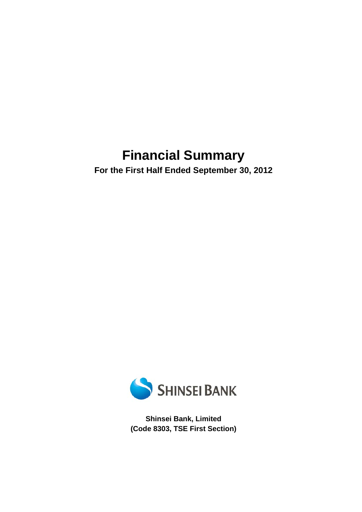# **Financial Summary**

**For the First Half Ended September 30, 2012** 



**Shinsei Bank, Limited (Code 8303, TSE First Section)**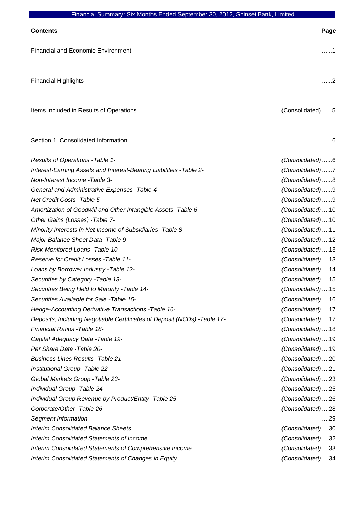| <u>Contents</u>                                                           | <b>Page</b>       |
|---------------------------------------------------------------------------|-------------------|
| <b>Financial and Economic Environment</b>                                 | . 1               |
| <b>Financial Highlights</b>                                               | . 2               |
| Items included in Results of Operations                                   | (Consolidated) 5  |
| Section 1. Consolidated Information                                       | 6                 |
| Results of Operations - Table 1-                                          | (Consolidated)6   |
| Interest-Earning Assets and Interest-Bearing Liabilities - Table 2-       | (Consolidated)7   |
| Non-Interest Income - Table 3-                                            | (Consolidated)8   |
| General and Administrative Expenses - Table 4-                            | (Consolidated)9   |
| Net Credit Costs -Table 5-                                                | (Consolidated)9   |
| Amortization of Goodwill and Other Intangible Assets - Table 6-           | (Consolidated) 10 |
| Other Gains (Losses) - Table 7-                                           | (Consolidated) 10 |
| Minority Interests in Net Income of Subsidiaries - Table 8-               | (Consolidated)11  |
| Major Balance Sheet Data - Table 9-                                       | (Consolidated) 12 |
| Risk-Monitored Loans -Table 10-                                           | (Consolidated) 13 |
| Reserve for Credit Losses - Table 11-                                     | (Consolidated) 13 |
| Loans by Borrower Industry - Table 12-                                    | (Consolidated)14  |
| Securities by Category - Table 13-                                        | (Consolidated) 15 |
| Securities Being Held to Maturity - Table 14-                             | (Consolidated) 15 |
| Securities Available for Sale -Table 15-                                  | (Consolidated) 16 |
| Hedge-Accounting Derivative Transactions - Table 16-                      | (Consolidated) 17 |
| Deposits, Including Negotiable Certificates of Deposit (NCDs) - Table 17- | (Consolidated)17  |
| Financial Ratios - Table 18-                                              | (Consolidated)18  |
| Capital Adequacy Data - Table 19-                                         | (Consolidated) 19 |
| Per Share Data - Table 20-                                                | (Consolidated) 19 |
| <b>Business Lines Results - Table 21-</b>                                 | (Consolidated)20  |
| Institutional Group - Table 22-                                           | (Consolidated)21  |
| Global Markets Group - Table 23-                                          | (Consolidated)23  |
| Individual Group - Table 24-                                              | (Consolidated)25  |
| Individual Group Revenue by Product/Entity - Table 25-                    | (Consolidated)26  |
| Corporate/Other -Table 26-                                                | (Consolidated)28  |
| Segment Information                                                       | 29                |
| <b>Interim Consolidated Balance Sheets</b>                                | (Consolidated)30  |
| <b>Interim Consolidated Statements of Income</b>                          | (Consolidated)32  |
| Interim Consolidated Statements of Comprehensive Income                   | (Consolidated)33  |
| <b>Interim Consolidated Statements of Changes in Equity</b>               | (Consolidated)34  |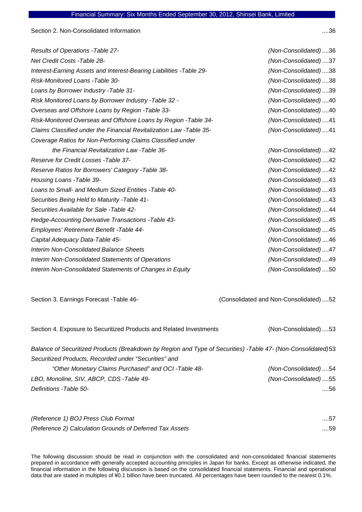Section 2. Non-Consolidated Information ....36

| Results of Operations - Table 27-                                    | (Non-Consolidated)36 |
|----------------------------------------------------------------------|----------------------|
| Net Credit Costs - Table 28-                                         | (Non-Consolidated)37 |
| Interest-Earning Assets and Interest-Bearing Liabilities - Table 29- | (Non-Consolidated)38 |
| Risk-Monitored Loans - Table 30-                                     | (Non-Consolidated)38 |
| Loans by Borrower Industry - Table 31-                               | (Non-Consolidated)39 |
| Risk Monitored Loans by Borrower Industry - Table 32 -               | (Non-Consolidated)40 |
| Overseas and Offshore Loans by Region - Table 33-                    | (Non-Consolidated)40 |
| Risk-Monitored Overseas and Offshore Loans by Region - Table 34-     | (Non-Consolidated)41 |
| Claims Classified under the Financial Revitalization Law -Table 35-  | (Non-Consolidated)41 |
| Coverage Ratios for Non-Performing Claims Classified under           |                      |
| the Financial Revitalization Law -Table 36-                          | (Non-Consolidated)42 |
| Reserve for Credit Losses - Table 37-                                | (Non-Consolidated)42 |
| Reserve Ratios for Borrowers' Category - Table 38-                   | (Non-Consolidated)42 |
| Housing Loans - Table 39-                                            | (Non-Consolidated)43 |
| Loans to Small- and Medium Sized Entities - Table 40-                | (Non-Consolidated)43 |
| Securities Being Held to Maturity - Table 41-                        | (Non-Consolidated)43 |
| Securities Available for Sale - Table 42-                            | (Non-Consolidated)44 |
| Hedge-Accounting Derivative Transactions - Table 43-                 | (Non-Consolidated)45 |
| Employees' Retirement Benefit - Table 44-                            | (Non-Consolidated)45 |
| Capital Adequacy Data-Table 45-                                      | (Non-Consolidated)46 |
| <b>Interim Non-Consolidated Balance Sheets</b>                       | (Non-Consolidated)47 |
| Interim Non-Consolidated Statements of Operations                    | (Non-Consolidated)49 |
| Interim Non-Consolidated Statements of Changes in Equity             | (Non-Consolidated)50 |
|                                                                      |                      |

Section 3. Earnings Forecast -Table 46-<br>
(Consolidated and Non-Consolidated) ....52

| Section 4. Exposure to Securitized Products and Related Investments                                          | (Non-Consolidated)53 |
|--------------------------------------------------------------------------------------------------------------|----------------------|
| Balance of Securitized Products (Breakdown by Region and Type of Securities) -Table 47- (Non-Consolidated)53 |                      |
| Securitized Products, Recorded under "Securities" and                                                        |                      |
| "Other Monetary Claims Purchased" and OCI -Table 48-                                                         | (Non-Consolidated)54 |
| LBO, Monoline, SIV, ABCP, CDS -Table 49-                                                                     | (Non-Consolidated)55 |
| Definitions - Table 50-                                                                                      | ….56                 |

| (Reference 1) BOJ Press Club Format                      | $\dots$ 57 |
|----------------------------------------------------------|------------|
| (Reference 2) Calculation Grounds of Deferred Tax Assets | $\dots$ 59 |

The following discussion should be read in conjunction with the consolidated and non-consolidated financial statements prepared in accordance with generally accepted accounting principles in Japan for banks. Except as otherwise indicated, the financial information in the following discussion is based on the consolidated financial statements. Financial and operational data that are stated in multiples of ¥0.1 billion have been truncated. All percentages have been rounded to the nearest 0.1%.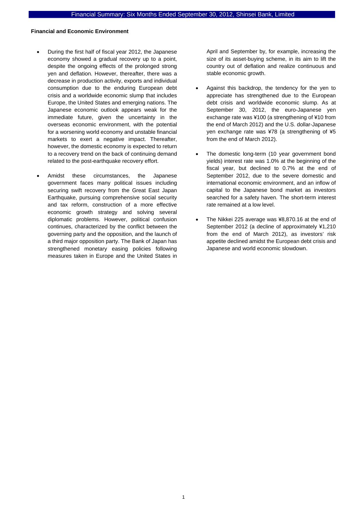### **Financial and Economic Environment**

- During the first half of fiscal year 2012, the Japanese economy showed a gradual recovery up to a point, despite the ongoing effects of the prolonged strong yen and deflation. However, thereafter, there was a decrease in production activity, exports and individual consumption due to the enduring European debt crisis and a worldwide economic slump that includes Europe, the United States and emerging nations. The Japanese economic outlook appears weak for the immediate future, given the uncertainty in the overseas economic environment, with the potential for a worsening world economy and unstable financial markets to exert a negative impact. Thereafter, however, the domestic economy is expected to return to a recovery trend on the back of continuing demand related to the post-earthquake recovery effort.
- Amidst these circumstances, the Japanese government faces many political issues including securing swift recovery from the Great East Japan Earthquake, pursuing comprehensive social security and tax reform, construction of a more effective economic growth strategy and solving several diplomatic problems. However, political confusion continues, characterized by the conflict between the governing party and the opposition, and the launch of a third major opposition party. The Bank of Japan has strengthened monetary easing policies following measures taken in Europe and the United States in

April and September by, for example, increasing the size of its asset-buying scheme, in its aim to lift the country out of deflation and realize continuous and stable economic growth.

- Against this backdrop, the tendency for the yen to appreciate has strengthened due to the European debt crisis and worldwide economic slump. As at September 30, 2012, the euro-Japanese yen exchange rate was ¥100 (a strengthening of ¥10 from the end of March 2012) and the U.S. dollar-Japanese yen exchange rate was ¥78 (a strengthening of ¥5 from the end of March 2012).
- The domestic long-term (10 year government bond yields) interest rate was 1.0% at the beginning of the fiscal year, but declined to 0.7% at the end of September 2012, due to the severe domestic and international economic environment, and an inflow of capital to the Japanese bond market as investors searched for a safety haven. The short-term interest rate remained at a low level.
- The Nikkei 225 average was ¥8,870.16 at the end of September 2012 (a decline of approximately ¥1,210 from the end of March 2012), as investors' risk appetite declined amidst the European debt crisis and Japanese and world economic slowdown.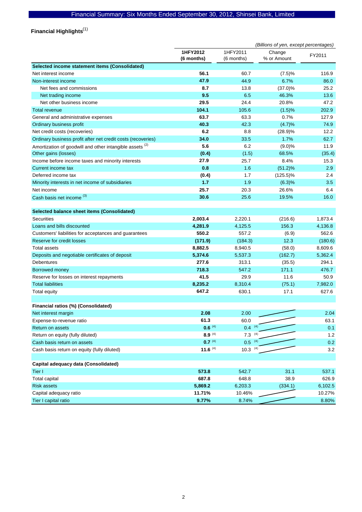Financial Highlights<sup>(1)</sup>

|                                                              | (Billions of yen, except percentages) |                        |                       |         |
|--------------------------------------------------------------|---------------------------------------|------------------------|-----------------------|---------|
|                                                              | 1HFY2012<br>(6 months)                | 1HFY2011<br>(6 months) | Change<br>% or Amount | FY2011  |
| Selected income statement items (Consolidated)               |                                       |                        |                       |         |
| Net interest income                                          | 56.1                                  | 60.7                   | (7.5)%                | 116.9   |
| Non-interest income                                          | 47.9                                  | 44.9                   | 6.7%                  | 86.0    |
| Net fees and commissions                                     | 8.7                                   | 13.8                   | (37.0)%               | 25.2    |
| Net trading income                                           | 9.5                                   | 6.5                    | 46.3%                 | 13.6    |
| Net other business income                                    | 29.5                                  | 24.4                   | 20.8%                 | 47.2    |
| <b>Total revenue</b>                                         | 104.1                                 | 105.6                  | (1.5)%                | 202.9   |
| General and administrative expenses                          | 63.7                                  | 63.3                   | 0.7%                  | 127.9   |
| Ordinary business profit                                     | 40.3                                  | 42.3                   | (4.7)%                | 74.9    |
| Net credit costs (recoveries)                                | 6.2                                   | 8.8                    | (28.9)%               | 12.2    |
| Ordinary business profit after net credit costs (recoveries) | 34.0                                  | 33.5                   | 1.7%                  | 62.7    |
| Amortization of goodwill and other intangible assets (2)     | 5.6                                   | 6.2                    | (9.0)%                | 11.9    |
| Other gains (losses)                                         | (0.4)                                 | (1.5)                  | 68.5%                 | (35.4)  |
| Income before income taxes and minority interests            | 27.9                                  | 25.7                   | 8.4%                  | 15.3    |
| Current income tax                                           | 0.8                                   | 1.6                    | (51.2)%               | 2.9     |
| Deferred income tax                                          | (0.4)                                 | 1.7                    | $(125.5)\%$           | 2.4     |
| Minority interests in net income of subsidiaries             | $1.7$                                 | 1.9                    | (6.3)%                | 3.5     |
| Net income                                                   | 25.7                                  | 20.3                   | 26.6%                 | 6.4     |
| Cash basis net income (3)                                    | 30.6                                  | 25.6                   | 19.5%                 | 16.0    |
|                                                              |                                       |                        |                       |         |
| Selected balance sheet items (Consolidated)                  |                                       |                        |                       |         |
| <b>Securities</b>                                            | 2,003.4                               | 2,220.1                | (216.6)               | 1,873.4 |
| Loans and bills discounted                                   | 4,281.9                               | 4,125.5                | 156.3                 | 4,136.8 |
| Customers' liabilities for acceptances and guarantees        | 550.2                                 | 557.2                  | (6.9)                 | 562.6   |
| Reserve for credit losses                                    | (171.9)                               | (184.3)                | 12.3                  | (180.6) |
| <b>Total assets</b>                                          | 8,882.5                               | 8,940.5                | (58.0)                | 8,609.6 |
| Deposits and negotiable certificates of deposit              | 5,374.6                               | 5,537.3                | (162.7)               | 5,362.4 |
| Debentures                                                   | 277.6                                 | 313.1                  | (35.5)                | 294.1   |
| Borrowed money                                               | 718.3                                 | 547.2                  | 171.1                 | 476.7   |
| Reserve for losses on interest repayments                    | 41.5                                  | 29.9                   | 11.6                  | 50.9    |
| <b>Total liabilities</b>                                     | 8,235.2                               | 8,310.4                | (75.1)                | 7,982.0 |
| <b>Total equity</b>                                          | 647.2                                 | 630.1                  | 17.1                  | 627.6   |
|                                                              |                                       |                        |                       |         |
| Financial ratios (%) (Consolidated)                          |                                       |                        |                       |         |
| Net interest margin                                          | 2.08                                  | 2.00                   |                       | 2.04    |
| Expense-to-revenue ratio                                     | 61.3                                  | 60.0                   |                       | 63.1    |
| Return on assets                                             | $0.6^{(4)}$                           | $0.4$ (4)              |                       | 0.1     |
| Return on equity (fully diluted)                             | $8.9^{(4)}$                           | $7.3^{(4)}$            |                       | 1.2     |
| Cash basis return on assets                                  | $0.7^{(4)}$                           | $0.5^{(4)}$            |                       | 0.2     |
| Cash basis return on equity (fully diluted)                  | 11.6 $(4)$                            | $10.3$ (4)             |                       | 3.2     |
| Capital adequacy data (Consolidated)                         |                                       |                        |                       |         |
| Tier I                                                       | 573.8                                 | 542.7                  | 31.1                  | 537.1   |
| <b>Total capital</b>                                         | 687.8                                 | 648.8                  | 38.9                  | 626.9   |
| <b>Risk assets</b>                                           | 5,869.2                               | 6,203.3                | (334.1)               | 6,102.5 |
| Capital adequacy ratio                                       | 11.71%                                | 10.46%                 |                       | 10.27%  |
| Tier I capital ratio                                         | 9.77%                                 | 8.74%                  |                       | 8.80%   |
|                                                              |                                       |                        |                       |         |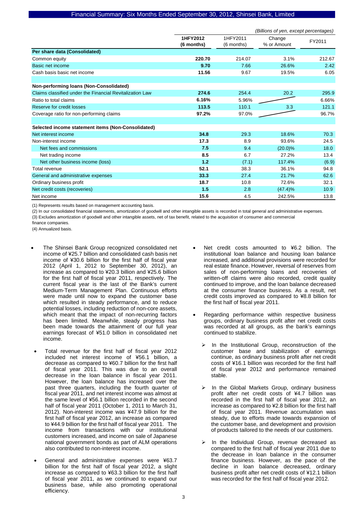|                                                          | (Billions of yen, except percentages) |                        |                       |        |
|----------------------------------------------------------|---------------------------------------|------------------------|-----------------------|--------|
|                                                          | 1HFY2012<br>(6 months)                | 1HFY2011<br>(6 months) | Change<br>% or Amount | FY2011 |
| Per share data (Consolidated)                            |                                       |                        |                       |        |
| Common equity                                            | 220.70                                | 214.07                 | 3.1%                  | 212.67 |
| Basic net income                                         | 9.70                                  | 7.66                   | 26.6%                 | 2.42   |
| Cash basis basic net income                              | 11.56                                 | 9.67                   | 19.5%                 | 6.05   |
|                                                          |                                       |                        |                       |        |
| Non-performing loans (Non-Consolidated)                  |                                       |                        |                       |        |
| Claims classified under the Financial Revitalization Law | 274.6                                 | 254.4                  | 20.2                  | 295.9  |
| Ratio to total claims                                    | 6.16%                                 | 5.96%                  |                       | 6.66%  |
| Reserve for credit losses                                | 113.5                                 | 110.1                  | 3.3                   | 121.1  |
| Coverage ratio for non-performing claims                 | 97.2%                                 | 97.0%                  |                       | 96.7%  |
|                                                          |                                       |                        |                       |        |
| Selected income statement items (Non-Consolidated)       |                                       |                        |                       |        |
| Net interest income                                      | 34.8                                  | 29.3                   | 18.6%                 | 70.3   |
| Non-interest income                                      | 17.3                                  | 8.9                    | 93.6%                 | 24.5   |
| Net fees and commissions                                 | 7.5                                   | 9.4                    | $(20.0)\%$            | 18.0   |
| Net trading income                                       | 8.5                                   | 6.7                    | 27.2%                 | 13.4   |
| Net other business income (loss)                         | 1.2                                   | (7.1)                  | 117.4%                | (6.9)  |
| Total revenue                                            | 52.1                                  | 38.3                   | 36.1%                 | 94.8   |
| General and administrative expenses                      | 33.3                                  | 27.4                   | 21.7%                 | 62.6   |
| Ordinary business profit                                 | 18.7                                  | 10.8                   | 72.6%                 | 32.1   |
| Net credit costs (recoveries)                            | 1.5                                   | 2.8                    | (47.4)%               | 10.9   |
| Net income                                               | 15.6                                  | 4.5                    | 242.5%                | 13.8   |

(1) Represents results based on management accounting basis.

(2) In our consolidated financial statements, amortization of goodwill and other intangible assets is recorded in total general and administrative expenses. (3) Excludes amortization of goodwill and other intangible assets, net of tax benefit, related to the acquisition of consumer and commercial

finance companies.

(4) Annualized basis.

- The Shinsei Bank Group recognized consolidated net income of ¥25.7 billion and consolidated cash basis net income of ¥30.6 billion for the first half of fiscal year 2012 (April 1, 2012 to September 30, 2012), an increase as compared to ¥20.3 billion and ¥25.6 billion for the first half of fiscal year 2011, respectively. The current fiscal year is the last of the Bank's current Medium-Term Management Plan. Continuous efforts were made until now to expand the customer base which resulted in steady performance, and to reduce potential losses, including reduction of non-core assets, which meant that the impact of non-recurring factors has been limited. Meanwhile, steady progress has been made towards the attainment of our full year earnings forecast of ¥51.0 billion in consolidated net income.
- Total revenue for the first half of fiscal year 2012 included net interest income of ¥56.1 billion, a decrease as compared to ¥60.7 billion for the first half of fiscal year 2011. This was due to an overall decrease in the loan balance in fiscal year 2011. However, the loan balance has increased over the past three quarters, including the fourth quarter of fiscal year 2011, and net interest income was almost at the same level of ¥56.1 billion recorded in the second half of fiscal year 2011 (October 1, 2011 to March 31, 2012). Non-interest income was ¥47.9 billion for the first half of fiscal year 2012, an increase as compared to ¥44.9 billion for the first half of fiscal year 2011. The income from transactions with our institutional customers increased, and income on sale of Japanese national government bonds as part of ALM operations also contributed to non-interest income.
- General and administrative expenses were ¥63.7 billion for the first half of fiscal year 2012, a slight increase as compared to ¥63.3 billion for the first half of fiscal year 2011, as we continued to expand our business base, while also promoting operational efficiency.
- Net credit costs amounted to ¥6.2 billion. The institutional loan balance and housing loan balance increased, and additional provisions were recorded for real estate finance. However, reversal of reserves from sales of non-performing loans and recoveries of written-off claims were also recorded, credit quality continued to improve, and the loan balance decreased at the consumer finance business. As a result, net credit costs improved as compared to ¥8.8 billion for the first half of fiscal year 2011.
- Regarding performance within respective business groups, ordinary business profit after net credit costs was recorded at all groups, as the bank's earnings continued to stabilize.
	- In the Institutional Group, reconstruction of the customer base and stabilization of earnings continue, as ordinary business profit after net credit costs of ¥16.1 billion was recorded for the first half of fiscal year 2012 and performance remained stable.
	- In the Global Markets Group, ordinary business profit after net credit costs of ¥4.7 billion was recorded in the first half of fiscal year 2012, an increase as compared to ¥2.8 billion for the first half of fiscal year 2011. Revenue accumulation was steady, due to efforts made towards expansion of the customer base, and development and provision of products tailored to the needs of our customers.
	- In the Individual Group, revenue decreased as compared to the first half of fiscal year 2011 due to the decrease in loan balance in the consumer finance business. However, as the pace of the decline in loan balance decreased, ordinary business profit after net credit costs of ¥12.1 billion was recorded for the first half of fiscal year 2012.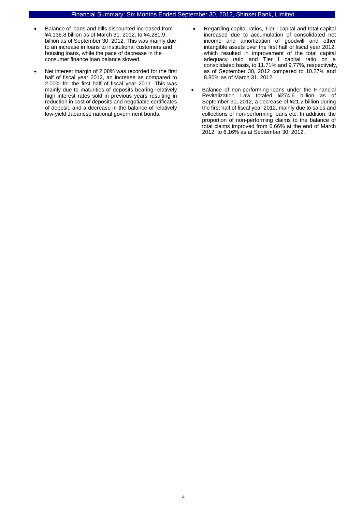- Balance of loans and bills discounted increased from ¥4,136.8 billion as of March 31, 2012, to ¥4,281.9 billion as of September 30, 2012. This was mainly due to an increase in loans to institutional customers and housing loans, while the pace of decrease in the consumer finance loan balance slowed.
- Net interest margin of 2.08% was recorded for the first half of fiscal year 2012, an increase as compared to 2.00% for the first half of fiscal year 2011. This was mainly due to maturities of deposits bearing relatively high interest rates sold in previous years resulting in reduction in cost of deposits and negotiable certificates of deposit, and a decrease in the balance of relatively low-yield Japanese national government bonds.
- Regarding capital ratios, Tier I capital and total capital increased due to accumulation of consolidated net income and amortization of goodwill and other intangible assets over the first half of fiscal year 2012, which resulted in improvement of the total capital adequacy ratio and Tier I capital ratio on a consolidated basis, to 11.71% and 9.77%, respectively, as of September 30, 2012 compared to 10.27% and 8.80% as of March 31, 2012.
- Balance of non-performing loans under the Financial Revitalization Law totaled ¥274.6 billion as of September 30, 2012, a decrease of ¥21.2 billion during the first half of fiscal year 2012, mainly due to sales and collections of non-performing loans etc. In addition, the proportion of non-performing claims to the balance of total claims improved from 6.66% at the end of March 2012, to 6.16% as at September 30, 2012.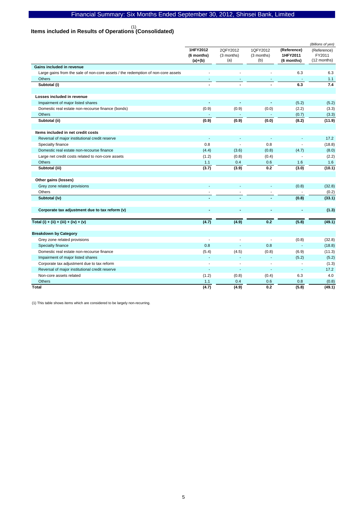# **Items included in Results of Operations (Consolidated)**  (1)

|                                                                                  |                                     |                               |                               |                                       | (Billions of yen)                    |
|----------------------------------------------------------------------------------|-------------------------------------|-------------------------------|-------------------------------|---------------------------------------|--------------------------------------|
|                                                                                  | 1HFY2012<br>(6 months)<br>$(a)+(b)$ | 2QFY2012<br>(3 months)<br>(a) | 1QFY2012<br>(3 months)<br>(b) | (Reference)<br>1HFY2011<br>(6 months) | (Reference)<br>FY2011<br>(12 months) |
| Gains included in revenue                                                        |                                     |                               |                               |                                       |                                      |
| Large gains from the sale of non-core assets / the redemption of non-core assets |                                     |                               |                               | 6.3                                   | 6.3                                  |
| Others                                                                           |                                     |                               |                               |                                       | 1.1                                  |
| Subtotal (i)                                                                     | $\blacksquare$                      |                               |                               | 6.3                                   | 7.4                                  |
| Losses included in revenue                                                       |                                     |                               |                               |                                       |                                      |
| Impairment of major listed shares                                                | ÷                                   | $\mathbf{r}$                  | $\sim$                        | (5.2)                                 | (5.2)                                |
| Domestic real estate non-recourse finance (bonds)                                | (0.9)                               | (0.9)                         | (0.0)                         | (2.2)                                 | (3.3)                                |
| <b>Others</b>                                                                    |                                     |                               |                               | (0.7)                                 | (3.3)                                |
| Subtotal (ii)                                                                    | (0.9)                               | (0.9)                         | (0.0)                         | (8.2)                                 | (11.9)                               |
| Items included in net credit costs                                               |                                     |                               |                               |                                       |                                      |
| Reversal of major institutional credit reserve                                   | ÷.                                  | $\overline{\phantom{a}}$      |                               | $\overline{a}$                        | 17.2                                 |
| Specialty finance                                                                | 0.8                                 |                               | 0.8                           |                                       | (18.8)                               |
| Domestic real estate non-recourse finance                                        | (4.4)                               | (3.6)                         | (0.8)                         | (4.7)                                 | (8.0)                                |
| Large net credit costs related to non-core assets                                | (1.2)                               | (0.8)                         | (0.4)                         | ÷,                                    | (2.2)                                |
| Others                                                                           | 1.1                                 | 0.4                           | 0.6                           | 1.6                                   | 1.6                                  |
| Subtotal (iii)                                                                   | (3.7)                               | (3.9)                         | 0.2                           | (3.0)                                 | (10.1)                               |
| Other gains (losses)                                                             |                                     |                               |                               |                                       |                                      |
| Grey zone related provisions                                                     |                                     |                               |                               | (0.8)                                 | (32.8)                               |
| Others                                                                           |                                     |                               |                               |                                       | (0.2)                                |
| Subtotal (iv)                                                                    |                                     |                               |                               | (0.8)                                 | (33.1)                               |
| Corporate tax adjustment due to tax reform (v)                                   | ٠                                   | $\sim$                        |                               | ä,                                    | (1.3)                                |
| Total (i) + (ii) + (iii) + (iv) + (v)                                            | (4.7)                               | (4.9)                         | 0.2                           | (5.8)                                 | (49.1)                               |
| <b>Breakdown by Category</b>                                                     |                                     |                               |                               |                                       |                                      |
| Grey zone related provisions                                                     |                                     |                               |                               | (0.8)                                 | (32.8)                               |
| Specialty finance                                                                | 0.8                                 |                               | 0.8                           | L.                                    | (18.8)                               |
| Domestic real estate non-recourse finance                                        | (5.4)                               | (4.5)                         | (0.8)                         | (6.9)                                 | (11.3)                               |
| Impairment of major listed shares                                                | $\overline{a}$                      | ÷                             | ÷                             | (5.2)                                 | (5.2)                                |
| Corporate tax adjustment due to tax reform                                       | $\overline{\phantom{a}}$            | $\sim$                        | ÷,                            | ÷,                                    | (1.3)                                |
| Reversal of major institutional credit reserve                                   | ÷,                                  | ÷.                            | ä,                            | ÷,                                    | 17.2                                 |
| Non-core assets related                                                          | (1.2)                               | (0.8)                         | (0.4)                         | 6.3                                   | 4.0                                  |
| Others                                                                           | 1.1                                 | 0.4                           | 0.6                           | 0.8                                   | (0.8)                                |
| <b>Total</b>                                                                     | (4.7)                               | (4.9)                         | 0.2                           | (5.8)                                 | (49.1)                               |

(1) This table shows items which are considered to be largely non-recurring.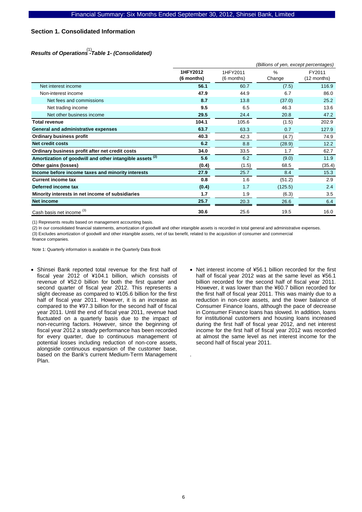### **Section 1. Consolidated Information**

# *Results of Operations -Table 1- (Consolidated)*  (1)

|                                                                     | (Billions of yen, except percentages) |            |               |             |  |
|---------------------------------------------------------------------|---------------------------------------|------------|---------------|-------------|--|
|                                                                     | 1HFY2012                              | 1HFY2011   | $\frac{0}{0}$ | FY2011      |  |
|                                                                     | (6 months)                            | (6 months) | Change        | (12 months) |  |
| Net interest income                                                 | 56.1                                  | 60.7       | (7.5)         | 116.9       |  |
| Non-interest income                                                 | 47.9                                  | 44.9       | 6.7           | 86.0        |  |
| Net fees and commissions                                            | 8.7                                   | 13.8       | (37.0)        | 25.2        |  |
| Net trading income                                                  | 9.5                                   | 6.5        | 46.3          | 13.6        |  |
| Net other business income                                           | 29.5                                  | 24.4       | 20.8          | 47.2        |  |
| <b>Total revenue</b>                                                | 104.1                                 | 105.6      | (1.5)         | 202.9       |  |
| <b>General and administrative expenses</b>                          | 63.7                                  | 63.3       | 0.7           | 127.9       |  |
| <b>Ordinary business profit</b>                                     | 40.3                                  | 42.3       | (4.7)         | 74.9        |  |
| <b>Net credit costs</b>                                             | 6.2                                   | 8.8        | (28.9)        | 12.2        |  |
| Ordinary business profit after net credit costs                     | 34.0                                  | 33.5       | 1.7           | 62.7        |  |
| Amortization of goodwill and other intangible assets <sup>(2)</sup> | 5.6                                   | 6.2        | (9.0)         | 11.9        |  |
| Other gains (losses)                                                | (0.4)                                 | (1.5)      | 68.5          | (35.4)      |  |
| Income before income taxes and minority interests                   | 27.9                                  | 25.7       | 8.4           | 15.3        |  |
| <b>Current income tax</b>                                           | 0.8                                   | 1.6        | (51.2)        | 2.9         |  |
| Deferred income tax                                                 | (0.4)                                 | 1.7        | (125.5)       | 2.4         |  |
| Minority interests in net income of subsidiaries                    | 1.7                                   | 1.9        | (6.3)         | 3.5         |  |
| Net income                                                          | 25.7                                  | 20.3       | 26.6          | 6.4         |  |
| (3)<br>Cash basis net income                                        | 30.6                                  | 25.6       | 19.5          | 16.0        |  |

(1) Represents results based on management accounting basis.

(2) In our consolidated financial statements, amortization of goodwill and other intangible assets is recorded in total general and administrative expenses. (3) Excludes amortization of goodwill and other intangible assets, net of tax benefit, related to the acquisition of consumer and commercial finance companies.

Note 1: Quarterly information is available in the Quarterly Data Book

- Shinsei Bank reported total revenue for the first half of fiscal year 2012 of ¥104.1 billion, which consists of revenue of ¥52.0 billion for both the first quarter and second quarter of fiscal year 2012. This represents a slight decrease as compared to ¥105.6 billion for the first half of fiscal year 2011. However, it is an increase as compared to the ¥97.3 billion for the second half of fiscal year 2011. Until the end of fiscal year 2011, revenue had fluctuated on a quarterly basis due to the impact of non-recurring factors. However, since the beginning of fiscal year 2012 a steady performance has been recorded for every quarter, due to continuous management of potential losses including reduction of non-core assets, alongside continuous expansion of the customer base, based on the Bank's current Medium-Term Management Plan.
- Net interest income of ¥56.1 billion recorded for the first half of fiscal year 2012 was at the same level as ¥56.1 billion recorded for the second half of fiscal year 2011. However, it was lower than the ¥60.7 billion recorded for the first half of fiscal year 2011. This was mainly due to a reduction in non-core assets, and the lower balance of Consumer Finance loans, although the pace of decrease in Consumer Finance loans has slowed. In addition, loans for institutional customers and housing loans increased during the first half of fiscal year 2012, and net interest income for the first half of fiscal year 2012 was recorded at almost the same level as net interest income for the second half of fiscal year 2011.

.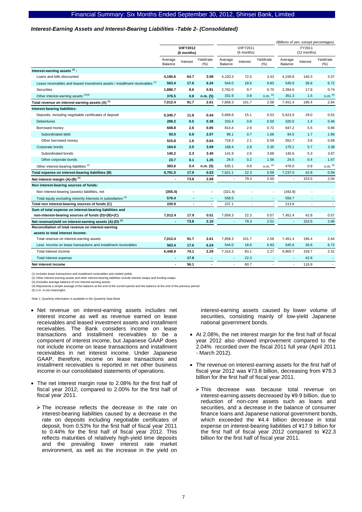#### *Interest-Earning Assets and Interest-Bearing Liabilities -Table 2- (Consolidated)*

|                                                                                         |                                 |                        |                          |                        |                |                       |                    |                             | (Billions of yen, except percentages) |
|-----------------------------------------------------------------------------------------|---------------------------------|------------------------|--------------------------|------------------------|----------------|-----------------------|--------------------|-----------------------------|---------------------------------------|
|                                                                                         |                                 | 1HFY2012<br>(6 months) |                          | 1HFY2011<br>(6 months) |                | FY2011<br>(12 months) |                    |                             |                                       |
|                                                                                         | Average<br>Balance              | Interest               | Yield/rate<br>(%)        | Average<br>Balance     | Interest       | Yield/rate<br>(%)     | Average<br>Balance | Interest                    | Yield/rate<br>(%)                     |
| Interest-earning assets (1):                                                            |                                 |                        |                          |                        |                |                       |                    |                             |                                       |
| Loans and bills discounted                                                              | 4,185.6                         | 64.7                   | 3.08                     | 4,220.3                | 72.5           | 3.43                  | 4,159.8            | 140.3                       | 3.37                                  |
| Lease receivables and leased investment assets / installment receivables (1)            | 563.4                           | 17.6                   | 6.24                     | 544.0                  | 18.6           | 6.83                  | 545.6              | 36.6                        | 6.72                                  |
| Securities                                                                              | 1,886.7                         | 8.6                    | 0.91                     | 2,762.0                | 9.7            | 0.70                  | 2,394.6            | 17.8                        | 0.74                                  |
| Other interest-earning assets (2)(3)                                                    | 376.5                           | 0.8                    | n.m. (5)                 | 331.9                  | 0.8            | $n.m.$ $(5)$          | 351.3              | 1.5                         | $n.m.$ (5)                            |
| Total revenue on interest-earning assets (A) <sup>(1)</sup>                             | 7,012.4                         | 91.7                   | 2.61                     | 7,858.3                | 101.7          | 2.58                  | 7,451.4            | 196.4                       | 2.64                                  |
| Interest-bearing liabilities:                                                           |                                 |                        |                          |                        |                |                       |                    |                             |                                       |
| Deposits, including negotiable certificates of deposit                                  | 5,345.7                         | 11.8                   | 0.44                     | 5,669.6                | 15.1           | 0.53                  | 5,623.5            | 29.0                        | 0.52                                  |
| <b>Debentures</b>                                                                       | 289.2                           | 0.5                    | 0.38                     | 333.4                  | 0.8            | 0.50                  | 320.5              | 1.4                         | 0.46                                  |
| Borrowed money                                                                          | 608.8                           | 2.6                    | 0.85                     | 814.4                  | 2.9            | 0.72                  | 647.2              | 5.5                         | 0.86                                  |
| Subordinated debt                                                                       | 93.0                            | 0.9                    | 2.07                     | 96.1                   | 0.7            | 1.66                  | 94.5               | 1.7                         | 1.86                                  |
| Other borrowed money                                                                    | 515.8                           | 1.6                    | 0.64                     | 718.3                  | 2.1            | 0.59                  | 552.7              | 3.8                         | 0.69                                  |
| Corporate bonds                                                                         | 164.0                           | 2.5                    | 3.09                     | 168.4                  | 2.8            | 3.35                  | 170.1              | 5.7                         | 3.38                                  |
| Subordinated bonds                                                                      | 140.2                           | 2.3                    | 3.40                     | 141.9                  | 2.6            | 3.68                  | 145.6              | 5.3                         | 3.67                                  |
| Other corporate bonds                                                                   | 23.7                            | 0.1                    | 1.25                     | 26.5                   | 0.2            | 1.56                  | 24.5               | 0.4                         | 1.67                                  |
| Other interest-bearing liabilities <sup>(2)</sup>                                       | 383.6                           | 0.4                    | n.m. (5)                 | 635.1                  | 0.6            | $n.m.$ $(5)$          | 476.0              | 0.9                         | $n.m.$ $(5)$                          |
| Total expense on interest-bearing liabilities (B)                                       | 6,791.5                         | 17.9                   | 0.53                     | 7,621.1                | 22.3           | 0.59                  | 7,237.5            | 42.8                        | 0.59                                  |
| Net interest margin (A)-(B) <sup>(1)</sup>                                              |                                 | 73.8                   | 2.08                     | ÷.                     | 79.3           | 2.00                  | ÷.                 | 153.5                       | 2.04                                  |
| Non interest-bearing sources of funds:                                                  |                                 |                        |                          |                        |                |                       |                    |                             |                                       |
| Non interest-bearing (assets) liabilities, net                                          | (355.4)                         |                        | ٠                        | (321.4)                | ä,             |                       | (342.8)            |                             | ÷,                                    |
| Total equity excluding minority interests in subsidiaries (4)                           | 576.4                           | ٠                      | $\overline{\phantom{a}}$ | 558.5                  | $\blacksquare$ |                       | 556.7              | $\sim$                      | $\overline{\phantom{a}}$              |
| Total non interest-bearing sources of funds (C)                                         | 220.9                           | $\blacksquare$         | $\blacksquare$           | 237.1                  | $\mathbf{r}$   | ÷,                    | 213.8              | $\mathcal{L}_{\mathcal{A}}$ | $\blacksquare$                        |
| Sum of total expense on interest-bearing liabilities and                                |                                 |                        |                          |                        |                |                       |                    |                             |                                       |
| non-interest-bearing sources of funds (D)=(B)+(C)                                       | 7,012.4                         | 17.9                   | 0.51                     | 7,858.3                | 22.3           | 0.57                  | 7,451.4            | 42.8                        | 0.57                                  |
| Net revenue/yield on interest-earning assets (A)-(D) <sup>(1)</sup>                     |                                 | 73.8                   | 2.10                     | ÷,                     | 79.3           | 2.01                  |                    | 153.5                       | 2.06                                  |
| Reconciliation of total revenue on interest-earning<br>assets to total interest income: |                                 |                        |                          |                        |                |                       |                    |                             |                                       |
| Total revenue on interest-earning assets                                                | 7,012.4                         | 91.7                   | 2.61                     | 7,858.3                | 101.7          | 2.58                  | 7,451.4            | 196.4                       | 2.64                                  |
| Less: Income on lease transactions and installment receivables                          | 563.4                           | 17.6                   | 6.24                     | 544.0                  | 18.6           | 6.83                  | 545.6              | 36.6                        | 6.72                                  |
| Total interest income                                                                   | 6,448.9                         | 74.1                   | 2.29                     | 7,314.2                | 83.1           | 2.27                  | 6,905.7            | 159.7                       | 2.31                                  |
| Total interest expense                                                                  | $\overline{\phantom{a}}$        | 17.9                   | $\blacksquare$           |                        | 22.3           |                       |                    | 42.8                        |                                       |
| Net interest income                                                                     | $\centering \label{eq:reduced}$ | 56.1                   | $\overline{\phantom{a}}$ | $\sim$                 | 60.7           |                       | $\blacksquare$     | 116.9                       | $\blacksquare$                        |
|                                                                                         |                                 |                        |                          |                        |                |                       |                    |                             |                                       |

(1) Includes lease transactions and installment receivables and related yields.

(2) Other interest-earning assets and other interest-bearing liabilities include interest swaps and funding swaps. (3) Excludes average balance of non interest-earning assets.

(4) Represents a simple average of the balance at the end of the current period and the balance at the end of the previous period.

(5) n.m. is not meaningful.

Note 1: Quarterly information is available in the Quarterly Data Book

- Net revenue on interest-earning assets includes net interest income as well as revenue earned on lease receivables and leased investment assets and installment receivables. The Bank considers income on lease transactions and installment receivables to be a component of interest income, but Japanese GAAP does not include income on lease transactions and installment receivables in net interest income. Under Japanese GAAP, therefore, income on lease transactions and installment receivables is reported in net other business income in our consolidated statements of operations.
- The net interest margin rose to 2.08% for the first half of fiscal year 2012, compared to 2.00% for the first half of fiscal year 2011.
	- $\triangleright$  The increase reflects the decrease in the rate on interest-bearing liabilities caused by a decrease in the rate on deposits including negotiable certificates of deposit, from 0.53% for the first half of fiscal year 2011 to 0.44% for the first half of fiscal year 2012. This reflects maturities of relatively high-yield time deposits and the prevailing lower interest rate market environment, as well as the increase in the yield on

interest-earning assets caused by lower volume of securities, consisting mainly of low-yield Japanese national government bonds.

- At 2.08%, the net interest margin for the first half of fiscal year 2012 also showed improvement compared to the 2.04% recorded over the fiscal 2011 full year (April 2011 - March 2012).
- The revenue on interest-earning assets for the first half of fiscal year 2012 was ¥73.8 billion, decreasing from ¥79.3 billion for the first half of fiscal year 2011.
	- ¾ This decrease was because total revenue on interest-earning assets decreased by ¥9.9 billion, due to reduction of non-core assets such as loans and securities, and a decrease in the balance of consumer finance loans and Japanese national government bonds, which exceeded the ¥4.4 billion decrease in total expense on interest-bearing liabilities of ¥17.9 billion for the first half of fiscal year 2012 compared to ¥22.3 billion for the first half of fiscal year 2011.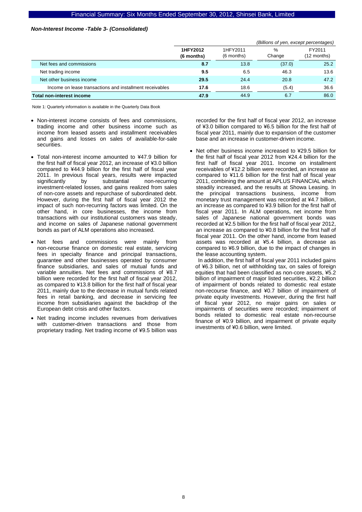#### *Non-Interest Income -Table 3- (Consolidated)*

|                                                          |                        | (Billions of yen, except percentages) |                         |      |  |
|----------------------------------------------------------|------------------------|---------------------------------------|-------------------------|------|--|
|                                                          | 1HFY2012<br>(6 months) | 1HFY2011<br>(6 months)                | FY2011<br>$(12$ months) |      |  |
| Net fees and commissions                                 | 8.7                    | 13.8                                  | (37.0)                  | 25.2 |  |
| Net trading income                                       | 9.5                    | 6.5                                   | 46.3                    | 13.6 |  |
| Net other business income                                | 29.5                   | 24.4                                  | 20.8                    | 47.2 |  |
| Income on lease transactions and installment receivables | 17.6                   | 18.6                                  | (5.4)                   | 36.6 |  |
| Total non-interest income                                | 47.9                   | 44.9                                  | 6.7                     | 86.0 |  |

Note 1: Quarterly information is available in the Quarterly Data Book

- Non-interest income consists of fees and commissions, trading income and other business income such as income from leased assets and installment receivables and gains and losses on sales of available-for-sale securities.
- Total non-interest income amounted to ¥47.9 billion for the first half of fiscal year 2012, an increase of ¥3.0 billion compared to ¥44.9 billion for the first half of fiscal year 2011. In previous fiscal years, results were impacted significantly by substantial non-recurring investment-related losses, and gains realized from sales of non-core assets and repurchase of subordinated debt. However, during the first half of fiscal year 2012 the impact of such non-recurring factors was limited. On the other hand, in core businesses, the income from transactions with our institutional customers was steady, and income on sales of Japanese national government bonds as part of ALM operations also increased.
- Net fees and commissions were mainly from non-recourse finance on domestic real estate, servicing fees in specialty finance and principal transactions, guarantee and other businesses operated by consumer finance subsidiaries, and sales of mutual funds and variable annuities. Net fees and commissions of ¥8.7 billion were recorded for the first half of fiscal year 2012, as compared to ¥13.8 billion for the first half of fiscal year 2011, mainly due to the decrease in mutual funds related fees in retail banking, and decrease in servicing fee income from subsidiaries against the backdrop of the European debt crisis and other factors.
- Net trading income includes revenues from derivatives with customer-driven transactions and those from proprietary trading. Net trading income of ¥9.5 billion was

recorded for the first half of fiscal year 2012, an increase of ¥3.0 billion compared to ¥6.5 billion for the first half of fiscal year 2011, mainly due to expansion of the customer base and an increase in customer-driven income.

• Net other business income increased to ¥29.5 billion for the first half of fiscal year 2012 from ¥24.4 billion for the first half of fiscal year 2011. Income on installment receivables of ¥12.2 billion were recorded, an increase as compared to ¥11.6 billion for the first half of fiscal year 2011, combining the amount at APLUS FINANCIAL which steadily increased, and the results at Showa Leasing. In the principal transactions business, income from monetary trust management was recorded at ¥4.7 billion, an increase as compared to ¥3.9 billion for the first half of fiscal year 2011. In ALM operations, net income from sales of Japanese national government bonds was recorded at ¥2.5 billion for the first half of fiscal year 2012, an increase as compared to ¥0.8 billion for the first half of fiscal year 2011. On the other hand, income from leased assets was recorded at ¥5.4 billion, a decrease as compared to ¥6.9 billion, due to the impact of changes in the lease accounting system. In addition, the first half of fiscal year 2011 included gains

of ¥6.3 billion, net of withholding tax, on sales of foreign equities that had been classified as non-core assets, ¥5.2 billion of impairment of major listed securities, ¥2.2 billion of impairment of bonds related to domestic real estate non-recourse finance, and ¥0.7 billion of impairment of private equity investments. However, during the first half of fiscal year 2012, no major gains on sales or impairments of securities were recorded; impairment of bonds related to domestic real estate non-recourse finance of ¥0.9 billion, and impairment of private equity investments of ¥0.6 billion, were limited.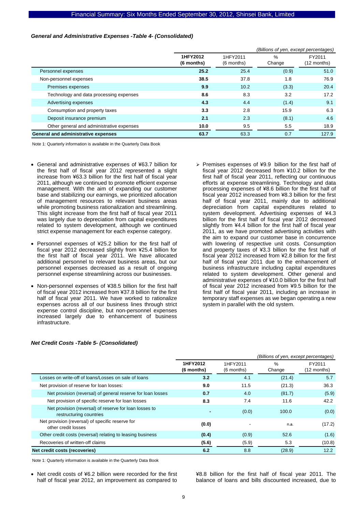#### *General and Administrative Expenses -Table 4- (Consolidated)*

|                                           | (Billions of yen, except percentages) |                                          |       |                       |  |
|-------------------------------------------|---------------------------------------|------------------------------------------|-------|-----------------------|--|
|                                           | 1HFY2012<br>(6 months)                | 1HFY2011<br>$\%$<br>(6 months)<br>Change |       | FY2011<br>(12 months) |  |
| Personnel expenses                        | 25.2                                  | 25.4                                     | (0.9) | 51.0                  |  |
| Non-personnel expenses                    | 38.5                                  | 37.8                                     | 1.8   | 76.9                  |  |
| Premises expenses                         | 9.9                                   | 10.2                                     | (3.3) | 20.4                  |  |
| Technology and data processing expenses   | 8.6                                   | 8.3                                      | 3.2   | 17.2                  |  |
| Advertising expenses                      | 4.3                                   | 4.4                                      | (1.4) | 9.1                   |  |
| Consumption and property taxes            | 3.3                                   | 2.8                                      | 15.9  | 6.3                   |  |
| Deposit insurance premium                 | 2.1                                   | 2.3                                      | (8.1) | 4.6                   |  |
| Other general and administrative expenses | 10.0                                  | 9.5                                      | 5.5   | 18.9                  |  |
| General and administrative expenses       | 63.7                                  | 63.3                                     | 0.7   | 127.9                 |  |

Note 1: Quarterly information is available in the Quarterly Data Book

- General and administrative expenses of ¥63.7 billion for the first half of fiscal year 2012 represented a slight increase from ¥63.3 billion for the first half of fiscal year 2011, although we continued to promote efficient expense management. With the aim of expanding our customer base and stabilizing our earnings, we prioritized allocation of management resources to relevant business areas while promoting business rationalization and streamlining. This slight increase from the first half of fiscal year 2011 was largely due to depreciation from capital expenditures related to system development, although we continued strict expense management for each expense category.
- Personnel expenses of ¥25.2 billion for the first half of fiscal year 2012 decreased slightly from ¥25.4 billion for the first half of fiscal year 2011. We have allocated additional personnel to relevant business areas, but our personnel expenses decreased as a result of ongoing personnel expense streamlining across our businesses.
- Non-personnel expenses of ¥38.5 billion for the first half of fiscal year 2012 increased from ¥37.8 billion for the first half of fiscal year 2011. We have worked to rationalize expenses across all of our business lines through strict expense control discipline, but non-personnel expenses increased largely due to enhancement of business infrastructure.
- $\triangleright$  Premises expenses of ¥9.9 billion for the first half of fiscal year 2012 decreased from ¥10.2 billion for the first half of fiscal year 2011, reflecting our continuous efforts at expense streamlining. Technology and data processing expenses of ¥8.6 billion for the first half of fiscal year 2012 increased from ¥8.3 billion for the first half of fiscal year 2011, mainly due to additional depreciation from capital expenditures related to system development. Advertising expenses of ¥4.3 billion for the first half of fiscal year 2012 decreased slightly from ¥4.4 billion for the first half of fiscal year 2011, as we have promoted advertising activities with the aim to expand our customer base in concurrence with lowering of respective unit costs. Consumption and property taxes of ¥3.3 billion for the first half of fiscal year 2012 increased from ¥2.8 billion for the first half of fiscal year 2011 due to the enhancement of business infrastructure including capital expenditures related to system development. Other general and administrative expenses of ¥10.0 billion for the first half of fiscal year 2012 increased from ¥9.5 billion for the first half of fiscal year 2011, including an increase in temporary staff expenses as we began operating a new system in parallel with the old system.

|                                                                                   | (Billions of yen, except percentages) |                        |                |                       |
|-----------------------------------------------------------------------------------|---------------------------------------|------------------------|----------------|-----------------------|
|                                                                                   | 1HFY2012<br>(6 months)                | 1HFY2011<br>(6 months) | $\%$<br>Change | FY2011<br>(12 months) |
| Losses on write-off of loans/Losses on sale of loans                              | 3.2                                   | 4.1                    | (21.4)         | 5.7                   |
| Net provision of reserve for loan losses:                                         | 9.0                                   | 11.5                   | (21.3)         | 36.3                  |
| Net provision (reversal) of general reserve for loan losses                       | 0.7                                   | 4.0                    | (81.7)         | (5.9)                 |
| Net provision of specific reserve for loan losses                                 | 8.3                                   | 7.4                    | 11.6           | 42.2                  |
| Net provision (reversal) of reserve for loan losses to<br>restructuring countries |                                       | (0.0)                  | 100.0          | (0.0)                 |
| Net provision (reversal) of specific reserve for<br>other credit losses           | (0.0)                                 |                        | n.a.           | (17.2)                |
| Other credit costs (reversal) relating to leasing business                        | (0.4)                                 | (0.9)                  | 52.6           | (1.6)                 |
| Recoveries of written-off claims                                                  | (5.6)                                 | (5.9)                  | 5.3            | (10.8)                |
| Net credit costs (recoveries)                                                     | 6.2                                   | 8.8                    | (28.9)         | 12.2                  |

#### *Net Credit Costs -Table 5- (Consolidated)*

Note 1: Quarterly information is available in the Quarterly Data Book

Net credit costs of ¥6.2 billion were recorded for the first half of fiscal year 2012, an improvement as compared to ¥8.8 billion for the first half of fiscal year 2011. The balance of loans and bills discounted increased, due to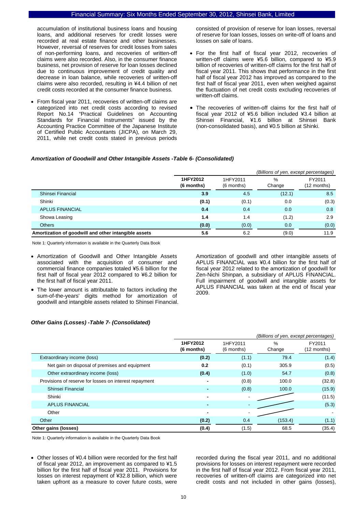accumulation of institutional business loans and housing loans, and additional reserves for credit losses were recorded at real estate finance and other businesses. However, reversal of reserves for credit losses from sales of non-performing loans, and recoveries of written-off claims were also recorded. Also, in the consumer finance business, net provision of reserve for loan losses declined due to continuous improvement of credit quality and decrease in loan balance, while recoveries of written-off claims were also recorded, resulting in ¥4.4 billion of net credit costs recorded at the consumer finance business.

• From fiscal year 2011, recoveries of written-off claims are categorized into net credit costs according to revised Report No.14 "Practical Guidelines on Accounting Standards for Financial Instruments" issued by the Accounting Practice Committee of the Japanese Institute of Certified Public Accountants (JICPA), on March 29, 2011, while net credit costs stated in previous periods

consisted of provision of reserve for loan losses, reversal of reserve for loan losses, losses on write-off of loans and losses on sale of loans.

- For the first half of fiscal year 2012, recoveries of written-off claims were ¥5.6 billion, compared to ¥5.9 billion of recoveries of written-off claims for the first half of fiscal year 2011. This shows that performance in the first half of fiscal year 2012 has improved as compared to the first half of fiscal year 2011, even when weighed against the fluctuation of net credit costs excluding recoveries of written-off claims.
- The recoveries of written-off claims for the first half of fiscal year 2012 of ¥5.6 billion included ¥3.4 billion at Shinsei Financial, ¥1.6 billion at Shinsei Bank (non-consolidated basis), and ¥0.5 billion at Shinki.

#### *Amortization of Goodwill and Other Intangible Assets -Table 6- (Consolidated)*

|                                                      |                        |                        | (Billions of yen, except percentages) |                       |
|------------------------------------------------------|------------------------|------------------------|---------------------------------------|-----------------------|
|                                                      | 1HFY2012<br>(6 months) | 1HFY2011<br>(6 months) | %<br>Change                           | FY2011<br>(12 months) |
| Shinsei Financial                                    | 3.9                    | 4.5                    | (12.1)                                | 8.5                   |
| Shinki                                               | (0.1)                  | (0.1)                  | 0.0                                   | (0.3)                 |
| <b>APLUS FINANCIAL</b>                               | 0.4                    | 0.4                    | 0.0                                   | 0.8                   |
| Showa Leasing                                        | 1.4                    | 1.4                    | (1.2)                                 | 2.9                   |
| <b>Others</b>                                        | (0.0)                  | (0.0)                  | 0.0                                   | (0.0)                 |
| Amortization of goodwill and other intangible assets | 5.6                    | 6.2                    | (9.0)                                 | 11.9                  |

Note 1: Quarterly information is available in the Quarterly Data Book

- Amortization of Goodwill and Other Intangible Assets associated with the acquisition of consumer and commercial finance companies totaled ¥5.6 billion for the first half of fiscal year 2012 compared to ¥6.2 billion for the first half of fiscal year 2011.
- The lower amount is attributable to factors including the sum-of-the-years' digits method for amortization of goodwill and intangible assets related to Shinsei Financial.

Amortization of goodwill and other intangible assets of APLUS FINANCIAL was ¥0.4 billion for the first half of fiscal year 2012 related to the amortization of goodwill for Zen-Nichi Shinpan, a subsidiary of APLUS FINANCIAL. Full impairment of goodwill and intangible assets for APLUS FINANCIAL was taken at the end of fiscal year 2009.

#### *Other Gains (Losses) -Table 7- (Consolidated)*

|                                                        |                        |                        | (Billions of yen, except percentages) |                       |
|--------------------------------------------------------|------------------------|------------------------|---------------------------------------|-----------------------|
|                                                        | 1HFY2012<br>(6 months) | 1HFY2011<br>(6 months) | $\%$<br>Change                        | FY2011<br>(12 months) |
| Extraordinary income (loss)                            | (0.2)                  | (1.1)                  | 79.4                                  | (1.4)                 |
| Net gain on disposal of premises and equipment         | 0.2                    | (0.1)                  | 305.9                                 | (0.5)                 |
| Other extraordinary income (loss)                      | (0.4)                  | (1.0)                  | 54.7                                  | (0.8)                 |
| Provisions of reserve for losses on interest repayment | $\blacksquare$         | (0.8)                  | 100.0                                 | (32.8)                |
| Shinsei Financial                                      |                        | (0.8)                  | 100.0                                 | (15.9)                |
| Shinki                                                 | $\blacksquare$         |                        |                                       | (11.5)                |
| <b>APLUS FINANCIAL</b>                                 |                        |                        |                                       | (5.3)                 |
| Other                                                  | $\blacksquare$         |                        |                                       |                       |
| Other                                                  | (0.2)                  | 0.4                    | (153.4)                               | (1.1)                 |
| Other gains (losses)                                   | (0.4)                  | (1.5)                  | 68.5                                  | (35.4)                |

Note 1: Quarterly information is available in the Quarterly Data Book

• Other losses of ¥0.4 billion were recorded for the first half of fiscal year 2012, an improvement as compared to ¥1.5 billion for the first half of fiscal year 2011. Provisions for losses on interest repayment of ¥32.8 billion, which were taken upfront as a measure to cover future costs, were

recorded during the fiscal year 2011, and no additional provisions for losses on interest repayment were recorded in the first half of fiscal year 2012. From fiscal year 2011, recoveries of written-off claims are categorized into net credit costs and not included in other gains (losses),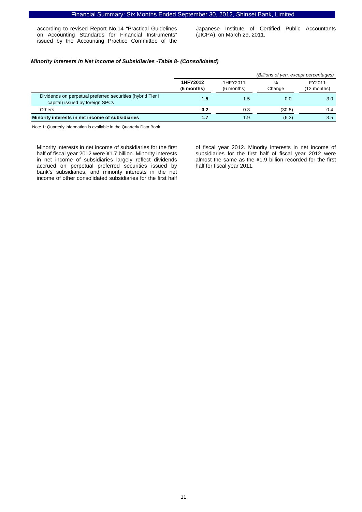according to revised Report No.14 "Practical Guidelines on Accounting Standards for Financial Instruments" issued by the Accounting Practice Committee of the

Japanese Institute of Certified Public Accountants (JICPA), on March 29, 2011.

#### *Minority Interests in Net Income of Subsidiaries -Table 8- (Consolidated)*

|                                                                                               |                        |                        | (Billions of yen, except percentages) |                       |
|-----------------------------------------------------------------------------------------------|------------------------|------------------------|---------------------------------------|-----------------------|
|                                                                                               | 1HFY2012<br>(6 months) | 1HFY2011<br>(6 months) | %<br>Change                           | FY2011<br>(12 months) |
| Dividends on perpetual preferred securities (hybrid Tier I<br>capital) issued by foreign SPCs | 1.5                    | 1.5                    | 0.0                                   | 3.0 <sub>1</sub>      |
| Others                                                                                        | 0.2                    | 0.3                    | (30.8)                                | 0.4                   |
| Minority interests in net income of subsidiaries                                              | 1.7                    | 1.9                    | (6.3)                                 | 3.5                   |

Note 1: Quarterly information is available in the Quarterly Data Book

Minority interests in net income of subsidiaries for the first half of fiscal year 2012 were ¥1.7 billion. Minority interests in net income of subsidiaries largely reflect dividends accrued on perpetual preferred securities issued by bank's subsidiaries, and minority interests in the net income of other consolidated subsidiaries for the first half

of fiscal year 2012. Minority interests in net income of subsidiaries for the first half of fiscal year 2012 were almost the same as the ¥1.9 billion recorded for the first half for fiscal year 2011.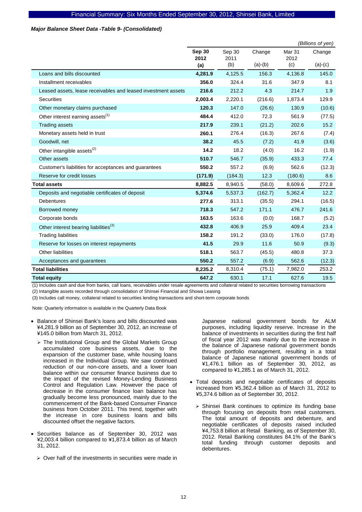#### *Major Balance Sheet Data -Table 9- (Consolidated)*

|                                                               |               |             |           |             | (Billions of yen) |
|---------------------------------------------------------------|---------------|-------------|-----------|-------------|-------------------|
|                                                               | <b>Sep 30</b> | Sep 30      | Change    | Mar 31      | Change            |
|                                                               | 2012<br>(a)   | 2011<br>(b) | $(a)-(b)$ | 2012<br>(c) | $(a)-(c)$         |
| Loans and bills discounted                                    | 4,281.9       | 4,125.5     | 156.3     | 4,136.8     | 145.0             |
| Installment receivables                                       | 356.0         | 324.4       | 31.6      | 347.9       | 8.1               |
| Leased assets, lease receivables and leased investment assets | 216.6         | 212.2       | 4.3       | 214.7       | 1.9               |
| Securities                                                    | 2,003.4       | 2,220.1     | (216.6)   | 1,873.4     | 129.9             |
| Other monetary claims purchased                               | 120.3         | 147.0       | (26.6)    | 130.9       | (10.6)            |
| Other interest earning assets <sup>(1)</sup>                  | 484.4         | 412.0       | 72.3      | 561.9       | (77.5)            |
| <b>Trading assets</b>                                         | 217.9         | 239.1       | (21.2)    | 202.6       | 15.2              |
| Monetary assets held in trust                                 | 260.1         | 276.4       | (16.3)    | 267.6       | (7.4)             |
| Goodwill, net                                                 | 38.2          | 45.5        | (7.2)     | 41.9        | (3.6)             |
| Other intangible assets <sup>(2)</sup>                        | 14.2          | 18.2        | (4.0)     | 16.2        | (1.9)             |
| Other assets                                                  | 510.7         | 546.7       | (35.9)    | 433.3       | 77.4              |
| Customer's liabilities for acceptances and guarantees         | 550.2         | 557.2       | (6.9)     | 562.6       | (12.3)            |
| Reserve for credit losses                                     | (171.9)       | (184.3)     | 12.3      | (180.6)     | 8.6               |
| <b>Total assets</b>                                           | 8,882.5       | 8,940.5     | (58.0)    | 8,609.6     | 272.8             |
| Deposits and negotiable certificates of deposit               | 5,374.6       | 5,537.3     | (162.7)   | 5,362.4     | 12.2              |
| <b>Debentures</b>                                             | 277.6         | 313.1       | (35.5)    | 294.1       | (16.5)            |
| Borrowed money                                                | 718.3         | 547.2       | 171.1     | 476.7       | 241.6             |
| Corporate bonds                                               | 163.5         | 163.6       | (0.0)     | 168.7       | (5.2)             |
| Other interest bearing liabilities <sup>(3)</sup>             | 432.8         | 406.9       | 25.9      | 409.4       | 23.4              |
| <b>Trading liabilities</b>                                    | 158.2         | 191.2       | (33.0)    | 176.0       | (17.8)            |
| Reserve for losses on interest repayments                     | 41.5          | 29.9        | 11.6      | 50.9        | (9.3)             |
| <b>Other liabilities</b>                                      | 518.1         | 563.7       | (45.5)    | 480.8       | 37.3              |
| Acceptances and guarantees                                    | 550.2         | 557.2       | (6.9)     | 562.6       | (12.3)            |
| <b>Total liabilities</b>                                      | 8,235.2       | 8,310.4     | (75.1)    | 7,982.0     | 253.2             |
| <b>Total equity</b>                                           | 647.2         | 630.1       | 17.1      | 627.6       | 19.5              |

(1) Includes cash and due from banks, call loans, receivables under resale agreements and collateral related to securities borrowing transactions

(2) Intangible assets recorded through consolidation of Shinsei Financial and Showa Leasing

(3) Includes call money, collateral related to securities lending transactions and short-term corporate bonds

Note: Quarterly information is available in the Quarterly Data Book

- Balance of Shinsei Bank's loans and bills discounted was ¥4,281.9 billion as of September 30, 2012, an increase of ¥145.0 billion from March 31, 2012.
	- $\triangleright$  The Institutional Group and the Global Markets Group accumulated core business assets, due to the expansion of the customer base, while housing loans increased in the Individual Group. We saw continued reduction of our non-core assets, and a lower loan balance within our consumer finance business due to the impact of the revised Money-Lending Business Control and Regulation Law. However the pace of decrease in the consumer finance loan balance has gradually become less pronounced, mainly due to the commencement of the Bank-based Consumer Finance business from October 2011. This trend, together with the increase in core business loans and bills discounted offset the negative factors.
- Securities balance as of September 30, 2012 was ¥2,003.4 billion compared to ¥1,873.4 billion as of March 31, 2012.
	- $\geq$  Over half of the investments in securities were made in

Japanese national government bonds for ALM purposes, including liquidity reserve. Increase in the balance of investments in securities during the first half of fiscal year 2012 was mainly due to the increase in the balance of Japanese national government bonds through portfolio management, resulting in a total balance of Japanese national government bonds of ¥1,476.1 billion as of September 30, 2012, as compared to ¥1,285.1 as of March 31, 2012.

- Total deposits and negotiable certificates of deposits increased from ¥5,362.4 billion as of March 31, 2012 to ¥5,374.6 billion as of September 30, 2012.
	- $\triangleright$  Shinsei Bank continues to optimize its funding base through focusing on deposits from retail customers. The total amount of deposits and debenture, and negotiable certificates of deposits raised included ¥4,753.8 billion at Retail Banking, as of September 30, 2012. Retail Banking constitutes 84.1% of the Bank's total funding through customer deposits and debentures.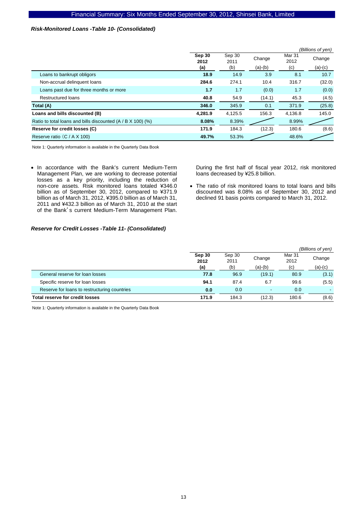### *Risk-Monitored Loans -Table 10- (Consolidated)*

|                                                             |                |                |           |                | (Billions of yen) |
|-------------------------------------------------------------|----------------|----------------|-----------|----------------|-------------------|
|                                                             | Sep 30<br>2012 | Sep 30<br>2011 | Change    | Mar 31<br>2012 | Change            |
|                                                             | (a)            | (b)            | $(a)-(b)$ | (c)            | $(a)-(c)$         |
| Loans to bankrupt obligors                                  | 18.9           | 14.9           | 3.9       | 8.1            | 10.7              |
| Non-accrual delinguent loans                                | 284.6          | 274.1          | 10.4      | 316.7          | (32.0)            |
| Loans past due for three months or more                     | 1.7            | 1.7            | (0.0)     | 1.7            | (0.0)             |
| <b>Restructured loans</b>                                   | 40.8           | 54.9           | (14.1)    | 45.3           | (4.5)             |
| Total (A)                                                   | 346.0          | 345.9          | 0.1       | 371.9          | (25.8)            |
| Loans and bills discounted (B)                              | 4.281.9        | 4,125.5        | 156.3     | 4,136.8        | 145.0             |
| Ratio to total loans and bills discounted (A / B X 100) (%) | 8.08%          | 8.39%          |           | 8.99%          |                   |
| Reserve for credit losses (C)                               | 171.9          | 184.3          | (12.3)    | 180.6          | (8.6)             |
| Reserve ratio (C / A X 100)                                 | 49.7%          | 53.3%          |           | 48.6%          |                   |

Note 1: Quarterly information is available in the Quarterly Data Book

• In accordance with the Bank's current Medium-Term Management Plan, we are working to decrease potential losses as a key priority, including the reduction of non-core assets. Risk monitored loans totaled ¥346.0 billion as of September 30, 2012, compared to ¥371.9 billion as of March 31, 2012, ¥395.0 billion as of March 31, 2011 and ¥432.3 billion as of March 31, 2010 at the start of the Bank's current Medium-Term Management Plan.

During the first half of fiscal year 2012, risk monitored loans decreased by ¥25.8 billion.

• The ratio of risk monitored loans to total loans and bills discounted was 8.08% as of September 30, 2012 and declined 91 basis points compared to March 31, 2012.

#### *Reserve for Credit Losses -Table 11- (Consolidated)*

|                                              |                       |                       |                     |                       | (Billions of yen)   |
|----------------------------------------------|-----------------------|-----------------------|---------------------|-----------------------|---------------------|
|                                              | Sep 30<br>2012<br>(a) | Sep 30<br>2011<br>(b) | Change<br>$(a)-(b)$ | Mar 31<br>2012<br>(c) | Change<br>$(a)-(c)$ |
| General reserve for loan losses              | 77.8                  | 96.9                  | (19.1)              | 80.9                  | (3.1)               |
| Specific reserve for loan losses             | 94.1                  | 87.4                  | 6.7                 | 99.6                  | (5.5)               |
| Reserve for loans to restructuring countries | 0.0                   | 0.0                   | ٠                   | 0.0                   |                     |
| <b>Total reserve for credit losses</b>       | 171.9                 | 184.3                 | (12.3)              | 180.6                 | (8.6)               |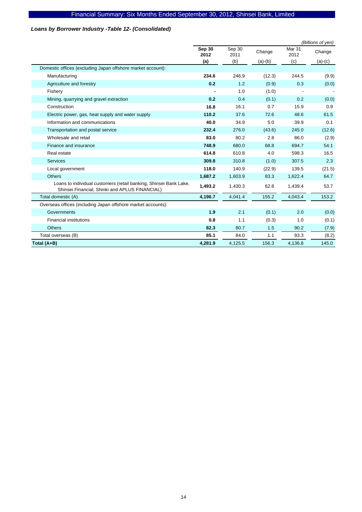# *Loans by Borrower Industry -Table 12- (Consolidated)*

|                                                                                                                     |                |                |           |                           | (Billions of yen) |
|---------------------------------------------------------------------------------------------------------------------|----------------|----------------|-----------|---------------------------|-------------------|
|                                                                                                                     | Sep 30<br>2012 | Sep 30<br>2011 | Change    | Mar <sub>31</sub><br>2012 | Change            |
|                                                                                                                     | (a)            | (b)            | $(a)-(b)$ | (c)                       | $(a)-(c)$         |
| Domestic offices (excluding Japan offshore market account):                                                         |                |                |           |                           |                   |
| Manufacturing                                                                                                       | 234.6          | 246.9          | (12.3)    | 244.5                     | (9.9)             |
| Agriculture and forestry                                                                                            | 0.2            | 1.2            | (0.9)     | 0.3                       | (0.0)             |
| Fishery                                                                                                             |                | 1.0            | (1.0)     |                           |                   |
| Mining, quarrying and gravel extraction                                                                             | 0.2            | 0.4            | (0.1)     | 0.2                       | (0.0)             |
| Construction                                                                                                        | 16.8           | 16.1           | 0.7       | 15.9                      | 0.9               |
| Electric power, gas, heat supply and water supply                                                                   | 110.2          | 37.6           | 72.6      | 48.6                      | 61.5              |
| Information and communications                                                                                      | 40.0           | 34.9           | 5.0       | 39.9                      | 0.1               |
| Transportation and postal service                                                                                   | 232.4          | 276.0          | (43.6)    | 245.0                     | (12.6)            |
| Wholesale and retail                                                                                                | 83.0           | 80.2           | 2.8       | 86.0                      | (2.9)             |
| Finance and insurance                                                                                               | 748.9          | 680.0          | 68.8      | 694.7                     | 54.1              |
| Real estate                                                                                                         | 614.8          | 610.8          | 4.0       | 598.3                     | 16.5              |
| <b>Services</b>                                                                                                     | 309.8          | 310.8          | (1.0)     | 307.5                     | 2.3               |
| Local government                                                                                                    | 118.0          | 140.9          | (22.9)    | 139.5                     | (21.5)            |
| <b>Others</b>                                                                                                       | 1,687.2        | 1,603.9        | 83.3      | 1,622.4                   | 64.7              |
| Loans to individual customers (retail banking, Shinsei Bank Lake,<br>Shinsei Financial, Shinki and APLUS FINANCIAL) | 1,493.2        | 1,430.3        | 62.8      | 1,439.4                   | 53.7              |
| Total domestic (A)                                                                                                  | 4,196.7        | 4,041.4        | 155.2     | 4,043.4                   | 153.2             |
| Overseas offices (including Japan offshore market accounts):                                                        |                |                |           |                           |                   |
| Governments                                                                                                         | 1.9            | 2.1            | (0.1)     | 2.0                       | (0.0)             |
| <b>Financial institutions</b>                                                                                       | 0.8            | 1.1            | (0.3)     | 1.0                       | (0.1)             |
| <b>Others</b>                                                                                                       | 82.3           | 80.7           | 1.5       | 90.2                      | (7.9)             |
| Total overseas (B)                                                                                                  | 85.1           | 84.0           | 1.1       | 93.3                      | (8.2)             |
| Total (A+B)                                                                                                         | 4,281.9        | 4,125.5        | 156.3     | 4,136.8                   | 145.0             |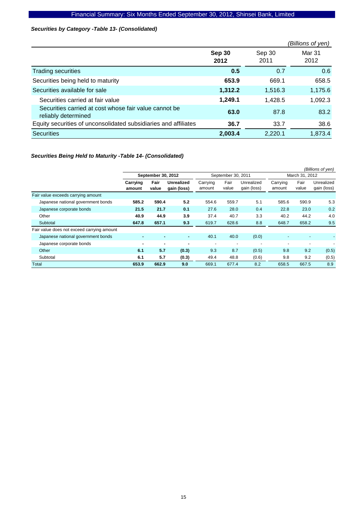### *Securities by Category -Table 13- (Consolidated)*

|                                                                              |                |                | (Billions of yen) |
|------------------------------------------------------------------------------|----------------|----------------|-------------------|
|                                                                              | Sep 30<br>2012 | Sep 30<br>2011 | Mar 31<br>2012    |
| <b>Trading securities</b>                                                    | 0.5            | 0.7            | 0.6               |
| Securities being held to maturity                                            | 653.9          | 669.1          | 658.5             |
| Securities available for sale                                                | 1,312.2        | 1,516.3        | 1,175.6           |
| Securities carried at fair value                                             | 1.249.1        | 1,428.5        | 1,092.3           |
| Securities carried at cost whose fair value cannot be<br>reliably determined | 63.0           | 87.8           | 83.2              |
| Equity securities of unconsolidated subsidiaries and affiliates              | 36.7           | 33.7           | 38.6              |
| <b>Securities</b>                                                            | 2,003.4        | 2,220.1        | 1,873.4           |

### *Securities Being Held to Maturity -Table 14- (Consolidated)*

|                                            |                    |               |                                  |                          |                          |                           |                          |                          | (Billions of yen)         |
|--------------------------------------------|--------------------|---------------|----------------------------------|--------------------------|--------------------------|---------------------------|--------------------------|--------------------------|---------------------------|
|                                            | September 30, 2012 |               |                                  | September 30, 2011       |                          |                           | March 31, 2012           |                          |                           |
|                                            | Carrying<br>amount | Fair<br>value | <b>Unrealized</b><br>gain (loss) | Carrying<br>amount       | Fair<br>value            | Unrealized<br>gain (loss) | Carrying<br>amount       | Fair<br>value            | Unrealized<br>gain (loss) |
| Fair value exceeds carrying amount         |                    |               |                                  |                          |                          |                           |                          |                          |                           |
| Japanese national government bonds         | 585.2              | 590.4         | 5.2                              | 554.6                    | 559.7                    | 5.1                       | 585.6                    | 590.9                    | 5.3                       |
| Japanese corporate bonds                   | 21.5               | 21.7          | 0.1                              | 27.6                     | 28.0                     | 0.4                       | 22.8                     | 23.0                     | 0.2                       |
| Other                                      | 40.9               | 44.9          | 3.9                              | 37.4                     | 40.7                     | 3.3                       | 40.2                     | 44.2                     | 4.0                       |
| Subtotal                                   | 647.8              | 657.1         | 9.3                              | 619.7                    | 628.6                    | 8.8                       | 648.7                    | 658.2                    | 9.5                       |
| Fair value does not exceed carrying amount |                    |               |                                  |                          |                          |                           |                          |                          |                           |
| Japanese national government bonds         | ٠                  | ۰             | ٠                                | 40.1                     | 40.0                     | (0.0)                     |                          | ۰                        |                           |
| Japanese corporate bonds                   | ۰                  | ۰             | ٠                                | $\overline{\phantom{a}}$ | $\overline{\phantom{a}}$ | $\overline{\phantom{0}}$  | $\overline{\phantom{a}}$ | $\overline{\phantom{a}}$ |                           |
| Other                                      | 6.1                | 5.7           | (0.3)                            | 9.3                      | 8.7                      | (0.5)                     | 9.8                      | 9.2                      | (0.5)                     |
| Subtotal                                   | 6.1                | 5.7           | (0.3)                            | 49.4                     | 48.8                     | (0.6)                     | 9.8                      | 9.2                      | (0.5)                     |
| Total                                      | 653.9              | 662.9         | 9.0                              | 669.1                    | 677.4                    | 8.2                       | 658.5                    | 667.5                    | 8.9                       |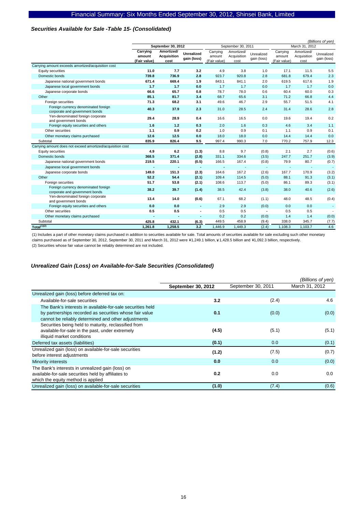### *Securities Available for Sale -Table 15- (Consolidated)*

|                                                                        |                                    |                                          |                                  |                                    |                                   |                           |                                    | (Billions of yen)                 |                           |
|------------------------------------------------------------------------|------------------------------------|------------------------------------------|----------------------------------|------------------------------------|-----------------------------------|---------------------------|------------------------------------|-----------------------------------|---------------------------|
|                                                                        |                                    | September 30, 2012                       |                                  |                                    | September 30, 2011                |                           |                                    | March 31, 2012                    |                           |
|                                                                        | Carrying<br>amount<br>(Fair value) | Amortized/<br><b>Acquisition</b><br>cost | <b>Unrealized</b><br>gain (loss) | Carrying<br>amount<br>(Fair value) | Amortized/<br>Acquisition<br>cost | Unrealized<br>gain (loss) | Carrying<br>amount<br>(Fair value) | Amortized/<br>Acquisition<br>cost | Unrealized<br>gain (loss) |
| Carrying amount exceeds amortized/acquisition cost                     |                                    |                                          |                                  |                                    |                                   |                           |                                    |                                   |                           |
| Equity securities                                                      | 11.0                               | 7.7                                      | 3.2                              | 4.9                                | 3.8                               | 1.0                       | 17.1                               | 11.5                              | 5.5                       |
| Domestic bonds                                                         | 739.8                              | 736.9                                    | 2.8                              | 923.7                              | 920.8                             | 2.8                       | 681.8                              | 679.4                             | 2.3                       |
| Japanese national government bonds                                     | 671.4                              | 669.4                                    | 1.9                              | 843.1                              | 841.1                             | 2.0                       | 619.5                              | 617.6                             | 1.9                       |
| Japanese local government bonds                                        | 1.7                                | 1.7                                      | 0.0                              | 1.7                                | 1.7                               | 0.0                       | 1.7                                | 1.7                               | 0.0                       |
| Japanese corporate bonds                                               | 66.6                               | 65.7                                     | 0.8                              | 78.7                               | 78.0                              | 0.6                       | 60.4                               | 60.0                              | 0.3                       |
| Other                                                                  | 85.1                               | 81.7                                     | 3.4                              | 68.7                               | 65.6                              | 3.1                       | 71.2                               | 66.8                              | 4.4                       |
| Foreign securities                                                     | 71.3                               | 68.2                                     | 3.1                              | 49.6                               | 46.7                              | 2.9                       | 55.7                               | 51.5                              | 4.1                       |
| Foreign currency denominated foreign<br>corporate and government bonds | 40.3                               | 37.9                                     | 2.3                              | 31.0                               | 28.5                              | 2.4                       | 31.4                               | 28.6                              | 2.8                       |
| Yen-denominated foreign corporate<br>and government bonds              | 29.4                               | 28.9                                     | 0.4                              | 16.6                               | 16.5                              | 0.0                       | 19.6                               | 19.4                              | 0.2                       |
| Foreign equity securities and others                                   | 1.6                                | 1.2                                      | 0.3                              | 2.0                                | 1.6                               | 0.3                       | 4.6                                | 3.4                               | 1.1                       |
| Other securities                                                       | 1.1                                | 0.9                                      | 0.2                              | 1.0                                | 0.9                               | 0.1                       | 1.1                                | 0.9                               | 0.1                       |
| Other monetary claims purchased                                        | 12.6                               | 12.5                                     | 0.0                              | 18.0                               | 18.0                              | 0.0                       | 14.4                               | 14.4                              | 0.0                       |
| Subtotal                                                               | 835.9                              | 826.4                                    | 9.5                              | 997.4                              | 990.3                             | 7.0                       | 770.2                              | 757.9                             | 12.3                      |
| Carrying amount does not exceed amortized/acquisition cost             |                                    |                                          |                                  |                                    |                                   |                           |                                    |                                   |                           |
| Equity securities                                                      | 4.9                                | 6.2                                      | (1.3)                            | 8.8                                | 9.7                               | (0.8)                     | 2.1                                | 2.7                               | (0.6)                     |
| Domestic bonds                                                         | 368.5                              | 371.4                                    | (2.8)                            | 331.1                              | 334.6                             | (3.5)                     | 247.7                              | 251.7                             | (3.9)                     |
| Japanese national government bonds                                     | 219.5                              | 220.1                                    | (0.5)                            | 166.5                              | 167.4                             | (0.8)                     | 79.9                               | 80.7                              | (0.7)                     |
| Japanese local government bonds                                        |                                    |                                          | $\blacksquare$                   | ÷                                  |                                   | $\overline{\phantom{a}}$  |                                    |                                   |                           |
| Japanese corporate bonds                                               | 149.0                              | 151.3                                    | (2.3)                            | 164.6                              | 167.2                             | (2.6)                     | 167.7                              | 170.9                             | (3.2)                     |
| Other                                                                  | 52.2                               | 54.4                                     | (2.1)                            | 109.4                              | 114.5                             | (5.0)                     | 88.1                               | 91.3                              | (3.1)                     |
| Foreign securities                                                     | 51.7                               | 53.8                                     | (2.1)                            | 108.6                              | 113.7                             | (5.0)                     | 86.1                               | 89.3                              | (3.1)                     |
| Foreign currency denominated foreign<br>corporate and government bonds | 38.2                               | 39.7                                     | (1.4)                            | 38.5                               | 42.4                              | (3.8)                     | 38.0                               | 40.6                              | (2.6)                     |
| Yen-denominated foreign corporate<br>and government bonds              | 13.4                               | 14.0                                     | (0.6)                            | 67.1                               | 68.2                              | (1.1)                     | 48.0                               | 48.5                              | (0.4)                     |
| Foreign equity securities and others                                   | 0.0                                | 0.0                                      | $\blacksquare$                   | 2.9                                | 2.9                               | (0.0)                     | 0.0                                | 0.0                               |                           |
| Other securities                                                       | 0.5                                | 0.5                                      | $\blacksquare$                   | 0.5                                | 0.5                               | ÷,                        | 0.5                                | 0.5                               |                           |
| Other monetary claims purchased                                        |                                    |                                          | $\blacksquare$                   | 0.2                                | 0.2                               | (0.0)                     | 1.4                                | 1.4                               | (0.0)                     |
| Subtotal                                                               | 425.8                              | 432.1                                    | (6.3)                            | 449.5                              | 458.9                             | (9.4)                     | 338.0                              | 345.7                             | (7.7)                     |
| Total <sup>(1)(2)</sup>                                                | 1,261.8                            | 1,258.5                                  | 3.2                              | 1,446.9                            | 1,449.3                           | (2.4)                     | 1,108.3                            | 1,103.7                           | 4.6                       |

(1) Includes a part of other monetary claims purchased in addition to securities available for sale. Total amounts of securities available for sale excluding such other monetary claims purchased as of September 30, 2012, September 30, 2011 and March 31, 2012 were ¥1,249.1 billion, ¥1,428.5 billion and ¥1,092.3 billion, respectively. (2) Securities whose fair value cannot be reliably determined are not included.

### *Unrealized Gain (Loss) on Available-for-Sale Securities (Consolidated)*

|                                                                                                                                                                              |                    |                    | (Billions of yen) |
|------------------------------------------------------------------------------------------------------------------------------------------------------------------------------|--------------------|--------------------|-------------------|
|                                                                                                                                                                              | September 30, 2012 | September 30, 2011 | March 31, 2012    |
| Unrealized gain (loss) before deferred tax on:                                                                                                                               |                    |                    |                   |
| Available-for-sale securities                                                                                                                                                | 3.2                | (2.4)              | 4.6               |
| The Bank's interests in available-for-sale securities held<br>by partnerships recorded as securities whose fair value<br>cannot be reliably determined and other adjustments | 0.1                | (0.0)              | (0.0)             |
| Securities being held to maturity, reclassified from<br>available-for-sale in the past, under extremely<br>illiquid market conditions                                        | (4.5)              | (5.1)              | (5.1)             |
| Deferred tax assets (liabilities)                                                                                                                                            | (0.1)              | 0.0                | (0.1)             |
| Unrealized gain (loss) on available-for-sale securities<br>before interest adjustments                                                                                       | (1.2)              | (7.5)              | (0.7)             |
| Minority interests                                                                                                                                                           | 0.0                | 0.0                | (0.0)             |
| The Bank's interests in unrealized gain (loss) on<br>available-for-sale securities held by affiliates to<br>which the equity method is applied                               | 0.2                | 0.0                | 0.0               |
| Unrealized gain (loss) on available-for-sale securities                                                                                                                      | (1.0)              | (7.4)              | (0.6)             |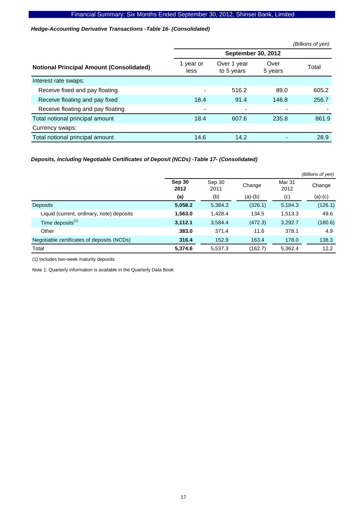*Hedge-Accounting Derivative Transactions -Table 16- (Consolidated)* 

|                                                 |                   |                           |                 | (Billions of yen) |
|-------------------------------------------------|-------------------|---------------------------|-----------------|-------------------|
|                                                 |                   | <b>September 30, 2012</b> |                 |                   |
| <b>Notional Principal Amount (Consolidated)</b> | 1 year or<br>less | Over 1 year<br>to 5 years | Over<br>5 years | Total             |
| Interest rate swaps:                            |                   |                           |                 |                   |
| Receive fixed and pay floating                  |                   | 516.2                     | 89.0            | 605.2             |
| Receive floating and pay fixed                  | 18.4              | 91.4                      | 146.8           | 256.7             |
| Receive floating and pay floating               | -                 |                           |                 |                   |
| Total notional principal amount                 | 18.4              | 607.6                     | 235.8           | 861.9             |
| Currency swaps:                                 |                   |                           |                 |                   |
| Total notional principal amount                 | 14.6              | 14.2                      |                 | 28.9              |

### *Deposits, Including Negotiable Certificates of Deposit (NCDs) -Table 17- (Consolidated)*

|                                            |                |                |           |                | (Billions of yen) |
|--------------------------------------------|----------------|----------------|-----------|----------------|-------------------|
|                                            | Sep 30<br>2012 | Sep 30<br>2011 | Change    | Mar 31<br>2012 | Change            |
|                                            | (a)            | (b)            | $(a)-(b)$ | (c)            | $(a)-(c)$         |
| <b>Deposits</b>                            | 5,058.2        | 5,384.3        | (326.1)   | 5,184.3        | (126.1)           |
| Liquid (current, ordinary, note) deposits  | 1,563.0        | 1,428.4        | 134.5     | 1,513.3        | 49.6              |
| Time deposits <sup>(1)</sup>               | 3,112.1        | 3,584.4        | (472.3)   | 3,292.7        | (180.6)           |
| Other                                      | 383.0          | 371.4          | 11.6      | 378.1          | 4.9               |
| Negotiable certificates of deposits (NCDs) | 316.4          | 152.9          | 163.4     | 178.0          | 138.3             |
| Total                                      | 5,374.6        | 5,537.3        | (162.7)   | 5,362.4        | 12.2              |

(1) Includes two-week maturity deposits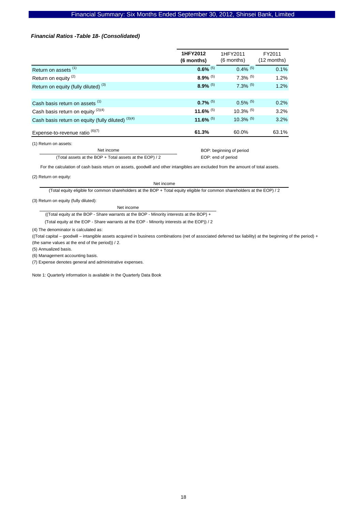#### *Financial Ratios -Table 18- (Consolidated)*

| 1HFY2012<br>1HFY2011<br>FY2011<br>(6 months)<br>$(12$ months)<br>(6 months)<br>$0.6\%$ <sup>(5)</sup><br>$0.4\%$ <sup>(5)</sup><br>0.1%<br>Return on assets <sup>(1)</sup><br>$8.9\%$ <sup>(5)</sup><br>$7.3\%$ (5)<br>Return on equity <sup>(2)</sup><br>1.2%<br>$8.9\%$ <sup>(5)</sup><br>$7.3\%$ <sup>(5)</sup><br>Return on equity (fully diluted) <sup>(3)</sup><br>1.2%<br>$0.7\%$ <sup>(5)</sup><br>$0.5\%$ <sup>(5)</sup><br>0.2%<br>Cash basis return on assets <sup>(1)</sup><br>11.6% $(5)$<br>$10.3\%$ <sup>(5)</sup><br>Cash basis return on equity $(2)(4)$<br>3.2%<br>11.6% $(5)$<br>$10.3\%$ <sup>(5)</sup><br>Cash basis return on equity (fully diluted) (3)(4)<br>3.2%<br>Expense-to-revenue ratio $^{(6)(7)}$<br>63.1%<br>60.0%<br>61.3% |  |  |
|--------------------------------------------------------------------------------------------------------------------------------------------------------------------------------------------------------------------------------------------------------------------------------------------------------------------------------------------------------------------------------------------------------------------------------------------------------------------------------------------------------------------------------------------------------------------------------------------------------------------------------------------------------------------------------------------------------------------------------------------------------------|--|--|
|                                                                                                                                                                                                                                                                                                                                                                                                                                                                                                                                                                                                                                                                                                                                                              |  |  |
|                                                                                                                                                                                                                                                                                                                                                                                                                                                                                                                                                                                                                                                                                                                                                              |  |  |
|                                                                                                                                                                                                                                                                                                                                                                                                                                                                                                                                                                                                                                                                                                                                                              |  |  |
|                                                                                                                                                                                                                                                                                                                                                                                                                                                                                                                                                                                                                                                                                                                                                              |  |  |
|                                                                                                                                                                                                                                                                                                                                                                                                                                                                                                                                                                                                                                                                                                                                                              |  |  |
|                                                                                                                                                                                                                                                                                                                                                                                                                                                                                                                                                                                                                                                                                                                                                              |  |  |
|                                                                                                                                                                                                                                                                                                                                                                                                                                                                                                                                                                                                                                                                                                                                                              |  |  |
|                                                                                                                                                                                                                                                                                                                                                                                                                                                                                                                                                                                                                                                                                                                                                              |  |  |
|                                                                                                                                                                                                                                                                                                                                                                                                                                                                                                                                                                                                                                                                                                                                                              |  |  |

(1) Return on assets:

Net income (Total assets at the BOP + Total assets at the EOP) / 2  BOP: beginning of period EOP: end of period

For the calculation of cash basis return on assets, goodwill and other intangibles are excluded from the amount of total assets.

(2) Return on equity:

Net income

(Total equity eligible for common shareholders at the BOP + Total equity eligible for common shareholders at the EOP) / 2

(3) Return on equity (fully diluted):

Net income

((Total equity at the BOP - Share warrants at the BOP - Minority interests at the BOP) +

(Total equity at the EOP - Share warrants at the EOP - Minority interests at the EOP)) / 2

(4) The denominator is calculated as:

((Total capital – goodwill – intangible assets acquired in business combinations (net of associated deferred tax liability) at the beginning of the period) + (the same values at the end of the period)) / 2.

(5) Annualized basis.

(6) Management accounting basis.

(7) Expense denotes general and administrative expenses.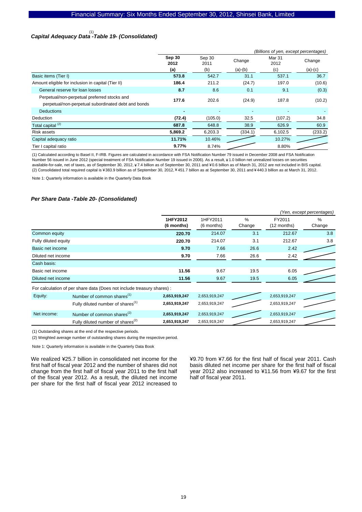# *Capital Adequacy Data -Table 19- (Consolidated)*  (1)

|                                                     | (Billions of yen, except percentages) |                          |                          |                |           |  |
|-----------------------------------------------------|---------------------------------------|--------------------------|--------------------------|----------------|-----------|--|
|                                                     | Sep 30<br>2012                        | Sep 30<br>2011           | Mar 31<br>Change<br>2012 |                | Change    |  |
|                                                     | (a)                                   | (b)                      | $(a)-(b)$                | (c)            | $(a)-(c)$ |  |
| Basic items (Tier I)                                | 573.8                                 | 542.7                    | 31.1                     | 537.1          | 36.7      |  |
| Amount eligible for inclusion in capital (Tier II)  | 186.4                                 | 211.2                    | (24.7)                   | 197.0          | (10.6)    |  |
| General reserve for loan losses                     | 8.7                                   | 8.6                      | 0.1                      | 9.1            | (0.3)     |  |
| Perpetual/non-perpetual preferred stocks and        | 177.6                                 | 202.6                    | (24.9)                   | 187.8          | (10.2)    |  |
| perpetual/non-perpetual subordinated debt and bonds |                                       |                          |                          |                |           |  |
| <b>Deductions</b>                                   | ۰                                     | $\overline{\phantom{0}}$ |                          | $\overline{a}$ |           |  |
| Deduction                                           | (72.4)                                | (105.0)                  | 32.5                     | (107.2)        | 34.8      |  |
| Total capital <sup>(2)</sup>                        | 687.8                                 | 648.8                    | 38.9                     | 626.9          | 60.9      |  |
| Risk assets                                         | 5,869.2                               | 6,203.3                  | (334.1)                  | 6,102.5        | (233.2)   |  |
| Capital adequacy ratio                              | 11.71%                                | 10.46%                   |                          | 10.27%         |           |  |
| Tier I capital ratio                                | 9.77%                                 | 8.74%                    |                          | 8.80%          |           |  |

(1) Calculated according to Basel II, F-IRB. Figures are calculated in accordance with FSA Notification Number 79 issued in December 2008 and FSA Notification Number 56 issued in June 2012 (special treatment of FSA Notification Number 19 issued in 2006). As a result, ¥1.0 billion net unrealized losses on securities available-for-sale, net of taxes, as of September 30, 2012, ¥7.4 billion as of September 30, 2011 and ¥0.6 billion as of March 31, 2012 are not included in BIS capital. (2) Consolidated total required capital is ¥383.9 billion as of September 30, 2012,¥451.7 billion as at September 30, 2011 and ¥440.3 billion as at March 31, 2012.

Note 1: Quarterly information is available in the Quarterly Data Book

#### *Per Share Data -Table 20- (Consolidated)*

|                      |                                                                        |                        | (Yen, except percentages) |                         |                       |                |  |
|----------------------|------------------------------------------------------------------------|------------------------|---------------------------|-------------------------|-----------------------|----------------|--|
|                      |                                                                        | 1HFY2012<br>(6 months) | 1HFY2011<br>$(6$ months)  | $\frac{0}{0}$<br>Change | FY2011<br>(12 months) | $\%$<br>Change |  |
| Common equity        |                                                                        | 220.70                 | 214.07                    | 3.1                     | 212.67                | 3.8            |  |
| Fully diluted equity |                                                                        | 220.70                 | 214.07                    | 3.1                     | 212.67                | 3.8            |  |
| Basic net income     |                                                                        | 9.70                   | 7.66                      | 26.6                    | 2.42                  |                |  |
| Diluted net income   |                                                                        | 9.70                   | 7.66                      | 26.6<br>2.42            |                       |                |  |
| Cash basis:          |                                                                        |                        |                           |                         |                       |                |  |
| Basic net income     |                                                                        | 11.56                  | 9.67                      | 19.5                    | 6.05                  |                |  |
| Diluted net income   | 11.56<br>9.67<br>19.5                                                  |                        | 6.05                      |                         |                       |                |  |
|                      | For calculation of per share data (Does not include treasury shares) : |                        |                           |                         |                       |                |  |
| Equity:              | Number of common shares <sup>(1)</sup>                                 | 2,653,919,247          | 2,653,919,247             |                         | 2,653,919,247         |                |  |
|                      | Fully diluted number of shares <sup>(1)</sup>                          | 2,653,919,247          | 2,653,919,247             |                         | 2,653,919,247         |                |  |
| Net income:          | Number of common shares <sup>(2)</sup>                                 | 2,653,919,247          | 2,653,919,247             |                         | 2,653,919,247         |                |  |
|                      | Fully diluted number of shares <sup>(2)</sup>                          | 2,653,919,247          | 2,653,919,247             |                         | 2,653,919,247         |                |  |

(1) Outstanding shares at the end of the respective periods.

(2) Weighted average number of outstanding shares during the respective period.

Note 1: Quarterly information is available in the Quarterly Data Book

We realized ¥25.7 billion in consolidated net income for the first half of fiscal year 2012 and the number of shares did not change from the first half of fiscal year 2011 to the first half of the fiscal year 2012. As a result, the diluted net income per share for the first half of fiscal year 2012 increased to

¥9.70 from ¥7.66 for the first half of fiscal year 2011. Cash basis diluted net income per share for the first half of fiscal year 2012 also increased to ¥11.56 from ¥9.67 for the first half of fiscal year 2011.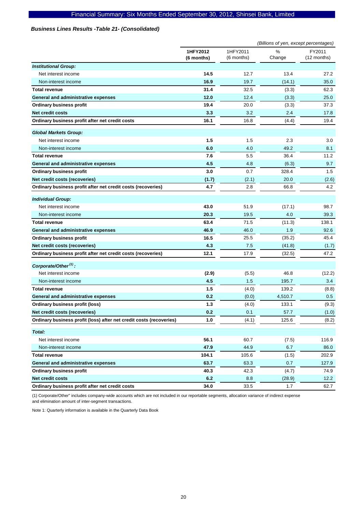### *Business Lines Results -Table 21- (Consolidated)*

|                                                                     | (Billions of yen, except percentages) |                        |                |                       |
|---------------------------------------------------------------------|---------------------------------------|------------------------|----------------|-----------------------|
|                                                                     | 1HFY2012<br>(6 months)                | 1HFY2011<br>(6 months) | $\%$<br>Change | FY2011<br>(12 months) |
| <b>Institutional Group:</b>                                         |                                       |                        |                |                       |
| Net interest income                                                 | 14.5                                  | 12.7                   | 13.4           | 27.2                  |
| Non-interest income                                                 | 16.9                                  | 19.7                   | (14.1)         | 35.0                  |
| <b>Total revenue</b>                                                | 31.4                                  | 32.5                   | (3.3)          | 62.3                  |
| General and administrative expenses                                 | 12.0                                  | 12.4                   | (3.3)          | 25.0                  |
| <b>Ordinary business profit</b>                                     | 19.4                                  | 20.0                   | (3.3)          | 37.3                  |
| <b>Net credit costs</b>                                             | 3.3                                   | 3.2                    | 2.4            | 17.8                  |
| Ordinary business profit after net credit costs                     | 16.1                                  | 16.8                   | (4.4)          | 19.4                  |
| <b>Global Markets Group:</b>                                        |                                       |                        |                |                       |
| Net interest income                                                 | 1.5                                   | 1.5                    | 2.3            | 3.0                   |
| Non-interest income                                                 | 6.0                                   | 4.0                    | 49.2           | 8.1                   |
| <b>Total revenue</b>                                                | 7.6                                   | 5.5                    | 36.4           | 11.2                  |
| General and administrative expenses                                 | 4.5                                   | 4.8                    | (6.3)          | 9.7                   |
| <b>Ordinary business profit</b>                                     | 3.0                                   | 0.7                    | 328.4          | 1.5                   |
| Net credit costs (recoveries)                                       | (1.7)                                 | (2.1)                  | 20.0           | (2.6)                 |
| Ordinary business profit after net credit costs (recoveries)        | 4.7                                   | 2.8                    | 66.8           | 4.2                   |
| <b>Individual Group:</b>                                            |                                       |                        |                |                       |
| Net interest income                                                 | 43.0                                  | 51.9                   | (17.1)         | 98.7                  |
| Non-interest income                                                 | 20.3                                  | 19.5                   | 4.0            | 39.3                  |
| <b>Total revenue</b>                                                | 63.4                                  | 71.5                   | (11.3)         | 138.1                 |
| General and administrative expenses                                 | 46.9                                  | 46.0                   | 1.9            | 92.6                  |
| <b>Ordinary business profit</b>                                     | 16.5                                  | 25.5                   | (35.2)         | 45.4                  |
| Net credit costs (recoveries)                                       | 4.3                                   | 7.5                    | (41.8)         | (1.7)                 |
| Ordinary business profit after net credit costs (recoveries)        | 12.1                                  | 17.9                   | (32.5)         | 47.2                  |
| Corporate/Other <sup>(1)</sup> :                                    |                                       |                        |                |                       |
| Net interest income                                                 | (2.9)                                 | (5.5)                  | 46.8           | (12.2)                |
| Non-interest income                                                 | 4.5                                   | 1.5                    | 195.7          | 3.4                   |
| <b>Total revenue</b>                                                | 1.5                                   | (4.0)                  | 139.2          | (8.8)                 |
| General and administrative expenses                                 | 0.2                                   | (0.0)                  | 4,510.7        | 0.5                   |
| Ordinary business profit (loss)                                     | 1.3                                   | (4.0)                  | 133.1          | (9.3)                 |
| Net credit costs (recoveries)                                       | 0.2                                   | 0.1                    | 57.7           | (1.0)                 |
| Ordinary business profit (loss) after net credit costs (recoveries) | 1.0                                   | (4.1)                  | 125.6          | (8.2)                 |
| Total:                                                              |                                       |                        |                |                       |
| Net interest income                                                 | 56.1                                  | 60.7                   | (7.5)          | 116.9                 |
| Non-interest income                                                 | 47.9                                  | 44.9                   | 6.7            | 86.0                  |
| <b>Total revenue</b>                                                | 104.1                                 | 105.6                  | (1.5)          | 202.9                 |
| <b>General and administrative expenses</b>                          | 63.7                                  | 63.3                   | 0.7            | 127.9                 |
| Ordinary business profit                                            | 40.3                                  | 42.3                   | (4.7)          | 74.9                  |
| Net credit costs                                                    | 6.2                                   | 8.8                    | (28.9)         | 12.2                  |
| Ordinary business profit after net credit costs                     | 34.0                                  | 33.5                   | 1.7            | 62.7                  |

(1) Corporate/Other" includes company-wide accounts which are not included in our reportable segments, allocation variance of indirect expense and elimination amount of inter-segment transactions.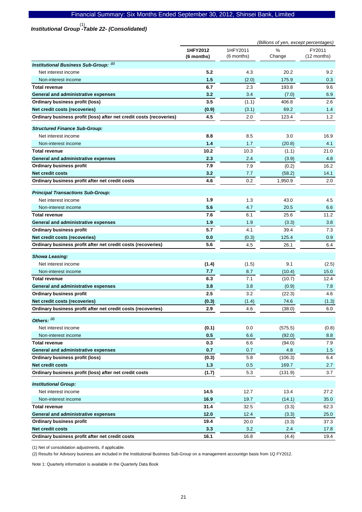# *Institutional Group -Table 22- (Consolidated)*  (1)

|                                                                     | (Billions of yen, except percentages) |                        |             |                       |
|---------------------------------------------------------------------|---------------------------------------|------------------------|-------------|-----------------------|
|                                                                     | 1HFY2012<br>(6 months)                | 1HFY2011<br>(6 months) | %<br>Change | FY2011<br>(12 months) |
| <b>Institutional Business Sub-Group: (2)</b>                        |                                       |                        |             |                       |
| Net interest income                                                 | 5.2                                   | 4.3                    | 20.2        | 9.2                   |
| Non-interest income                                                 | 1.5                                   | (2.0)                  | 175.9       | 0.3                   |
| <b>Total revenue</b>                                                | 6.7                                   | 2.3                    | 193.8       | 9.6                   |
| General and administrative expenses                                 | 3.2                                   | 3.4                    | (7.0)       | 6.9                   |
| <b>Ordinary business profit (loss)</b>                              | 3.5                                   | (1.1)                  | 406.8       | 2.6                   |
| Net credit costs (recoveries)                                       | (0.9)                                 | (3.1)                  | 69.2        | 1.4                   |
| Ordinary business profit (loss) after net credit costs (recoveries) | 4.5                                   | 2.0                    | 123.4       | 1.2                   |
| <b>Structured Finance Sub-Group:</b>                                |                                       |                        |             |                       |
| Net interest income                                                 | 8.8                                   | 8.5                    | 3.0         | 16.9                  |
| Non-interest income                                                 | 1.4                                   | 1.7                    | (20.8)      | 4.1                   |
| <b>Total revenue</b>                                                | 10.2                                  | 10.3                   | (1.1)       | 21.0                  |
| General and administrative expenses                                 | 2.3                                   | 2.4                    | (3.9)       | 4.8                   |
| <b>Ordinary business profit</b>                                     | 7.9                                   | 7.9                    | (0.2)       | 16.2                  |
| <b>Net credit costs</b>                                             | 3.2                                   | 7.7                    | (58.2)      | 14.1                  |
| Ordinary business profit after net credit costs                     | 4.6                                   | 0.2                    | 1,950.9     | 2.0                   |
| <b>Principal Transactions Sub-Group:</b>                            |                                       |                        |             |                       |
| Net interest income                                                 | 1.9                                   | 1.3                    | 43.0        | 4.5                   |
| Non-interest income                                                 | 5.6                                   | 4.7                    | 20.5        | 6.6                   |
| <b>Total revenue</b>                                                | 7.6                                   | 6.1                    | 25.6        | 11.2                  |
| <b>General and administrative expenses</b>                          | 1.9                                   | 1.9                    | (3.3)       | 3.8                   |
| <b>Ordinary business profit</b>                                     | 5.7                                   | 4.1                    | 39.4        | 7.3                   |
| Net credit costs (recoveries)                                       | 0.0                                   | (0.3)                  | 125.4       | 0.9                   |
| Ordinary business profit after net credit costs (recoveries)        | 5.6                                   | 4.5                    | 26.1        | 6.4                   |
| <b>Showa Leasing:</b>                                               |                                       |                        |             |                       |
| Net interest income                                                 | (1.4)                                 | (1.5)                  | 9.1         | (2.5)                 |
| Non-interest income                                                 | 7.7                                   | 8.7                    | (10.4)      | 15.0                  |
| <b>Total revenue</b>                                                | 6.3                                   | 7.1                    | (10.7)      | 12.4                  |
| General and administrative expenses                                 | 3.8                                   | 3.8                    | (0.9)       | 7.8                   |
| <b>Ordinary business profit</b>                                     | 2.5                                   | 3.2                    | (22.3)      | 4.6                   |
| Net credit costs (recoveries)                                       | (0.3)                                 | (1.4)                  | 74.6        | (1.3)                 |
| Ordinary business profit after net credit costs (recoveries)        | 2.9                                   | 4.6                    | (38.0)      | 6.0                   |
| Others: (2)                                                         |                                       |                        |             |                       |
| Net interest income                                                 | (0.1)                                 | 0.0                    | (575.5)     | (0.8)                 |
| Non-interest income                                                 | 0.5                                   | 6.6                    | (92.0)      | 8.8                   |
| <b>Total revenue</b>                                                | 0.3                                   | 6.6                    | (94.0)      | 7.9                   |
| <b>General and administrative expenses</b>                          | 0.7                                   | 0.7                    | 4.8         | 1.5                   |
| Ordinary business profit (loss)                                     | (0.3)                                 | 5.8                    | (106.3)     | 6.4                   |
| <b>Net credit costs</b>                                             | $1.3$                                 | 0.5                    | 169.7       | 2.7                   |
| Ordinary business profit (loss) after net credit costs              | (1.7)                                 | 5.3                    | (131.9)     | 3.7                   |
| <b>Institutional Group:</b>                                         |                                       |                        |             |                       |
| Net interest income                                                 | 14.5                                  | 12.7                   | 13.4        | 27.2                  |
| Non-interest income                                                 | 16.9                                  | 19.7                   | (14.1)      | 35.0                  |
| <b>Total revenue</b>                                                | 31.4                                  | 32.5                   | (3.3)       | 62.3                  |
| General and administrative expenses                                 | 12.0                                  | 12.4                   | (3.3)       | 25.0                  |
| <b>Ordinary business profit</b>                                     | 19.4                                  | 20.0                   | (3.3)       | 37.3                  |
| <b>Net credit costs</b>                                             | 3.3                                   | 3.2                    | 2.4         | 17.8                  |
| Ordinary business profit after net credit costs                     | 16.1                                  | 16.8                   | (4.4)       | 19.4                  |

(1) Net of consolidation adjustments, if applicable.

(2) Results for Advisory business are included in the Institutional Business Sub-Group on a management accountign basis from 1Q FY2012.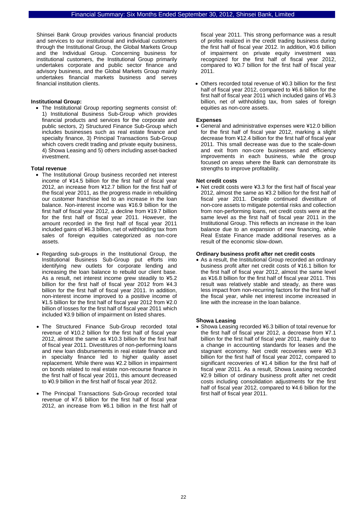Shinsei Bank Group provides various financial products and services to our institutional and individual customers through the Institutional Group, the Global Markets Group and the Individual Group. Concerning business for institutional customers, the Institutional Group primarily undertakes corporate and public sector finance and advisory business, and the Global Markets Group mainly undertakes financial markets business and serves financial institution clients.

#### **Institutional Group:**

• The Institutional Group reporting segments consist of: 1) Institutional Business Sub-Group which provides financial products and services for the corporate and public sectors, 2) Structured Finance Sub-Group which includes businesses such as real estate finance and specialty finance, 3) Principal Transactions Sub-Group which covers credit trading and private equity business, 4) Showa Leasing and 5) others including asset-backed investment.

#### **Total revenue**

- The Institutional Group business recorded net interest income of ¥14.5 billion for the first half of fiscal year 2012, an increase from ¥12.7 billion for the first half of the fiscal year 2011, as the progress made in rebuilding our customer franchise led to an increase in the loan balance. Non-interest income was ¥16.9 billion for the first half of fiscal year 2012, a decline from ¥19.7 billion for the first half of fiscal year 2011. However, the amount recorded in the first half of fiscal year 2011 included gains of ¥6.3 billion, net of withholding tax from sales of foreign equities categorized as non-core assets.
- Regarding sub-groups in the Institutional Group, the Institutional Business Sub-Group put efforts into identifying new outlets for corporate lending and increasing the loan balance to rebuild our client base. As a result, net interest income grew steadily to ¥5.2 billion for the first half of fiscal year 2012 from ¥4.3 billion for the first half of fiscal year 2011. In addition, non-interest income improved to a positive income of ¥1.5 billion for the first half of fiscal year 2012 from ¥2.0 billion of losses for the first half of fiscal year 2011 which included ¥3.9 billion of impairment on listed shares.
- The Structured Finance Sub-Group recorded total revenue of ¥10.2 billion for the first half of fiscal year 2012, almost the same as ¥10.3 billion for the first half of fiscal year 2011. Divestitures of non-performing loans and new loan disbursements in real estate finance and in specialty finance led to higher quality asset replacement. While there was ¥2.2 billion in impairment on bonds related to real estate non-recourse finance in the first half of fiscal year 2011, this amount decreased to ¥0.9 billion in the first half of fiscal year 2012.
- The Principal Transactions Sub-Group recorded total revenue of ¥7.6 billion for the first half of fiscal year 2012, an increase from ¥6.1 billion in the first half of

fiscal year 2011. This strong performance was a result of profits realized in the credit trading business during the first half of fiscal year 2012. In addition, ¥0.6 billion of impairment on private equity investment was recognized for the first half of fiscal year 2012, compared to ¥0.7 billion for the first half of fiscal year 2011.

• Others recorded total revenue of ¥0.3 billion for the first half of fiscal year 2012, compared to ¥6.6 billion for the first half of fiscal year 2011 which included gains of ¥6.3 billion, net of withholding tax, from sales of foreign equities as non-core assets.

#### **Expenses**

• General and administrative expenses were ¥12.0 billion for the first half of fiscal year 2012, marking a slight decrease from ¥12.4 billion for the first half of fiscal year 2011. This small decrease was due to the scale-down and exit from non-core businesses and efficiency improvements in each business, while the group focused on areas where the Bank can demonstrate its strengths to improve profitability.

#### **Net credit costs**

• Net credit costs were ¥3.3 for the first half of fiscal year 2012, almost the same as ¥3.2 billion for the first half of fiscal year 2011. Despite continued divestiture of non-core assets to mitigate potential risks and collection from non-performing loans, net credit costs were at the same level as the first half of fiscal year 2011 in the Institutional Group. This reflects an increase in the loan balance due to an expansion of new financing, while Real Estate Finance made additional reserves as a result of the economic slow-down.

#### **Ordinary business profit after net credit costs**

• As a result, the Institutional Group recorded an ordinary business profit after net credit costs of ¥16.1 billion for the first half of fiscal year 2012, almost the same level as ¥16.8 billion for the first half of fiscal year 2011. This result was relatively stable and steady, as there was less impact from non-recurring factors for the first half of the fiscal year, while net interest income increased in line with the increase in the loan balance.

#### **Showa Leasing**

• Showa Leasing recorded ¥6.3 billion of total revenue for the first half of fiscal year 2012, a decrease from ¥7.1 billion for the first half of fiscal year 2011, mainly due to a change in accounting standards for leases and the stagnant economy. Net credit recoveries were ¥0.3 billion for the first half of fiscal year 2012, compared to significant recoveries of ¥1.4 billion for the first half of fiscal year 2011. As a result, Showa Leasing recorded ¥2.9 billion of ordinary business profit after net credit costs including consolidation adjustments for the first half of fiscal year 2012, compared to ¥4.6 billion for the first half of fiscal year 2011.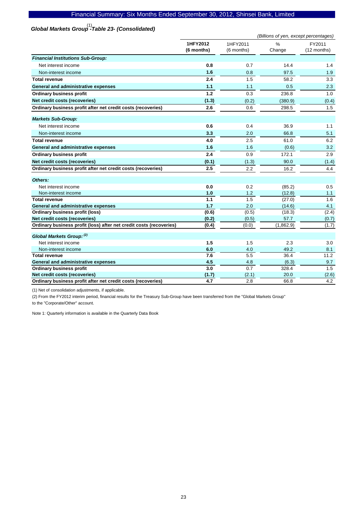# *Global Markets Group -Table 23- (Consolidated)*  (1)

|                                                                     | (Billions of yen, except percentages) |            |               |             |
|---------------------------------------------------------------------|---------------------------------------|------------|---------------|-------------|
|                                                                     | 1HFY2012                              | 1HFY2011   | $\frac{0}{0}$ | FY2011      |
|                                                                     | (6 months)                            | (6 months) | Change        | (12 months) |
| <b>Financial Institutions Sub-Group:</b>                            |                                       |            |               |             |
| Net interest income                                                 | 0.8                                   | 0.7        | 14.4          | 1.4         |
| Non-interest income                                                 | 1.6                                   | 0.8        | 97.5          | 1.9         |
| <b>Total revenue</b>                                                | 2.4                                   | 1.5        | 58.2          | 3.3         |
| General and administrative expenses                                 | 1.1                                   | 1.1        | 0.5           | 2.3         |
| <b>Ordinary business profit</b>                                     | 1.2                                   | 0.3        | 236.8         | 1.0         |
| Net credit costs (recoveries)                                       | (1.3)                                 | (0.2)      | (380.9)       | (0.4)       |
| Ordinary business profit after net credit costs (recoveries)        | 2.6                                   | 0.6        | 298.5         | 1.5         |
| <b>Markets Sub-Group:</b>                                           |                                       |            |               |             |
| Net interest income                                                 | 0.6                                   | 0.4        | 36.9          | 1.1         |
| Non-interest income                                                 | 3.3                                   | 2.0        | 66.8          | 5.1         |
| Total revenue                                                       | 4.0                                   | 2.5        | 61.0          | 6.2         |
| General and administrative expenses                                 | 1.6                                   | 1.6        | (0.6)         | 3.2         |
| <b>Ordinary business profit</b>                                     | 2.4                                   | 0.9        | 172.1         | 2.9         |
| Net credit costs (recoveries)                                       | (0.1)                                 | (1.3)      | 90.0          | (1.4)       |
| Ordinary business profit after net credit costs (recoveries)        | 2.5                                   | 2.2        | 16.2          | 4.4         |
| Others:                                                             |                                       |            |               |             |
| Net interest income                                                 | 0.0                                   | 0.2        | (85.2)        | 0.5         |
| Non-interest income                                                 | 1.0                                   | 1.2        | (12.8)        | 1.1         |
| <b>Total revenue</b>                                                | 1.1                                   | 1.5        | (27.0)        | 1.6         |
| General and administrative expenses                                 | 1.7                                   | 2.0        | (14.6)        | 4.1         |
| <b>Ordinary business profit (loss)</b>                              | (0.6)                                 | (0.5)      | (18.3)        | (2.4)       |
| Net credit costs (recoveries)                                       | (0.2)                                 | (0.5)      | 57.7          | (0.7)       |
| Ordinary business profit (loss) after net credit costs (recoveries) | (0.4)                                 | (0.0)      | (1,862.9)     | (1.7)       |
| Global Markets Group: (2)                                           |                                       |            |               |             |
| Net interest income                                                 | 1.5                                   | 1.5        | 2.3           | 3.0         |
| Non-interest income                                                 | 6.0                                   | 4.0        | 49.2          | 8.1         |
| <b>Total revenue</b>                                                | 7.6                                   | 5.5        | 36.4          | 11.2        |
| General and administrative expenses                                 | 4.5                                   | 4.8        | (6.3)         | 9.7         |
| <b>Ordinary business profit</b>                                     | 3.0                                   | 0.7        | 328.4         | 1.5         |
| Net credit costs (recoveries)                                       | (1.7)                                 | (2.1)      | 20.0          | (2.6)       |
| Ordinary business profit after net credit costs (recoveries)        | 4.7                                   | 2.8        | 66.8          | 4.2         |

(1) Net of consolidation adjustments, if applicable.

(2) From the FY2012 interim period, financial results for the Treasury Sub-Group have been transferred from the "Global Markets Group"

to the "Corporate/Other" account.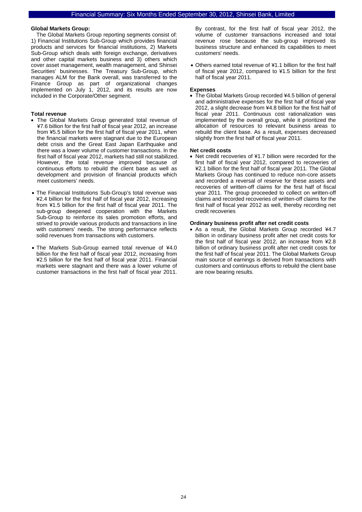#### **Global Markets Group:**

The Global Markets Group reporting segments consist of: 1) Financial Institutions Sub-Group which provides financial products and services for financial institutions, 2) Markets Sub-Group which deals with foreign exchange, derivatives and other capital markets business and 3) others which cover asset management, wealth management, and Shinsei Securities' businesses. The Treasury Sub-Group, which manages ALM for the Bank overall, was transferred to the Finance Group as part of organizational changes implemented on July 1, 2012, and its results are now included in the Corporate/Other segment.

#### **Total revenue**

- The Global Markets Group generated total revenue of ¥7.6 billion for the first half of fiscal year 2012, an increase from ¥5.5 billion for the first half of fiscal year 2011, when the financial markets were stagnant due to the European debt crisis and the Great East Japan Earthquake and there was a lower volume of customer transactions. In the first half of fiscal year 2012, markets had still not stabilized. However, the total revenue improved because of continuous efforts to rebuild the client base as well as development and provision of financial products which meet customers' needs.
- The Financial Institutions Sub-Group's total revenue was ¥2.4 billion for the first half of fiscal year 2012, increasing from ¥1.5 billion for the first half of fiscal year 2011. The sub-group deepened cooperation with the Markets Sub-Group to reinforce its sales promotion efforts, and strived to provide various products and transactions in line with customers' needs. The strong performance reflects solid revenues from transactions with customers.
- The Markets Sub-Group earned total revenue of ¥4.0 billion for the first half of fiscal year 2012, increasing from ¥2.5 billion for the first half of fiscal year 2011. Financial markets were stagnant and there was a lower volume of customer transactions in the first half of fiscal year 2011.

By contrast, for the first half of fiscal year 2012, the volume of customer transactions increased and total revenue rose because the sub-group improved its business structure and enhanced its capabilities to meet customers' needs.

• Others earned total revenue of ¥1.1 billion for the first half of fiscal year 2012, compared to ¥1.5 billion for the first half of fiscal year 2011.

#### **Expenses**

• The Global Markets Group recorded ¥4.5 billion of general and administrative expenses for the first half of fiscal year 2012, a slight decrease from ¥4.8 billion for the first half of fiscal year 2011. Continuous cost rationalization was implemented by the overall group, while it prioritized the allocation of resources to relevant business areas to rebuild the client base. As a result, expenses decreased slightly from the first half of fiscal year 2011.

#### **Net credit costs**

• Net credit recoveries of ¥1.7 billion were recorded for the first half of fiscal year 2012, compared to recoveries of ¥2.1 billion for the first half of fiscal year 2011. The Global Markets Group has continued to reduce non-core assets and recorded a reversal of reserve for these assets and recoveries of written-off claims for the first half of fiscal year 2011. The group proceeded to collect on written-off claims and recorded recoveries of written-off claims for the first half of fiscal year 2012 as well, thereby recording net credit recoveries

#### **Ordinary business profit after net credit costs**

• As a result, the Global Markets Group recorded ¥4.7 billion in ordinary business profit after net credit costs for the first half of fiscal year 2012, an increase from ¥2.8 billion of ordinary business profit after net credit costs for the first half of fiscal year 2011. The Global Markets Group main source of earnings is derived from transactions with customers and continuous efforts to rebuild the client base are now bearing results.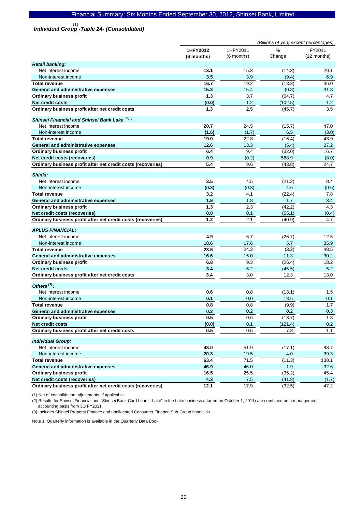*Individual Group -Table 24- (Consolidated)*  (1)

|                                                                                 | (Billions of yen, except percentages) |                |                |               |
|---------------------------------------------------------------------------------|---------------------------------------|----------------|----------------|---------------|
|                                                                                 | 1HFY2012                              | 1HFY2011       | %              | FY2011        |
|                                                                                 | (6 months)                            | (6 months)     | Change         | (12 months)   |
| <b>Retail banking:</b>                                                          |                                       |                |                |               |
| Net interest income                                                             | 13.1                                  | 15.3           | (14.3)         | 29.1          |
| Non-interest income                                                             | 3.5                                   | 3.9            | (9.4)          | 6.9           |
| <b>Total revenue</b>                                                            | 16.7                                  | 19.2           | (13.3)         | 36.0          |
| General and administrative expenses                                             | 15.3                                  | 15.4           | (0.8)          | 31.3          |
| <b>Ordinary business profit</b>                                                 | 1.3                                   | 3.7            | (64.7)         | 4.7           |
| <b>Net credit costs</b>                                                         | (0.0)                                 | 1.2            | (102.5)        | 1.2           |
| Ordinary business profit after net credit costs                                 | 1.3                                   | 2.5            | (45.7)         | 3.5           |
|                                                                                 |                                       |                |                |               |
| Shinsei Financial and Shinsei Bank Lake <sup>(2)</sup> :<br>Net interest income | 20.7                                  | 24.5           |                | 47.0          |
| Non-interest income                                                             |                                       |                | (15.7)<br>6.5  |               |
| <b>Total revenue</b>                                                            | (1.6)<br>19.0                         | (1.7)<br>22.8  | (16.4)         | (3.0)<br>43.9 |
|                                                                                 | 12.6                                  | 13.3           | (5.4)          | 27.2          |
| General and administrative expenses                                             | 6.4                                   | 9.4            | (32.0)         | 16.7          |
| <b>Ordinary business profit</b><br>Net credit costs (recoveries)                |                                       |                |                |               |
| Ordinary business profit after net credit costs (recoveries)                    | 0.9<br>5.4                            | (0.2)<br>9.6   | 568.9          | (8.0)<br>24.7 |
|                                                                                 |                                       |                | (43.8)         |               |
| Shinki:                                                                         |                                       |                |                |               |
| Net interest income                                                             | 3.5                                   | 4.5            | (21.2)         | 8.4           |
| Non-interest income                                                             | (0.3)                                 | (0.3)          | 4.6            | (0.6)         |
| <b>Total revenue</b>                                                            | 3.2                                   | 4.1            | (22.4)         | 7.8           |
| General and administrative expenses                                             | 1.9                                   | 1.8            | 1.7            | 3.4           |
| <b>Ordinary business profit</b>                                                 | 1.3                                   | 2.3            | (42.2)         | 4.3           |
| Net credit costs (recoveries)                                                   | 0.0                                   | 0.1            | (65.1)         | (0.4)         |
| Ordinary business profit after net credit costs (recoveries)                    | 1.2                                   | 2.1            | (40.9)         | 4.7           |
|                                                                                 |                                       |                |                |               |
| <b>APLUS FINANCIAL:</b>                                                         |                                       |                |                |               |
| Net interest income                                                             | 4.9                                   | 6.7            | (26.7)         | 12.5          |
| Non-interest income                                                             | 18.6                                  | 17.6           | 5.7            | 35.9          |
| <b>Total revenue</b>                                                            | 23.5                                  | 24.3           | (3.2)          | 48.5          |
| General and administrative expenses                                             | 16.6                                  | 15.0           | 11.3           | 30.2          |
| <b>Ordinary business profit</b>                                                 | 6.8                                   | 9.3            | (26.4)         | 18.2          |
| <b>Net credit costs</b><br>Ordinary business profit after net credit costs      | 3.4<br>3.4                            | 6.2<br>3.0     | (45.5)<br>12.3 | 5.2<br>13.0   |
|                                                                                 |                                       |                |                |               |
| Others $^{(3)}$ :                                                               |                                       |                |                |               |
| Net interest income                                                             | 0.6                                   | 0.8            | (13.1)         | 1.5           |
| Non-interest income                                                             | 0.1                                   | 0.0            | 18.6           | 0.1           |
| <b>Total revenue</b>                                                            | 0.8                                   | 0.8            | (9.9)          | 1.7           |
| General and administrative expenses                                             | 0.2                                   | 0.2            | 0.2            | 0.3           |
| <b>Ordinary business profit</b>                                                 | 0.5                                   | 0.6            | (13.7)         | 1.3           |
| Net credit costs                                                                | (0.0)                                 | 0.1            | (121.4)        | 0.2           |
| Ordinary business profit after net credit costs                                 | 0.5                                   | 0.5            | 7.8            | 1.1           |
|                                                                                 |                                       |                |                |               |
| <b>Individual Group:</b><br>Net interest income                                 | 43.0                                  | 51.9           | (17.1)         | 98.7          |
| Non-interest income                                                             | 20.3                                  |                | 4.0            |               |
| <b>Total revenue</b>                                                            | 63.4                                  | $19.5$<br>71.5 | (11.3)         | 39.3<br>138.1 |
| General and administrative expenses                                             | 46.9                                  | 46.0           | 1.9            | 92.6          |
| <b>Ordinary business profit</b>                                                 | 16.5                                  | 25.5           | (35.2)         | 45.4          |
| Net credit costs (recoveries)                                                   | 4.3                                   | 7.5            | (41.8)         | (1.7)         |
| Ordinary business profit after net credit costs (recoveries)                    | 12.1                                  | 17.9           | (32.5)         | 47.2          |
|                                                                                 |                                       |                |                |               |

(1) Net of consolidation adjustments, if applicable.

(2) Results for Shinsei Financial and "Shinsei Bank Card Loan – Lake" in the Lake business (started on October 1, 2011) are combined on a management accounting basis from 3Q FY2011.

(3) Includes Shinsei Property Finance and unallocated Consumer Finance Sub-Group financials.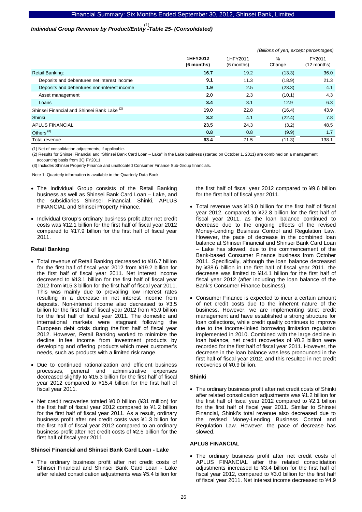# *Individual Group Revenue by Product/Entity -Table 25- (Consolidated)*  (1)

|                                                        |                        | (Billions of yen, except percentages) |                |                       |  |  |
|--------------------------------------------------------|------------------------|---------------------------------------|----------------|-----------------------|--|--|
|                                                        | 1HFY2012<br>(6 months) | 1HFY2011<br>(6 months)                | $\%$<br>Change | FY2011<br>(12 months) |  |  |
| <b>Retail Banking:</b>                                 | 16.7                   | 19.2                                  | (13.3)         | 36.0                  |  |  |
| Deposits and debentures net interest income            | 9.1                    | 11.3                                  | (18.9)         | 21.3                  |  |  |
| Deposits and debentures non-interest income            | 1.9                    | 2.5                                   | (23.3)         | 4.1                   |  |  |
| Asset management                                       | 2.0                    | 2.3                                   | (10.1)         | 4.3                   |  |  |
| Loans                                                  | 3.4                    | 3.1                                   | 12.9           | 6.3                   |  |  |
| Shinsei Financial and Shinsei Bank Lake <sup>(2)</sup> | 19.0                   | 22.8                                  | (16.4)         | 43.9                  |  |  |
| Shinki                                                 | 3.2                    | 4.1                                   | (22.4)         | 7.8                   |  |  |
| <b>APLUS FINANCIAL</b>                                 | 23.5                   | 24.3                                  | (3.2)          | 48.5                  |  |  |
| Others <sup>(3)</sup>                                  | 0.8                    | 0.8                                   | (9.9)          | 1.7                   |  |  |
| Total revenue                                          | 63.4                   | 71.5                                  | (11.3)         | 138.1                 |  |  |

(1) Net of consolidation adjustments, if applicable.

(2) Results for Shinsei Financial and "Shinsei Bank Card Loan – Lake" in the Lake business (started on October 1, 2011) are combined on a management accounting basis from 3Q FY2011.

(3) Includes Shinsei Property Finance and unallocated Consumer Finance Sub-Group financials.

Note 1: Quarterly information is available in the Quarterly Data Book

- The Individual Group consists of the Retail Banking business as well as Shinsei Bank Card Loan – Lake, and the subsidiaries Shinsei Financial, Shinki, APLUS FINANCIAL and Shinsei Property Finance.
- Individual Group's ordinary business profit after net credit costs was ¥12.1 billion for the first half of fiscal year 2012 compared to ¥17.9 billion for the first half of fiscal year 2011.

#### **Retail Banking**

- Total revenue of Retail Banking decreased to ¥16.7 billion for the first half of fiscal year 2012 from ¥19.2 billion for the first half of fiscal year 2011. Net interest income decreased to ¥13.1 billion for the first half of fiscal year 2012 from ¥15.3 billion for the first half of fiscal year 2011. This was mainly due to prevailing low interest rates resulting in a decrease in net interest income from deposits. Non-interest income also decreased to ¥3.5 billion for the first half of fiscal year 2012 from ¥3.9 billion for the first half of fiscal year 2011. The domestic and international markets were stagnant following the European debt crisis during the first half of fiscal year 2012. However, Retail Banking worked to minimize the decline in fee income from investment products by developing and offering products which meet customer's needs, such as products with a limited risk range.
- Due to continued rationalization and efficient business processes, general and administrative expenses decreased slightly to ¥15.3 billion for the first half of fiscal year 2012 compared to ¥15.4 billion for the first half of fiscal year 2011.
- Net credit recoveries totaled ¥0.0 billion (¥31 million) for the first half of fiscal year 2012 compared to ¥1.2 billion for the first half of fiscal year 2011. As a result, ordinary business profit after net credit costs was ¥1.3 billion for the first half of fiscal year 2012 compared to an ordinary business profit after net credit costs of ¥2.5 billion for the first half of fiscal year 2011.

#### **Shinsei Financial and Shinsei Bank Card Loan - Lake**

The ordinary business profit after net credit costs of Shinsei Financial and Shinsei Bank Card Loan - Lake after related consolidation adjustments was ¥5.4 billion for

the first half of fiscal year 2012 compared to ¥9.6 billion for the first half of fiscal year 2011.

- Total revenue was ¥19.0 billion for the first half of fiscal year 2012, compared to ¥22.8 billion for the first half of fiscal year 2011, as the loan balance continued to decrease due to the ongoing effects of the revised Money-Lending Business Control and Regulation Law. However, the pace of decrease in the combined loan balance at Shinsei Financial and Shinsei Bank Card Loan – Lake has slowed, due to the commencement of the Bank-based Consumer Finance business from October 2011. Specifically, although the loan balance decreased by ¥38.6 billion in the first half of fiscal year 2011, the decrease was limited to ¥14.1 billion for the first half of fiscal year 2012 (after including the loan balance of the Bank's Consumer Finance business).
- Consumer Finance is expected to incur a certain amount of net credit costs due to the inherent nature of the business. However, we are implementing strict credit management and have established a strong structure for loan collections, while credit quality continues to improve due to the income-linked borrowing limitation regulation implemented in 2010. Combined with the large decline in loan balance, net credit recoveries of ¥0.2 billion were recorded for the first half of fiscal year 2011. However, the decrease in the loan balance was less pronounced in the first half of fiscal year 2012, and this resulted in net credit recoveries of ¥0.9 billion.

### **Shinki**

• The ordinary business profit after net credit costs of Shinki after related consolidation adjustments was ¥1.2 billion for the first half of fiscal year 2012 compared to ¥2.1 billion for the first half of fiscal year 2011. Similar to Shinsei Financial, Shinki's total revenue also decreased due to the revised Money-Lending Business Control and Regulation Law. However, the pace of decrease has slowed.

#### **APLUS FINANCIAL**

• The ordinary business profit after net credit costs of APLUS FINANCIAL after the related consolidation adjustments increased to ¥3.4 billion for the first half of fiscal year 2012, compared to ¥3.0 billion for the first half of fiscal year 2011. Net interest income decreased to ¥4.9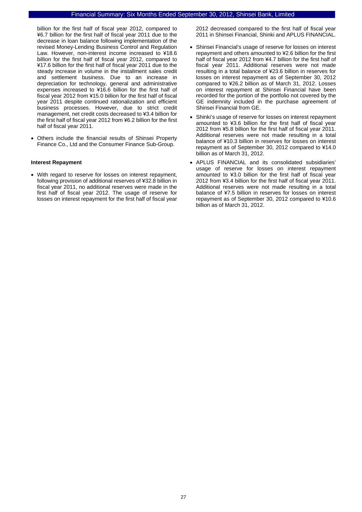billion for the first half of fiscal year 2012, compared to ¥6.7 billion for the first half of fiscal year 2011 due to the decrease in loan balance following implementation of the revised Money-Lending Business Control and Regulation Law. However, non-interest income increased to ¥18.6 billion for the first half of fiscal year 2012, compared to ¥17.6 billion for the first half of fiscal year 2011 due to the steady increase in volume in the installment sales credit and settlement business. Due to an increase in depreciation for technology, general and administrative expenses increased to ¥16.6 billion for the first half of fiscal year 2012 from ¥15.0 billion for the first half of fiscal year 2011 despite continued rationalization and efficient business processes. However, due to strict credit management, net credit costs decreased to ¥3.4 billion for the first half of fiscal year 2012 from ¥6.2 billion for the first half of fiscal year 2011.

• Others include the financial results of Shinsei Property Finance Co., Ltd and the Consumer Finance Sub-Group.

#### **Interest Repayment**

• With regard to reserve for losses on interest repayment, following provision of additional reserves of ¥32.8 billion in fiscal year 2011, no additional reserves were made in the first half of fiscal year 2012. The usage of reserve for losses on interest repayment for the first half of fiscal year

2012 decreased compared to the first half of fiscal year 2011 in Shinsei Financial, Shinki and APLUS FINANCIAL.

- Shinsei Financial's usage of reserve for losses on interest repayment and others amounted to ¥2.6 billion for the first half of fiscal year 2012 from ¥4.7 billion for the first half of fiscal year 2011. Additional reserves were not made resulting in a total balance of ¥23.6 billion in reserves for losses on interest repayment as of September 30, 2012 compared to ¥26.2 billion as of March 31, 2012. Losses on interest repayment at Shinsei Financial have been recorded for the portion of the portfolio not covered by the GE indemnity included in the purchase agreement of Shinsei Financial from GE.
- Shinki's usage of reserve for losses on interest repayment amounted to ¥3.6 billion for the first half of fiscal year 2012 from ¥5.8 billion for the first half of fiscal year 2011. Additional reserves were not made resulting in a total balance of ¥10.3 billion in reserves for losses on interest repayment as of September 30, 2012 compared to ¥14.0 billion as of March 31, 2012.
- APLUS FINANCIAL and its consolidated subsidiaries' usage of reserve for losses on interest repayment amounted to ¥3.0 billion for the first half of fiscal year 2012 from ¥3.4 billion for the first half of fiscal year 2011. Additional reserves were not made resulting in a total balance of ¥7.5 billion in reserves for losses on interest repayment as of September 30, 2012 compared to ¥10.6 billion as of March 31, 2012.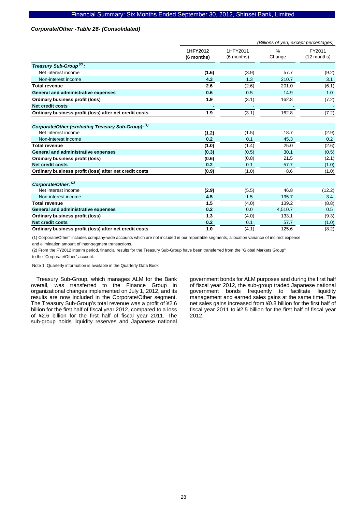#### *Corporate/Other -Table 26- (Consolidated)*

|                                                        |                        | (Billions of yen, except percentages) |             |                       |  |
|--------------------------------------------------------|------------------------|---------------------------------------|-------------|-----------------------|--|
|                                                        | 1HFY2012<br>(6 months) | 1HFY2011<br>(6 months)                | %<br>Change | FY2011<br>(12 months) |  |
| Treasury Sub-Group <sup>(2)</sup> :                    |                        |                                       |             |                       |  |
| Net interest income                                    | (1.6)                  | (3.9)                                 | 57.7        | (9.2)                 |  |
| Non-interest income                                    | 4.3                    | 1.3                                   | 210.7       | 3.1                   |  |
| <b>Total revenue</b>                                   | 2.6                    | (2.6)                                 | 201.0       | (6.1)                 |  |
| General and administrative expenses                    | 0.6                    | 0.5                                   | 14.9        | 1.0                   |  |
| Ordinary business profit (loss)                        | 1.9                    | (3.1)                                 | 162.8       | (7.2)                 |  |
| <b>Net credit costs</b>                                |                        |                                       |             |                       |  |
| Ordinary business profit (loss) after net credit costs | 1.9                    | (3.1)                                 | 162.8       | (7.2)                 |  |
| Corporate/Other (excluding Treasury Sub-Group): (1)    |                        |                                       |             |                       |  |
| Net interest income                                    | (1.2)                  | (1.5)                                 | 18.7        | (2.9)                 |  |
| Non-interest income                                    | 0.2                    | 0.1                                   | 45.3        | 0.2                   |  |
| <b>Total revenue</b>                                   | (1.0)                  | (1.4)                                 | 25.0        | (2.6)                 |  |
| General and administrative expenses                    | (0.3)                  | (0.5)                                 | 30.1        | (0.5)                 |  |
| Ordinary business profit (loss)                        | (0.6)                  | (0.8)                                 | 21.5        | (2.1)                 |  |
| <b>Net credit costs</b>                                | 0.2                    | 0.1                                   | 57.7        | (1.0)                 |  |
| Ordinary business profit (loss) after net credit costs | (0.9)                  | (1.0)                                 | 8.6         | (1.0)                 |  |
| Corporate/Other: (1)                                   |                        |                                       |             |                       |  |
| Net interest income                                    | (2.9)                  | (5.5)                                 | 46.8        | (12.2)                |  |
| Non-interest income                                    | 4.5                    | 1.5                                   | 195.7       | 3.4                   |  |
| <b>Total revenue</b>                                   | 1.5                    | (4.0)                                 | 139.2       | (8.8)                 |  |
| General and administrative expenses                    | 0.2                    | 0.0                                   | 4,510.7     | 0.5                   |  |
| Ordinary business profit (loss)                        | 1.3                    | (4.0)                                 | 133.1       | (9.3)                 |  |
| <b>Net credit costs</b>                                | 0.2                    | 0.1                                   | 57.7        | (1.0)                 |  |
| Ordinary business profit (loss) after net credit costs | 1.0                    | (4.1)                                 | 125.6       | (8.2)                 |  |

(1) Corporate/Other" includes company-wide accounts which are not included in our reportable segments, allocation variance of indirect expense and elimination amount of inter-segment transactions.

(2) From the FY2012 interim period, financial results for the Treasury Sub-Group have been transferred from the "Global Markets Group"

to the "Corporate/Other" account.

Note 1: Quarterly information is available in the Quarterly Data Book

Treasury Sub-Group, which manages ALM for the Bank overall, was transferred to the Finance Group in organizational changes implemented on July 1, 2012, and its results are now included in the Corporate/Other segment. The Treasury Sub-Group's total revenue was a profit of ¥2.6 billion for the first half of fiscal year 2012, compared to a loss of ¥2.6 billion for the first half of fiscal year 2011. The sub-group holds liquidity reserves and Japanese national government bonds for ALM purposes and during the first half of fiscal year 2012, the sub-group traded Japanese national government bonds frequently to facilitate liquidity management and earned sales gains at the same time. The net sales gains increased from ¥0.8 billion for the first half of fiscal year 2011 to ¥2.5 billion for the first half of fiscal year 2012.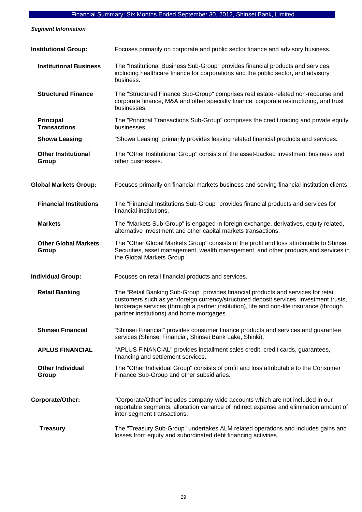*Segment Information* 

| <b>Institutional Group:</b>             | Focuses primarily on corporate and public sector finance and advisory business.                                                                                                                                                                                                                                       |
|-----------------------------------------|-----------------------------------------------------------------------------------------------------------------------------------------------------------------------------------------------------------------------------------------------------------------------------------------------------------------------|
| <b>Institutional Business</b>           | The "Institutional Business Sub-Group" provides financial products and services,<br>including healthcare finance for corporations and the public sector, and advisory<br>business.                                                                                                                                    |
| <b>Structured Finance</b>               | The "Structured Finance Sub-Group" comprises real estate-related non-recourse and<br>corporate finance, M&A and other specialty finance, corporate restructuring, and trust<br>businesses.                                                                                                                            |
| <b>Principal</b><br><b>Transactions</b> | The "Principal Transactions Sub-Group" comprises the credit trading and private equity<br>businesses.                                                                                                                                                                                                                 |
| <b>Showa Leasing</b>                    | "Showa Leasing" primarily provides leasing related financial products and services.                                                                                                                                                                                                                                   |
| <b>Other Institutional</b><br>Group     | The "Other Institutional Group" consists of the asset-backed investment business and<br>other businesses.                                                                                                                                                                                                             |
| <b>Global Markets Group:</b>            | Focuses primarily on financial markets business and serving financial institution clients.                                                                                                                                                                                                                            |
| <b>Financial Institutions</b>           | The "Financial Institutions Sub-Group" provides financial products and services for<br>financial institutions.                                                                                                                                                                                                        |
| <b>Markets</b>                          | The "Markets Sub-Group" is engaged in foreign exchange, derivatives, equity related,<br>alternative investment and other capital markets transactions.                                                                                                                                                                |
| <b>Other Global Markets</b><br>Group    | The "Other Global Markets Group" consists of the profit and loss attributable to Shinsei<br>Securities, asset management, wealth management, and other products and services in<br>the Global Markets Group.                                                                                                          |
| <b>Individual Group:</b>                | Focuses on retail financial products and services.                                                                                                                                                                                                                                                                    |
| <b>Retail Banking</b>                   | The "Retail Banking Sub-Group" provides financial products and services for retail<br>customers such as yen/foreign currency/structured deposit services, investment trusts,<br>brokerage services (through a partner institution), life and non-life insurance (through<br>partner institutions) and home mortgages. |
| <b>Shinsei Financial</b>                | "Shinsei Financial" provides consumer finance products and services and guarantee<br>services (Shinsei Financial, Shinsei Bank Lake, Shinki).                                                                                                                                                                         |
| <b>APLUS FINANCIAL</b>                  | "APLUS FINANCIAL" provides installment sales credit, credit cards, guarantees,<br>financing and settlement services.                                                                                                                                                                                                  |
| <b>Other Individual</b><br>Group        | The "Other Individual Group" consists of profit and loss attributable to the Consumer<br>Finance Sub-Group and other subsidiaries.                                                                                                                                                                                    |
| Corporate/Other:                        | "Corporate/Other" includes company-wide accounts which are not included in our<br>reportable segments, allocation variance of indirect expense and elimination amount of<br>inter-segment transactions.                                                                                                               |
| <b>Treasury</b>                         | The "Treasury Sub-Group" undertakes ALM related operations and includes gains and<br>losses from equity and subordinated debt financing activities.                                                                                                                                                                   |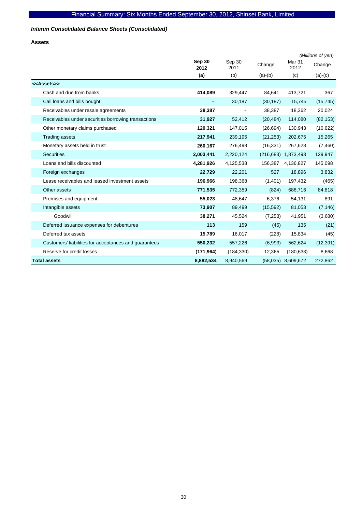### *Interim Consolidated Balance Sheets (Consolidated)*

**Assets** 

|                                                       |                |                          |           |                           | (Millions of yen) |
|-------------------------------------------------------|----------------|--------------------------|-----------|---------------------------|-------------------|
|                                                       | Sep 30<br>2012 | Sep $30$<br>2011         | Change    | Mar <sub>31</sub><br>2012 | Change            |
|                                                       | (a)            | (b)                      | $(a)-(b)$ | (c)                       | $(a)-(c)$         |
| < <assets>&gt;</assets>                               |                |                          |           |                           |                   |
| Cash and due from banks                               | 414,089        | 329,447                  | 84,641    | 413,721                   | 367               |
| Call loans and bills bought                           | ٠              | 30,187                   | (30, 187) | 15,745                    | (15, 745)         |
| Receivables under resale agreements                   | 38,387         | $\overline{\phantom{0}}$ | 38,387    | 18,362                    | 20,024            |
| Receivables under securities borrowing transactions   | 31,927         | 52,412                   | (20, 484) | 114,080                   | (82, 153)         |
| Other monetary claims purchased                       | 120,321        | 147,015                  | (26, 694) | 130,943                   | (10, 622)         |
| <b>Trading assets</b>                                 | 217,941        | 239,195                  | (21, 253) | 202,675                   | 15,265            |
| Monetary assets held in trust                         | 260,167        | 276,498                  | (16, 331) | 267,628                   | (7,460)           |
| <b>Securities</b>                                     | 2,003,441      | 2,220,124                |           | (216,683) 1,873,493       | 129,947           |
| Loans and bills discounted                            | 4,281,926      | 4,125,538                | 156,387   | 4,136,827                 | 145,098           |
| Foreign exchanges                                     | 22,729         | 22,201                   | 527       | 18,896                    | 3,832             |
| Lease receivables and leased investment assets        | 196,966        | 198,368                  | (1,401)   | 197,432                   | (465)             |
| Other assets                                          | 771,535        | 772,359                  | (824)     | 686,716                   | 84,818            |
| Premises and equipment                                | 55,023         | 48,647                   | 6,376     | 54,131                    | 891               |
| Intangible assets                                     | 73,907         | 89,499                   | (15, 592) | 81,053                    | (7, 146)          |
| Goodwill                                              | 38,271         | 45,524                   | (7, 253)  | 41,951                    | (3,680)           |
| Deferred issuance expenses for debentures             | 113            | 159                      | (45)      | 135                       | (21)              |
| Deferred tax assets                                   | 15,789         | 16,017                   | (228)     | 15,834                    | (45)              |
| Customers' liabilities for acceptances and guarantees | 550,232        | 557,226                  | (6,993)   | 562,624                   | (12, 391)         |
| Reserve for credit losses                             | (171, 964)     | (184, 330)               | 12,365    | (180, 633)                | 8,668             |
| Total assets                                          | 8,882,534      | 8,940,569                |           | $(58,035)$ 8,609,672      | 272,862           |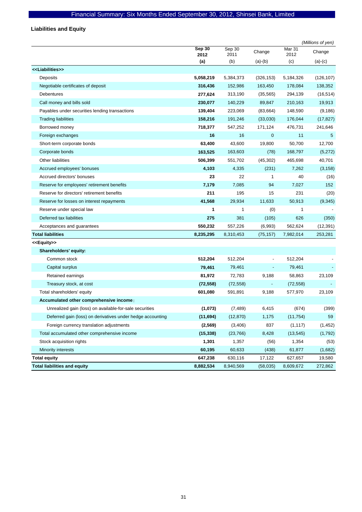# **Liabilities and Equity**

|                                                            |                |                |                          |                | (Millions of yen) |
|------------------------------------------------------------|----------------|----------------|--------------------------|----------------|-------------------|
|                                                            | Sep 30<br>2012 | Sep 30<br>2011 | Change                   | Mar 31<br>2012 | Change            |
|                                                            | (a)            | (b)            | $(a)-(b)$                | (c)            | $(a)-(c)$         |
| < <liabilities>&gt;</liabilities>                          |                |                |                          |                |                   |
| Deposits                                                   | 5,058,219      | 5,384,373      | (326, 153)               | 5,184,326      | (126, 107)        |
| Negotiable certificates of deposit                         | 316,436        | 152,986        | 163,450                  | 178,084        | 138,352           |
| <b>Debentures</b>                                          | 277,624        | 313,190        | (35, 565)                | 294,139        | (16, 514)         |
| Call money and bills sold                                  | 230,077        | 140,229        | 89,847                   | 210,163        | 19,913            |
| Payables under securities lending transactions             | 139,404        | 223,069        | (83, 664)                | 148,590        | (9, 186)          |
| <b>Trading liabilities</b>                                 | 158,216        | 191,246        | (33,030)                 | 176,044        | (17, 827)         |
| Borrowed money                                             | 718,377        | 547,252        | 171,124                  | 476,731        | 241,646           |
| Foreign exchanges                                          | 16             | 16             | $\mathbf 0$              | 11             | 5                 |
| Short-term corporate bonds                                 | 63,400         | 43,600         | 19,800                   | 50,700         | 12,700            |
| Corporate bonds                                            | 163,525        | 163,603        | (78)                     | 168,797        | (5,272)           |
| Other liabilities                                          | 506,399        | 551,702        | (45, 302)                | 465,698        | 40,701            |
| Accrued employees' bonuses                                 | 4,103          | 4,335          | (231)                    | 7,262          | (3, 158)          |
| Accrued directors' bonuses                                 | 23             | 22             | 1                        | 40             | (16)              |
| Reserve for employees' retirement benefits                 | 7,179          | 7,085          | 94                       | 7,027          | 152               |
| Reserve for directors' retirement benefits                 | 211            | 195            | 15                       | 231            | (20)              |
| Reserve for losses on interest repayments                  | 41,568         | 29,934         | 11,633                   | 50,913         | (9, 345)          |
| Reserve under special law                                  | 1              | 1              | (0)                      | 1              |                   |
| Deferred tax liabilities                                   | 275            | 381            | (105)                    | 626            | (350)             |
| Acceptances and guarantees                                 | 550,232        | 557,226        | (6,993)                  | 562,624        | (12, 391)         |
| <b>Total liabilities</b>                                   | 8,235,295      | 8,310,453      | (75, 157)                | 7,982,014      | 253,281           |
| < <equity>&gt;</equity>                                    |                |                |                          |                |                   |
| Shareholders' equity:                                      |                |                |                          |                |                   |
| Common stock                                               | 512,204        | 512,204        |                          | 512,204        |                   |
| Capital surplus                                            | 79,461         | 79,461         | ٠                        | 79,461         |                   |
| Retained earnings                                          | 81,972         | 72,783         | 9,188                    | 58,863         | 23,109            |
| Treasury stock, at cost                                    | (72, 558)      | (72, 558)      | $\overline{\phantom{a}}$ | (72, 558)      |                   |
| Total shareholders' equity                                 | 601,080        | 591,891        | 9,188                    | 577,970        | 23,109            |
| Accumulated other comprehensive income:                    |                |                |                          |                |                   |
| Unrealized gain (loss) on available-for-sale securities    | (1,073)        | (7, 489)       | 6,415                    | (674)          | (399)             |
| Deferred gain (loss) on derivatives under hedge accounting | (11, 694)      | (12, 870)      | 1,175                    | (11, 754)      | 59                |
| Foreign currency translation adjustments                   | (2, 569)       | (3,406)        | 837                      | (1, 117)       | (1, 452)          |
| Total accumulated other comprehensive income               | (15, 338)      | (23, 766)      | 8,428                    | (13, 545)      | (1,792)           |
| Stock acquisition rights                                   | 1,301          | 1,357          | (56)                     | 1,354          | (53)              |
| <b>Minority interests</b>                                  | 60,195         | 60,633         | (438)                    | 61,877         | (1,682)           |
| <b>Total equity</b>                                        | 647,238        | 630,116        | 17,122                   | 627,657        | 19,580            |
| <b>Total liabilities and equity</b>                        | 8,882,534      | 8,940,569      | (58,035)                 | 8,609,672      | 272,862           |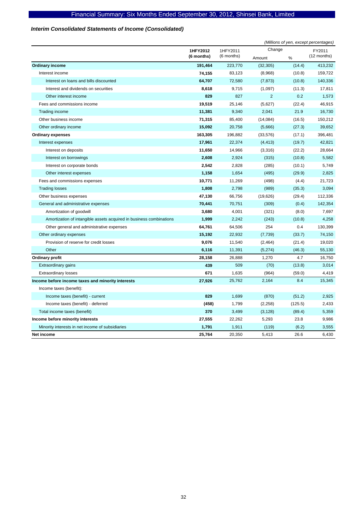### *Interim Consolidated Statements of Income (Consolidated)*

|                                                                     |            | (Millions of yen, except percentages) |                |         |             |
|---------------------------------------------------------------------|------------|---------------------------------------|----------------|---------|-------------|
|                                                                     | 1HFY2012   | 1HFY2011                              | Change         |         | FY2011      |
|                                                                     | (6 months) | (6 months)                            | Amount         | %       | (12 months) |
| Ordinary income                                                     | 191,464    | 223,770                               | (32, 305)      | (14.4)  | 413,232     |
| Interest income                                                     | 74,155     | 83,123                                | (8,968)        | (10.8)  | 159,722     |
| Interest on loans and bills discounted                              | 64,707     | 72,580                                | (7, 873)       | (10.8)  | 140,336     |
| Interest and dividends on securities                                | 8,618      | 9,715                                 | (1,097)        | (11.3)  | 17,811      |
| Other interest income                                               | 829        | 827                                   | $\overline{2}$ | 0.2     | 1,573       |
| Fees and commissions income                                         | 19,519     | 25,146                                | (5,627)        | (22.4)  | 46,915      |
| Trading income                                                      | 11,381     | 9,340                                 | 2,041          | 21.9    | 16,730      |
| Other business income                                               | 71,315     | 85,400                                | (14,084)       | (16.5)  | 150,212     |
| Other ordinary income                                               | 15,092     | 20,758                                | (5,666)        | (27.3)  | 39,652      |
| <b>Ordinary expenses</b>                                            | 163,305    | 196,882                               | (33, 576)      | (17.1)  | 396,481     |
| Interest expenses                                                   | 17,961     | 22,374                                | (4, 413)       | (19.7)  | 42,821      |
| Interest on deposits                                                | 11,650     | 14,966                                | (3,316)        | (22.2)  | 28,664      |
| Interest on borrowings                                              | 2,608      | 2,924                                 | (315)          | (10.8)  | 5,582       |
| Interest on corporate bonds                                         | 2,542      | 2,828                                 | (285)          | (10.1)  | 5,749       |
| Other interest expenses                                             | 1,158      | 1,654                                 | (495)          | (29.9)  | 2,825       |
| Fees and commissions expenses                                       | 10,771     | 11,269                                | (498)          | (4.4)   | 21,723      |
| <b>Trading losses</b>                                               | 1,808      | 2,798                                 | (989)          | (35.3)  | 3,094       |
| Other business expenses                                             | 47,130     | 66,756                                | (19, 626)      | (29.4)  | 112,336     |
| General and administrative expenses                                 | 70,441     | 70,751                                | (309)          | (0.4)   | 142,354     |
| Amortization of goodwill                                            | 3,680      | 4,001                                 | (321)          | (8.0)   | 7,697       |
| Amortization of intangible assets acquired in business combinations | 1,999      | 2,242                                 | (243)          | (10.8)  | 4,258       |
| Other general and administrative expenses                           | 64,761     | 64,506                                | 254            | 0.4     | 130,399     |
| Other ordinary expenses                                             | 15,192     | 22,932                                | (7, 739)       | (33.7)  | 74,150      |
| Provision of reserve for credit losses                              | 9,076      | 11,540                                | (2, 464)       | (21.4)  | 19,020      |
| Other                                                               | 6,116      | 11,391                                | (5,274)        | (46.3)  | 55,130      |
| Ordinary profit                                                     | 28,158     | 26,888                                | 1,270          | 4.7     | 16,750      |
| <b>Extraordinary gains</b>                                          | 439        | 509                                   | (70)           | (13.8)  | 3,014       |
| <b>Extraordinary losses</b>                                         | 671        | 1,635                                 | (964)          | (59.0)  | 4,419       |
| Income before income taxes and minority interests                   | 27,926     | 25,762                                | 2,164          | 8.4     | 15,345      |
| Income taxes (benefit):                                             |            |                                       |                |         |             |
| Income taxes (benefit) - current                                    | 829        | 1,699                                 | (870)          | (51.2)  | 2,925       |
| Income taxes (benefit) - deferred                                   | (458)      | 1,799                                 | (2,258)        | (125.5) | 2,433       |
| Total income taxes (benefit)                                        | 370        | 3,499                                 | (3, 128)       | (89.4)  | 5,359       |
| Income before minority interests                                    | 27,555     | 22,262                                | 5,293          | 23.8    | 9,986       |
| Minority interests in net income of subsidiaries                    | 1,791      | 1,911                                 | (119)          | (6.2)   | 3,555       |
| Net income                                                          | 25,764     | 20,350                                | 5,413          | 26.6    | 6,430       |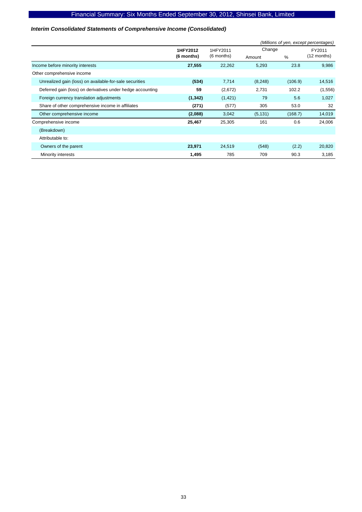### *Interim Consolidated Statements of Comprehensive Income (Consolidated)*

|                                                            |            |                    | (Millions of yen, except percentages) |         |             |  |  |
|------------------------------------------------------------|------------|--------------------|---------------------------------------|---------|-------------|--|--|
|                                                            | 1HFY2012   | Change<br>1HFY2011 |                                       |         | FY2011      |  |  |
|                                                            | (6 months) | (6 months)         | Amount                                | %       | (12 months) |  |  |
| Income before minority interests                           | 27,555     | 22,262             | 5,293                                 | 23.8    | 9,986       |  |  |
| Other comprehensive income                                 |            |                    |                                       |         |             |  |  |
| Unrealized gain (loss) on available-for-sale securities    | (534)      | 7,714              | (8, 248)                              | (106.9) | 14,516      |  |  |
| Deferred gain (loss) on derivatives under hedge accounting | 59         | (2,672)            | 2,731                                 | 102.2   | (1,556)     |  |  |
| Foreign currency translation adjustments                   | (1, 342)   | (1, 421)           | 79                                    | 5.6     | 1,027       |  |  |
| Share of other comprehensive income in affiliates          | (271)      | (577)              | 305                                   | 53.0    | 32          |  |  |
| Other comprehensive income                                 | (2,088)    | 3,042              | (5, 131)                              | (168.7) | 14,019      |  |  |
| Comprehensive income                                       | 25,467     | 25,305             | 161                                   | 0.6     | 24,006      |  |  |
| (Breakdown)                                                |            |                    |                                       |         |             |  |  |
| Attributable to:                                           |            |                    |                                       |         |             |  |  |
| Owners of the parent                                       | 23,971     | 24,519             | (548)                                 | (2.2)   | 20,820      |  |  |
| Minority interests                                         | 1,495      | 785                | 709                                   | 90.3    | 3,185       |  |  |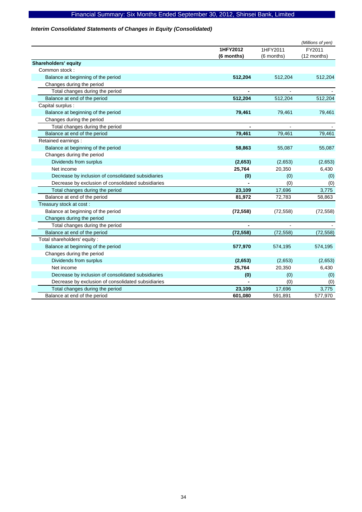### *Interim Consolidated Statements of Changes in Equity (Consolidated)*

|                                                    |            |            | (Millions of yen) |
|----------------------------------------------------|------------|------------|-------------------|
|                                                    | 1HFY2012   | 1HFY2011   | FY2011            |
|                                                    | (6 months) | (6 months) | (12 months)       |
| <b>Shareholders' equity</b>                        |            |            |                   |
| Common stock:                                      |            |            |                   |
| Balance at beginning of the period                 | 512,204    | 512,204    | 512,204           |
| Changes during the period                          |            |            |                   |
| Total changes during the period                    |            |            |                   |
| Balance at end of the period                       | 512,204    | 512,204    | 512,204           |
| Capital surplus :                                  |            |            |                   |
| Balance at beginning of the period                 | 79,461     | 79,461     | 79,461            |
| Changes during the period                          |            |            |                   |
| Total changes during the period                    |            |            |                   |
| Balance at end of the period                       | 79,461     | 79,461     | 79,461            |
| Retained earnings :                                |            |            |                   |
| Balance at beginning of the period                 | 58,863     | 55,087     | 55,087            |
| Changes during the period                          |            |            |                   |
| Dividends from surplus                             | (2,653)    | (2,653)    | (2,653)           |
| Net income                                         | 25,764     | 20,350     | 6,430             |
| Decrease by inclusion of consolidated subsidiaries | (0)        | (0)        | (0)               |
| Decrease by exclusion of consolidated subsidiaries |            | (0)        | (0)               |
| Total changes during the period                    | 23,109     | 17,696     | 3,775             |
| Balance at end of the period                       | 81,972     | 72,783     | 58,863            |
| Treasury stock at cost:                            |            |            |                   |
| Balance at beginning of the period                 | (72, 558)  | (72, 558)  | (72, 558)         |
| Changes during the period                          |            |            |                   |
| Total changes during the period                    |            |            |                   |
| Balance at end of the period                       | (72, 558)  | (72, 558)  | (72, 558)         |
| Total shareholders' equity:                        |            |            |                   |
| Balance at beginning of the period                 | 577,970    | 574,195    | 574,195           |
| Changes during the period                          |            |            |                   |
| Dividends from surplus                             | (2,653)    | (2,653)    | (2,653)           |
| Net income                                         | 25,764     | 20,350     | 6,430             |
| Decrease by inclusion of consolidated subsidiaries | (0)        | (0)        | (0)               |
| Decrease by exclusion of consolidated subsidiaries |            | (0)        | (0)               |
| Total changes during the period                    | 23,109     | 17,696     | 3,775             |
| Balance at end of the period                       | 601,080    | 591,891    | 577,970           |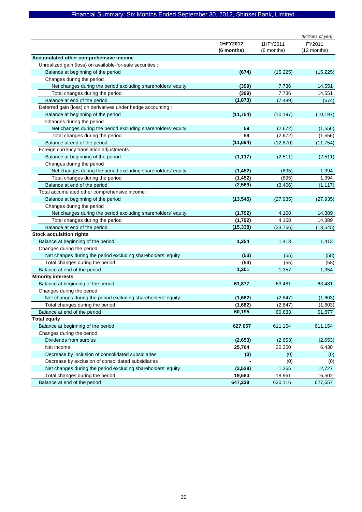|                                                              |            |            | (Millions of yen) |
|--------------------------------------------------------------|------------|------------|-------------------|
|                                                              | 1HFY2012   | 1HFY2011   | FY2011            |
|                                                              | (6 months) | (6 months) | (12 months)       |
| Accumulated other comprehensive income                       |            |            |                   |
| Unrealized gain (loss) on available-for-sale securities :    |            |            |                   |
| Balance at beginning of the period                           | (674)      | (15, 225)  | (15, 225)         |
| Changes during the period                                    |            |            |                   |
| Net changes during the period excluding shareholders' equity | (399)      | 7,736      | 14,551            |
| Total changes during the period                              | (399)      | 7,736      | 14,551            |
| Balance at end of the period                                 | (1,073)    | (7, 489)   | (674)             |
| Deferred gain (loss) on derivatives under hedge accounting : |            |            |                   |
| Balance at beginning of the period                           | (11, 754)  | (10, 197)  | (10, 197)         |
| Changes during the period                                    |            |            |                   |
| Net changes during the period excluding shareholders' equity | 59         | (2,672)    | (1,556)           |
| Total changes during the period                              | 59         | (2,672)    | (1, 556)          |
| Balance at end of the period                                 | (11, 694)  | (12, 870)  | (11, 754)         |
| Foreign currency translation adjustments :                   |            |            |                   |
| Balance at beginning of the period                           | (1, 117)   | (2,511)    | (2,511)           |
| Changes during the period                                    |            |            |                   |
| Net changes during the period excluding shareholders' equity | (1, 452)   | (895)      | 1,394             |
| Total changes during the period                              | (1, 452)   | (895)      | 1,394             |
| Balance at end of the period                                 | (2, 569)   | (3, 406)   | (1, 117)          |
| Total accumulated other comprehensive income :               |            |            |                   |
| Balance at beginning of the period                           | (13, 545)  | (27, 935)  | (27, 935)         |
| Changes during the period                                    |            |            |                   |
| Net changes during the period excluding shareholders' equity | (1,792)    | 4,168      | 14,389            |
| Total changes during the period                              | (1,792)    | 4,168      | 14,389            |
| Balance at end of the period                                 | (15, 338)  | (23, 766)  | (13, 545)         |
| <b>Stock acquisition rights</b>                              |            |            |                   |
| Balance at beginning of the period                           | 1,354      | 1,413      | 1,413             |
| Changes during the period                                    |            |            |                   |
| Net changes during the period excluding shareholders' equity | (53)       | (55)       | (58)              |
| Total changes during the period                              | (53)       | (55)       | (58)              |
| Balance at end of the period                                 | 1,301      | 1,357      | 1,354             |
| <b>Minority interests</b>                                    |            |            |                   |
| Balance at beginning of the period                           | 61,877     | 63,481     | 63,481            |
| Changes during the period                                    |            |            |                   |
| Net changes during the period excluding shareholders' equity | (1,682)    | (2, 847)   | (1,603)           |
| Total changes during the period                              | (1,682)    | (2, 847)   | (1,603)           |
| Balance at end of the period                                 | 60,195     | 60,633     | 61,877            |
| <b>Total equity</b>                                          |            |            |                   |
| Balance at beginning of the period                           | 627,657    | 611,154    | 611,154           |
| Changes during the period                                    |            |            |                   |
| Dividends from surplus                                       | (2,653)    | (2,653)    | (2,653)           |
| Net income                                                   | 25,764     | 20,350     | 6,430             |
| Decrease by inclusion of consolidated subsidiaries           | (0)        | (0)        | (0)               |
| Decrease by exclusion of consolidated subsidiaries           |            | (0)        | (0)               |
| Net changes during the period excluding shareholders' equity | (3, 528)   | 1,265      | 12,727            |
| Total changes during the period                              | 19,580     | 18,961     | 16,502            |
| Balance at end of the period                                 | 647,238    | 630,116    | 627,657           |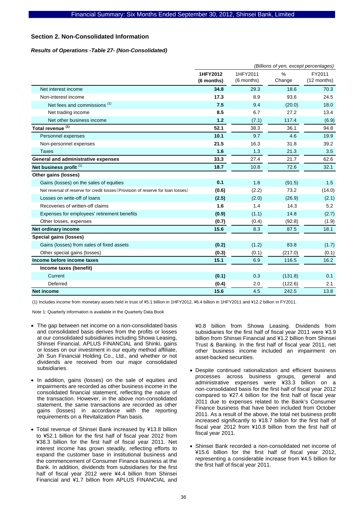### **Section 2. Non-Consolidated Information**

#### *Results of Operations -Table 27- (Non-Consolidated)*

|                                                                                  | (Billions of yen, except percentages) |                        |             |                       |  |  |
|----------------------------------------------------------------------------------|---------------------------------------|------------------------|-------------|-----------------------|--|--|
|                                                                                  | 1HFY2012<br>(6 months)                | 1HFY2011<br>(6 months) | %<br>Change | FY2011<br>(12 months) |  |  |
| Net interest income                                                              | 34.8                                  | 29.3                   | 18.6        | 70.3                  |  |  |
| Non-interest income                                                              | 17.3                                  | 8.9                    | 93.6        | 24.5                  |  |  |
| Net fees and commissions <sup>(1)</sup>                                          | 7.5                                   | 9.4                    | (20.0)      | 18.0                  |  |  |
| Net trading income                                                               | 8.5                                   | 6.7                    | 27.2        | 13.4                  |  |  |
| Net other business income                                                        | 1.2                                   | (7.1)                  | 117.4       | (6.9)                 |  |  |
| Total revenue <sup>(1)</sup>                                                     | 52.1                                  | 38.3                   | 36.1        | 94.8                  |  |  |
| Personnel expenses                                                               | 10.1                                  | 9.7                    | 4.6         | 19.9                  |  |  |
| Non-personnel expenses                                                           | 21.5                                  | 16.3                   | 31.8        | 39.2                  |  |  |
| <b>Taxes</b>                                                                     | 1.6                                   | 1.3                    | 21.3        | 3.5                   |  |  |
| General and administrative expenses                                              | 33.3                                  | 27.4                   | 21.7        | 62.6                  |  |  |
| Net business profit <sup>(1)</sup>                                               | 18.7                                  | 10.8                   | 72.6        | 32.1                  |  |  |
| Other gains (losses)                                                             |                                       |                        |             |                       |  |  |
| Gains (losses) on the sales of equities                                          | 0.1                                   | 1.8                    | (91.5)      | 1.5                   |  |  |
| Net reversal of reserve for credit losses (Provision of reserve for loan losses) | (0.6)                                 | (2.2)                  | 73.2        | (14.0)                |  |  |
| Losses on write-off of loans                                                     | (2.5)                                 | (2.0)                  | (26.9)      | (2.1)                 |  |  |
| Recoveries of written-off claims                                                 | 1.6                                   | 1.4                    | 14.3        | 5.2                   |  |  |
| Expenses for employees' retirement benefits                                      | (0.9)                                 | (1.1)                  | 14.8        | (2.7)                 |  |  |
| Other losses, expenses                                                           | (0.7)                                 | (0.4)                  | (92.8)      | (1.9)                 |  |  |
| Net ordinary income                                                              | 15.6                                  | 8.3                    | 87.5        | 18.1                  |  |  |
| Special gains (losses)                                                           |                                       |                        |             |                       |  |  |
| Gains (losses) from sales of fixed assets                                        | (0.2)                                 | (1.2)                  | 83.8        | (1.7)                 |  |  |
| Other special gains (losses)                                                     | (0.3)                                 | (0.1)                  | (217.0)     | (0.1)                 |  |  |
| Income before income taxes                                                       | 15.1                                  | 6.9                    | 116.5       | 16.2                  |  |  |
| Income taxes (benefit)                                                           |                                       |                        |             |                       |  |  |
| Current                                                                          | (0.1)                                 | 0.3                    | (131.8)     | 0.1                   |  |  |
| Deferred                                                                         | (0.4)                                 | 2.0                    | (122.6)     | 2.1                   |  |  |
| <b>Net income</b>                                                                | 15.6                                  | 4.5                    | 242.5       | 13.8                  |  |  |

(1) Includes income from monetary assets held in trust of ¥5.1 billion in 1HFY2012, ¥6.4 billion in 1HFY2011 and ¥12.2 billion in FY2011.

Note 1: Quarterly information is available in the Quarterly Data Book

- The gap between net income on a non-consolidated basis and consolidated basis derives from the profits or losses at our consolidated subsidiaries including Showa Leasing, Shinsei Financial, APLUS FINANCIAL and Shinki, gains or losses on our investment in our equity method affiliate, Jih Sun Financial Holding Co., Ltd., and whether or not dividends are received from our major consolidated subsidiaries.
- In addition, gains (losses) on the sale of equities and impairments are recorded as other business income in the consolidated financial statement, reflecting the nature of the transaction. However, in the above non-consolidated statement, the same transactions are recorded as other gains (losses) in accordance with the reporting requirements on a Revitalization Plan basis.
- Total revenue of Shinsei Bank increased by ¥13.8 billion to ¥52.1 billion for the first half of fiscal year 2012 from ¥38.3 billion for the first half of fiscal year 2011. Net interest income has grown steadily, reflecting efforts to expand the customer base in institutional business and the commencement of Consumer Finance business at the Bank. In addition, dividends from subsidiaries for the first half of fiscal year 2012 were ¥4.4 billion from Shinsei Financial and ¥1.7 billion from APLUS FINANCIAL and

¥0.8 billion from Showa Leasing. Dividends from subsidiaries for the first half of fiscal year 2011 were ¥3.9 billion from Shinsei Financial and ¥1.2 billion from Shinsei Trust & Banking. In the first half of fiscal year 2011, net other business income included an impairment on asset-backed securities.

- Despite continued rationalization and efficient business processes across business groups, general and administrative expenses were ¥33.3 billion on a non-consolidated basis for the first half of fiscal year 2012 compared to ¥27.4 billion for the first half of fiscal year 2011 due to expenses related to the Bank's Consumer Finance business that have been included from October 2011. As a result of the above, the total net business profit increased significantly to ¥18.7 billion for the first half of fiscal year 2012 from ¥10.8 billion from the first half of fiscal year 2011.
- Shinsei Bank recorded a non-consolidated net income of ¥15.6 billion for the first half of fiscal year 2012, representing a considerable increase from ¥4.5 billion for the first half of fiscal year 2011.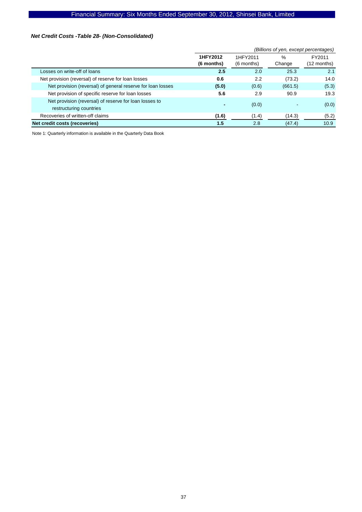### *Net Credit Costs -Table 28- (Non-Consolidated)*

|                                                                                   | (Billions of yen, except percentages) |            |         |             |  |  |
|-----------------------------------------------------------------------------------|---------------------------------------|------------|---------|-------------|--|--|
|                                                                                   | 1HFY2012                              | 1HFY2011   | %       | FY2011      |  |  |
|                                                                                   | (6 months)                            | (6 months) | Change  | (12 months) |  |  |
| Losses on write-off of loans                                                      | 2.5                                   | 2.0        | 25.3    | 2.1         |  |  |
| Net provision (reversal) of reserve for loan losses                               | 0.6                                   | 2.2        | (73.2)  | 14.0        |  |  |
| Net provision (reversal) of general reserve for loan losses                       | (5.0)                                 | (0.6)      | (661.5) | (5.3)       |  |  |
| Net provision of specific reserve for loan losses                                 | 5.6                                   | 2.9        | 90.9    | 19.3        |  |  |
| Net provision (reversal) of reserve for loan losses to<br>restructuring countries | -                                     | (0.0)      |         | (0.0)       |  |  |
| Recoveries of written-off claims                                                  | (1.6)                                 | (1.4)      | (14.3)  | (5.2)       |  |  |
| Net credit costs (recoveries)                                                     | 1.5                                   | 2.8        | (47.4)  | 10.9        |  |  |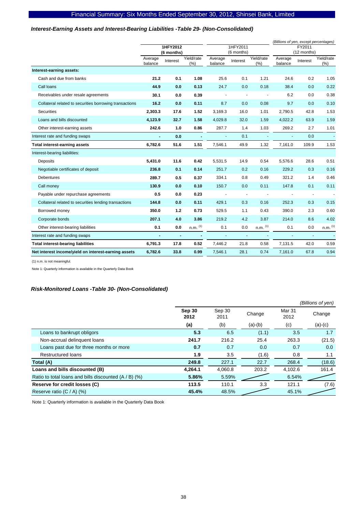### *Interest-Earning Assets and Interest-Bearing Liabilities -Table 29- (Non-Consolidated)*

|                                                         |                |                |              |                |                          |              | (Billions of yen, except percentages) |                          |                       |
|---------------------------------------------------------|----------------|----------------|--------------|----------------|--------------------------|--------------|---------------------------------------|--------------------------|-----------------------|
|                                                         |                | 1HFY2012       |              |                | 1HFY2011                 |              |                                       | FY2011                   |                       |
|                                                         | Average        | (6 months)     | Yield/rate   | Average        | (6 months)               | Yield/rate   | Average                               | (12 months)              | Yield/rate            |
|                                                         | balance        | Interest       | (%)          | balance        | Interest                 | (% )         | balance                               | Interest                 | (% )                  |
| Interest-earning assets:                                |                |                |              |                |                          |              |                                       |                          |                       |
| Cash and due from banks                                 | 21.2           | 0.1            | 1.08         | 25.6           | 0.1                      | 1.21         | 24.6                                  | 0.2                      | 1.05                  |
| Call loans                                              | 44.9           | 0.0            | 0.13         | 24.7           | 0.0                      | 0.18         | 38.4                                  | 0.0                      | 0.22                  |
| Receivables under resale agreements                     | 30.1           | 0.0            | 0.39         |                | $\overline{\phantom{a}}$ |              | 6.2                                   | 0.0                      | 0.38                  |
| Collateral related to securities borrowing transactions | 16.2           | 0.0            | 0.11         | 8.7            | 0.0                      | 0.08         | 9.7                                   | 0.0                      | 0.10                  |
| <b>Securities</b>                                       | 2,303.3        | 17.6           | 1.52         | 3,169.3        | 16.0                     | 1.01         | 2,790.5                               | 42.8                     | 1.53                  |
| Loans and bills discounted                              | 4,123.9        | 32.7           | 1.58         | 4,029.8        | 32.0                     | 1.59         | 4,022.2                               | 63.9                     | 1.59                  |
| Other interest-earning assets                           | 242.6          | 1.0            | 0.86         | 287.7          | 1.4                      | 1.03         | 269.2                                 | 2.7                      | 1.01                  |
| Interest rate and funding swaps                         |                | 0.0            | ä,           | $\Delta$       | 0.1                      | ÷,           | $\blacksquare$                        | 0.0                      |                       |
| Total interest-earning assets                           | 6,782.6        | 51.6           | 1.51         | 7,546.1        | 49.9                     | 1.32         | 7,161.0                               | 109.9                    | 1.53                  |
| Interest-bearing liabilities:                           |                |                |              |                |                          |              |                                       |                          |                       |
| Deposits                                                | 5,431.0        | 11.6           | 0.42         | 5,531.5        | 14.9                     | 0.54         | 5,576.6                               | 28.6                     | 0.51                  |
| Negotiable certificates of deposit                      | 236.8          | 0.1            | 0.14         | 251.7          | 0.2                      | 0.16         | 229.2                                 | 0.3                      | 0.16                  |
| <b>Debentures</b>                                       | 289.7          | 0.5            | 0.37         | 334.1          | 0.8                      | 0.49         | 321.2                                 | 1.4                      | 0.46                  |
| Call money                                              | 130.9          | 0.0            | 0.10         | 150.7          | 0.0                      | 0.11         | 147.8                                 | 0.1                      | 0.11                  |
| Payable under repurchase agreements                     | 0.5            | 0.0            | 0.23         |                | $\overline{\phantom{a}}$ |              |                                       | $\overline{\phantom{a}}$ |                       |
| Collateral related to securities lending transactions   | 144.8          | 0.0            | 0.11         | 429.1          | 0.3                      | 0.16         | 252.3                                 | 0.3                      | 0.15                  |
| Borrowed money                                          | 350.0          | 1.2            | 0.73         | 529.5          | 1.1                      | 0.43         | 390.0                                 | 2.3                      | 0.60                  |
| Corporate bonds                                         | 207.1          | 4.0            | 3.86         | 219.2          | 4.2                      | 3.87         | 214.0                                 | 8.6                      | 4.02                  |
| Other interest-bearing liabilities                      | 0.1            | 0.0            | $n.m.$ $(1)$ | 0.1            | 0.0                      | $n.m.$ $(1)$ | 0.1                                   | 0.0                      | $n.m.$ <sup>(1)</sup> |
| Interest rate and funding swaps                         | $\blacksquare$ | $\blacksquare$ |              | $\blacksquare$ | $\blacksquare$           |              | $\blacksquare$                        | $\overline{\phantom{a}}$ |                       |
| <b>Total interest-bearing liabilities</b>               | 6,791.3        | 17.8           | 0.52         | 7,446.2        | 21.8                     | 0.58         | 7,131.5                               | 42.0                     | 0.59                  |
| Net interest income/yield on interest-earning assets    | 6,782.6        | 33.8           | 0.99         | 7,546.1        | 28.1                     | 0.74         | 7,161.0                               | 67.8                     | 0.94                  |

(1) n.m. is not meaningful.

Note 1: Quarterly information is available in the Quarterly Data Book

### *Risk-Monitored Loans -Table 30- (Non-Consolidated)*

|                                                         |                |                |           |                | (Billions of yen) |
|---------------------------------------------------------|----------------|----------------|-----------|----------------|-------------------|
|                                                         | Sep 30<br>2012 | Sep 30<br>2011 | Change    | Mar 31<br>2012 | Change            |
|                                                         | (a)            | (b)            | $(a)-(b)$ | (c)            | $(a)-(c)$         |
| Loans to bankrupt obligors                              | 5.3            | 6.5            | (1.1)     | 3.5            | 1.7               |
| Non-accrual delinquent loans                            | 241.7          | 216.2          | 25.4      | 263.3          | (21.5)            |
| Loans past due for three months or more                 | 0.7            | 0.7            | 0.0       | 0.7            | 0.0               |
| <b>Restructured loans</b>                               | 1.9            | 3.5            | (1.6)     | 0.8            | 1.1               |
| Total (A)                                               | 249.8          | 227.1          | 22.7      | 268.4          | (18.6)            |
| Loans and bills discounted (B)                          | 4.264.1        | 4.060.8        | 203.2     | 4.102.6        | 161.4             |
| Ratio to total loans and bills discounted $(A / B)$ (%) | 5.86%          | 5.59%          |           | 6.54%          |                   |
| Reserve for credit losses (C)                           | 113.5          | 110.1          | 3.3       | 121.1          | (7.6)             |
| Reserve ratio $(C / A)$ (%)                             | 45.4%          | 48.5%          |           | 45.1%          |                   |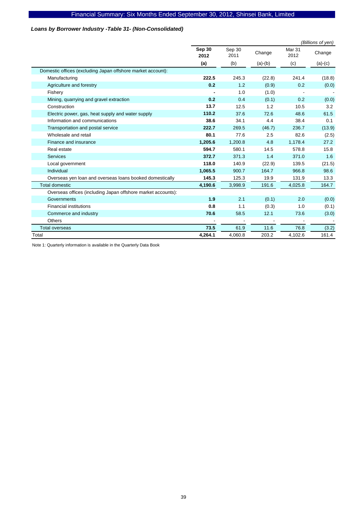### *Loans by Borrower Industry -Table 31- (Non-Consolidated)*

|                                                              |                       |                |           |                           | (Billions of yen) |
|--------------------------------------------------------------|-----------------------|----------------|-----------|---------------------------|-------------------|
|                                                              | <b>Sep 30</b><br>2012 | Sep 30<br>2011 | Change    | Mar <sub>31</sub><br>2012 | Change            |
|                                                              | (a)                   | (b)            | $(a)-(b)$ | (c)                       | $(a)-(c)$         |
| Domestic offices (excluding Japan offshore market account):  |                       |                |           |                           |                   |
| Manufacturing                                                | 222.5                 | 245.3          | (22.8)    | 241.4                     | (18.8)            |
| Agriculture and forestry                                     | 0.2                   | 1.2            | (0.9)     | 0.2                       | (0.0)             |
| Fishery                                                      |                       | 1.0            | (1.0)     |                           |                   |
| Mining, quarrying and gravel extraction                      | 0.2                   | 0.4            | (0.1)     | 0.2                       | (0.0)             |
| Construction                                                 | 13.7                  | 12.5           | 1.2       | 10.5                      | 3.2               |
| Electric power, gas, heat supply and water supply            | 110.2                 | 37.6           | 72.6      | 48.6                      | 61.5              |
| Information and communications                               | 38.6                  | 34.1           | 4.4       | 38.4                      | 0.1               |
| Transportation and postal service                            | 222.7                 | 269.5          | (46.7)    | 236.7                     | (13.9)            |
| Wholesale and retail                                         | 80.1                  | 77.6           | 2.5       | 82.6                      | (2.5)             |
| Finance and insurance                                        | 1,205.6               | 1,200.8        | 4.8       | 1,178.4                   | 27.2              |
| Real estate                                                  | 594.7                 | 580.1          | 14.5      | 578.8                     | 15.8              |
| <b>Services</b>                                              | 372.7                 | 371.3          | 1.4       | 371.0                     | 1.6               |
| Local government                                             | 118.0                 | 140.9          | (22.9)    | 139.5                     | (21.5)            |
| Individual                                                   | 1,065.5               | 900.7          | 164.7     | 966.8                     | 98.6              |
| Overseas yen loan and overseas loans booked domestically     | 145.3                 | 125.3          | 19.9      | 131.9                     | 13.3              |
| <b>Total domestic</b>                                        | 4,190.6               | 3,998.9        | 191.6     | 4,025.8                   | 164.7             |
| Overseas offices (including Japan offshore market accounts): |                       |                |           |                           |                   |
| Governments                                                  | 1.9                   | 2.1            | (0.1)     | 2.0                       | (0.0)             |
| <b>Financial institutions</b>                                | 0.8                   | 1.1            | (0.3)     | 1.0                       | (0.1)             |
| Commerce and industry                                        | 70.6                  | 58.5           | 12.1      | 73.6                      | (3.0)             |
| <b>Others</b>                                                |                       |                |           |                           |                   |
| Total overseas                                               | 73.5                  | 61.9           | 11.6      | 76.8                      | (3.2)             |
| Total                                                        | 4,264.1               | 4,060.8        | 203.2     | 4,102.6                   | 161.4             |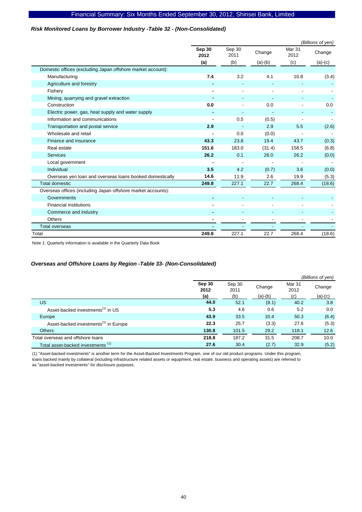### *Risk Monitored Loans by Borrower Industry -Table 32 - (Non-Consolidated)*

|                                                              |                |                |                          |                | (Billions of yen) |
|--------------------------------------------------------------|----------------|----------------|--------------------------|----------------|-------------------|
|                                                              | Sep 30<br>2012 | Sep 30<br>2011 | Change                   | Mar 31<br>2012 | Change            |
|                                                              | (a)            | (b)            | $(a)-(b)$                | (c)            | $(a)-(c)$         |
| Domestic offices (excluding Japan offshore market account):  |                |                |                          |                |                   |
| Manufacturing                                                | 7.4            | 3.2            | 4.1                      | 10.8           | (3.4)             |
| Agriculture and forestry                                     |                |                |                          |                |                   |
| Fishery                                                      |                |                |                          |                |                   |
| Mining, quarrying and gravel extraction                      |                |                |                          |                |                   |
| Construction                                                 | 0.0            |                | 0.0                      |                | 0.0               |
| Electric power, gas, heat supply and water supply            |                |                |                          |                |                   |
| Information and communications                               |                | 0.5            | (0.5)                    |                |                   |
| Transportation and postal service                            | 2.9            |                | 2.9                      | 5.5            | (2.6)             |
| Wholesale and retail                                         |                | 0.0            | (0.0)                    |                |                   |
| Finance and insurance                                        | 43.3           | 23.8           | 19.4                     | 43.7           | (0.3)             |
| Real estate                                                  | 151.6          | 183.0          | (31.4)                   | 158.5          | (6.8)             |
| <b>Services</b>                                              | 26.2           | 0.1            | 26.0                     | 26.2           | (0.0)             |
| Local government                                             |                |                |                          |                |                   |
| Individual                                                   | 3.5            | 4.2            | (0.7)                    | 3.6            | (0.0)             |
| Overseas yen loan and overseas loans booked domestically     | 14.6           | 11.9           | 2.6                      | 19.9           | (5.3)             |
| <b>Total domestic</b>                                        | 249.8          | 227.1          | 22.7                     | 268.4          | (18.6)            |
| Overseas offices (including Japan offshore market accounts): |                |                |                          |                |                   |
| Governments                                                  |                |                |                          |                |                   |
| <b>Financial institutions</b>                                |                |                | $\overline{\phantom{m}}$ |                |                   |
| Commerce and industry                                        |                |                |                          |                |                   |
| <b>Others</b>                                                |                |                |                          |                |                   |
| <b>Total overseas</b>                                        |                |                |                          |                |                   |
| Total                                                        | 249.8          | 227.1          | 22.7                     | 268.4          | (18.6)            |

Note 1: Quarterly information is available in the Quarterly Data Book

### *Overseas and Offshore Loans by Region -Table 33- (Non-Consolidated)*

|                                                   |                |                |           |                | (Billions of yen) |
|---------------------------------------------------|----------------|----------------|-----------|----------------|-------------------|
|                                                   | Sep 30<br>2012 | Sep 30<br>2011 | Change    | Mar 31<br>2012 | Change            |
|                                                   | (a)            | (b)            | $(a)-(b)$ | (c)            | $(a)-(c)$         |
| <b>US</b>                                         | 44.0           | 52.1           | (8.1)     | 40.2           | 3.8               |
| Asset-backed investments <sup>(1)</sup> in US     | 5.3            | 4.6            | 0.6       | 5.2            | 0.0               |
| Europe                                            | 43.9           | 33.5           | 10.4      | 50.3           | (6.4)             |
| Asset-backed investments <sup>(1)</sup> in Europe | 22.3           | 25.7           | (3.3)     | 27.6           | (5.3)             |
| <b>Others</b>                                     | 130.8          | 101.5          | 29.2      | 118.1          | 12.6              |
| Total overseas and offshore loans                 | 218.8          | 187.2          | 31.5      | 208.7          | 10.0              |
| Total asset-backed investments (1)                | 27.6           | 30.4           | (2.7)     | 32.9           | (5.2)             |

(1) "Asset-backed investments" is another term for the Asset-Backed Investments Program, one of our old product programs. Under this program, loans backed mainly by collateral (including infrastructure related assets or equipment, real estate, business and operating assets) are referred to as "asset-backed investments" for disclosure purposes.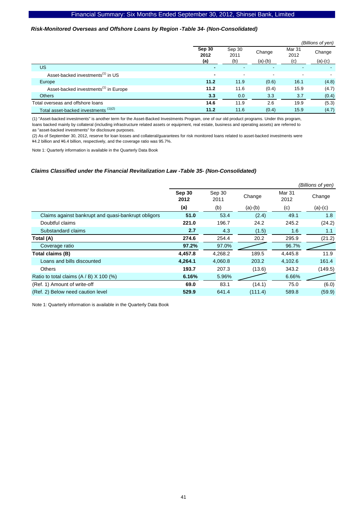#### *Risk-Monitored Overseas and Offshore Loans by Region -Table 34- (Non-Consolidated)*

|                                                   |                       |                          |                     |                       | (Billions of yen)   |
|---------------------------------------------------|-----------------------|--------------------------|---------------------|-----------------------|---------------------|
|                                                   | Sep 30<br>2012<br>(a) | Sep 30<br>2011<br>(b)    | Change<br>$(a)-(b)$ | Mar 31<br>2012<br>(c) | Change<br>$(a)-(c)$ |
| US                                                |                       |                          | ٠                   |                       |                     |
| Asset-backed investments <sup>(1)</sup> in US     | $\blacksquare$        | $\overline{\phantom{a}}$ | $\blacksquare$      | -                     |                     |
| Europe                                            | 11.2                  | 11.9                     | (0.6)               | 16.1                  | (4.8)               |
| Asset-backed investments <sup>(1)</sup> in Europe | 11.2                  | 11.6                     | (0.4)               | 15.9                  | (4.7)               |
| <b>Others</b>                                     | 3.3                   | 0.0                      | 3.3                 | 3.7                   | (0.4)               |
| Total overseas and offshore loans                 | 14.6                  | 11.9                     | 2.6                 | 19.9                  | (5.3)               |
| Total asset-backed investments (1)(2)             | 11.2                  | 11.6                     | (0.4)               | 15.9                  | (4.7)               |

(1) "Asset-backed investments" is another term for the Asset-Backed Investments Program, one of our old product programs. Under this program, loans backed mainly by collateral (including infrastructure related assets or equipment, real estate, business and operating assets) are referred to as "asset-backed investments" for disclosure purposes.

(2) As of September 30, 2012, reserve for loan losses and collateral/guarantees for risk monitored loans related to asset-backed investments were \4.2 billion and \6.4 billion, respectively, and the coverage ratio was 95.7%.

Note 1: Quarterly information is available in the Quarterly Data Book

#### *Claims Classified under the Financial Revitalization Law -Table 35- (Non-Consolidated)*

|                                                     |                |                |           |                | (Billions of yen) |
|-----------------------------------------------------|----------------|----------------|-----------|----------------|-------------------|
|                                                     | Sep 30<br>2012 | Sep 30<br>2011 | Change    | Mar 31<br>2012 | Change            |
|                                                     | (a)            | (b)            | $(a)-(b)$ | (c)            | $(a)-(c)$         |
| Claims against bankrupt and quasi-bankrupt obligors | 51.0           | 53.4           | (2.4)     | 49.1           | 1.8               |
| Doubtful claims                                     | 221.0          | 196.7          | 24.2      | 245.2          | (24.2)            |
| Substandard claims                                  | 2.7            | 4.3            | (1.5)     | 1.6            | 1.1               |
| Total (A)                                           | 274.6          | 254.4          | 20.2      | 295.9          | (21.2)            |
| Coverage ratio                                      | 97.2%          | 97.0%          |           | 96.7%          |                   |
| Total claims (B)                                    | 4,457.8        | 4,268.2        | 189.5     | 4,445.8        | 11.9              |
| Loans and bills discounted                          | 4,264.1        | 4,060.8        | 203.2     | 4,102.6        | 161.4             |
| <b>Others</b>                                       | 193.7          | 207.3          | (13.6)    | 343.2          | (149.5)           |
| Ratio to total claims $(A / B)$ X 100 (%)           | 6.16%          | 5.96%          |           | 6.66%          |                   |
| (Ref. 1) Amount of write-off                        | 69.0           | 83.1           | (14.1)    | 75.0           | (6.0)             |
| (Ref. 2) Below need caution level                   | 529.9          | 641.4          | (111.4)   | 589.8          | (59.9)            |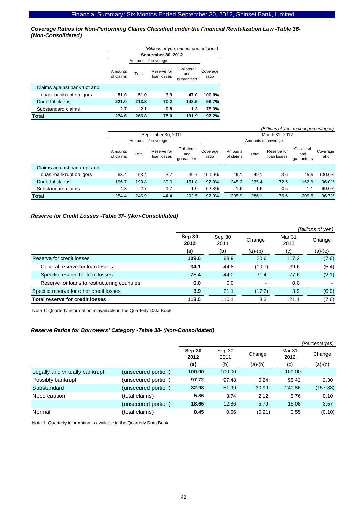*Coverage Ratios for Non-Performing Claims Classified under the Financial Revitalization Law -Table 36- (Non-Consolidated)* 

|                             | (Billions of yen, except percentages) |                     |                            |                                 |                   |  |  |  |  |
|-----------------------------|---------------------------------------|---------------------|----------------------------|---------------------------------|-------------------|--|--|--|--|
|                             |                                       | September 30, 2012  |                            |                                 |                   |  |  |  |  |
|                             |                                       | Amounts of coverage |                            |                                 |                   |  |  |  |  |
|                             | Amounts<br>of claims                  | Total               | Reserve for<br>loan losses | Collateral<br>and<br>quarantees | Coverage<br>ratio |  |  |  |  |
| Claims against bankrupt and |                                       |                     |                            |                                 |                   |  |  |  |  |
| quasi-bankrupt obligors     | 51.0                                  | 51.0                | 3.9                        | 47.0                            | 100.0%            |  |  |  |  |
| Doubtful claims             | 221.0                                 | 213.8               | 70.2                       | 143.5                           | 96.7%             |  |  |  |  |
| Substandard claims          | 2.7                                   | 2.1                 | 0.8                        | 1.3                             | 78.3%             |  |  |  |  |
| Total                       | 274.6                                 | 266.8               | 75.0                       | 191.9                           | 97.2%             |  |  |  |  |

|                             |                      |                     |                            |                                 |                   |                      |       | (Billions of yen, except percentages) |                                 |                   |
|-----------------------------|----------------------|---------------------|----------------------------|---------------------------------|-------------------|----------------------|-------|---------------------------------------|---------------------------------|-------------------|
|                             |                      |                     | September 30, 2011         |                                 |                   |                      |       | March 31, 2012                        |                                 |                   |
|                             |                      | Amounts of coverage |                            |                                 |                   |                      |       | Amounts of coverage                   |                                 |                   |
|                             | Amounts<br>of claims | Total               | Reserve for<br>loan losses | Collateral<br>and<br>quarantees | Coverage<br>ratio | Amounts<br>of claims | Total | Reserve for<br>loan losses            | Collateral<br>and<br>quarantees | Coverage<br>ratio |
| Claims against bankrupt and |                      |                     |                            |                                 |                   |                      |       |                                       |                                 |                   |
| quasi-bankrupt obligors     | 53.4                 | 53.4                | 3.7                        | 49.7                            | 100.0%            | 49.1                 | 49.1  | 3.6                                   | 45.5                            | 100.0%            |
| Doubtful claims             | 196.7                | 190.8               | 39.0                       | 151.8                           | 97.0%             | 245.2                | 235.4 | 72.5                                  | 162.9                           | 96.0%             |
| Substandard claims          | 4.3                  | 2.7                 | 1.7                        | 1.0                             | 62.8%             | 1.6                  | 1.6   | 0.5                                   | 1.1                             | 99.0%             |
| <b>Total</b>                | 254.4                | 246.9               | 44.4                       | 202.5                           | 97.0%             | 295.9                | 286.1 | 76.6                                  | 209.5                           | 96.7%             |

### *Reserve for Credit Losses -Table 37- (Non-Consolidated)*

|                                              |                |                |                          |                | (Billions of yen) |
|----------------------------------------------|----------------|----------------|--------------------------|----------------|-------------------|
|                                              | Sep 30<br>2012 | Sep 30<br>2011 | Change                   | Mar 31<br>2012 | Change            |
|                                              | (a)            | (b)            | (a)-(b)                  | (c)            | $(a)-(c)$         |
| Reserve for credit losses                    | 109.6          | 88.9           | 20.6                     | 117.2          | (7.6)             |
| General reserve for loan losses              | 34.1           | 44.8           | (10.7)                   | 39.6           | (5.4)             |
| Specific reserve for loan losses             | 75.4           | 44.0           | 31.4                     | 77.6           | (2.1)             |
| Reserve for loans to restructuring countries | 0.0            | 0.0            | $\overline{\phantom{a}}$ | 0.0            |                   |
| Specific reserve for other credit losses     | 3.9            | 21.1           | (17.2)                   | 3.9            | (0.0)             |
| <b>Total reserve for credit losses</b>       | 113.5          | 110.1          | 3.3                      | 121.1          | (7.6)             |

Note 1: Quarterly information is available in the Quarterly Data Book

### *Reserve Ratios for Borrowers' Category -Table 38- (Non-Consolidated)*

|                                |                     |                |                |                |                | (Percentages) |
|--------------------------------|---------------------|----------------|----------------|----------------|----------------|---------------|
|                                |                     | Sep 30<br>2012 | Sep 30<br>2011 | Change         | Mar 31<br>2012 | Change        |
|                                |                     | (a)            | (b)            | $(a)-(b)$      | (c)            | $(a)-(c)$     |
| Legally and virtually bankrupt | (unsecured portion) | 100.00         | 100.00         | $\blacksquare$ | 100.00         |               |
| Possibly bankrupt              | (unsecured portion) | 97.72          | 97.48          | 0.24           | 95.42          | 2.30          |
| Substandard                    | (unsecured portion) | 82.98          | 51.99          | 30.99          | 240.86         | (157.88)      |
| Need caution                   | (total claims)      | 5.86           | 3.74           | 2.12           | 5.76           | 0.10          |
|                                | (unsecured portion) | 18.65          | 12.86          | 5.79           | 15.08          | 3.57          |
| Normal                         | (total claims)      | 0.45           | 0.66           | (0.21)         | 0.55           | (0.10)        |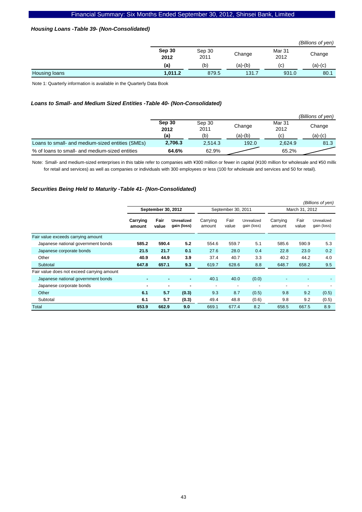### *Housing Loans -Table 39- (Non-Consolidated)*

|               |                |                |           |                | (Billions of yen) |
|---------------|----------------|----------------|-----------|----------------|-------------------|
|               | Sep 30<br>2012 | Sep 30<br>2011 | Change    | Mar 31<br>2012 | Change            |
|               | (a)            | (b)            | $(a)-(b)$ | (c)            | $(a)-(c)$         |
| Housing loans | 1,011.2        | 879.5          | 131.7     | 931.0          | 80.1              |

Note 1: Quarterly information is available in the Quarterly Data Book

### *Loans to Small- and Medium Sized Entities -Table 40- (Non-Consolidated)*

|                                                  |                |                |         |                | (Billions of ven) |
|--------------------------------------------------|----------------|----------------|---------|----------------|-------------------|
|                                                  | Sep 30<br>2012 | Sep 30<br>2011 | Change  | Mar 31<br>2012 | Change            |
|                                                  | (a)            | (b`            | (a)-(b) | (C)            | (a)-(c)           |
| Loans to small- and medium-sized entities (SMEs) | 2.706.3        | 2.514.3        | 192.0   | 2.624.9        | 81.3              |
| % of loans to small- and medium-sized entities   | 64.6%          | 62.9%          |         | 65.2%          |                   |

Note: Small- and medium-sized enterprises in this table refer to companies with ¥300 million or fewer in capital (¥100 million for wholesale and ¥50 million for retail and services) as well as companies or individuals with 300 employees or less (100 for wholesale and services and 50 for retail).

### *Securities Being Held to Maturity -Table 41- (Non-Consolidated)*

|                                            |                    |               |                                  |                    |                |                           |                    |               | (Billions of yen)         |
|--------------------------------------------|--------------------|---------------|----------------------------------|--------------------|----------------|---------------------------|--------------------|---------------|---------------------------|
|                                            | September 30, 2012 |               |                                  | September 30, 2011 |                |                           | March 31, 2012     |               |                           |
|                                            | Carrying<br>amount | Fair<br>value | <b>Unrealized</b><br>gain (loss) | Carrying<br>amount | Fair<br>value  | Unrealized<br>gain (loss) | Carrying<br>amount | Fair<br>value | Unrealized<br>gain (loss) |
| Fair value exceeds carrying amount         |                    |               |                                  |                    |                |                           |                    |               |                           |
| Japanese national government bonds         | 585.2              | 590.4         | 5.2                              | 554.6              | 559.7          | 5.1                       | 585.6              | 590.9         | 5.3                       |
| Japanese corporate bonds                   | 21.5               | 21.7          | 0.1                              | 27.6               | 28.0           | 0.4                       | 22.8               | 23.0          | 0.2                       |
| Other                                      | 40.9               | 44.9          | 3.9                              | 37.4               | 40.7           | 3.3                       | 40.2               | 44.2          | 4.0                       |
| Subtotal                                   | 647.8              | 657.1         | 9.3                              | 619.7              | 628.6          | 8.8                       | 648.7              | 658.2         | 9.5                       |
| Fair value does not exceed carrying amount |                    |               |                                  |                    |                |                           |                    |               |                           |
| Japanese national government bonds         | $\blacksquare$     | ۰             | ٠                                | 40.1               | 40.0           | (0.0)                     |                    | -             | $\overline{\phantom{a}}$  |
| Japanese corporate bonds                   | ٠                  |               |                                  | $\blacksquare$     | $\blacksquare$ |                           |                    |               |                           |
| Other                                      | 6.1                | 5.7           | (0.3)                            | 9.3                | 8.7            | (0.5)                     | 9.8                | 9.2           | (0.5)                     |
| Subtotal                                   | 6.1                | 5.7           | (0.3)                            | 49.4               | 48.8           | (0.6)                     | 9.8                | 9.2           | (0.5)                     |
| Total                                      | 653.9              | 662.9         | 9.0                              | 669.1              | 677.4          | 8.2                       | 658.5              | 667.5         | 8.9                       |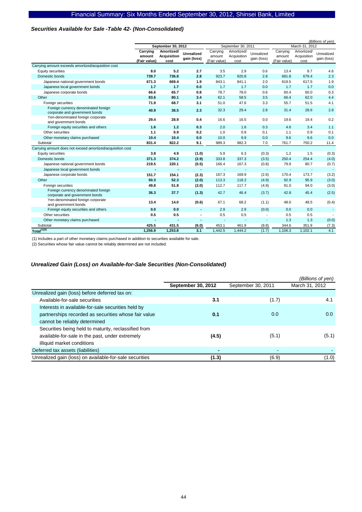### *Securities Available for Sale -Table 42- (Non-Consolidated)*

|                                                            |              |                    |                   |                          |                          |                          | (Billions of yen) |                |             |  |
|------------------------------------------------------------|--------------|--------------------|-------------------|--------------------------|--------------------------|--------------------------|-------------------|----------------|-------------|--|
|                                                            |              | September 30, 2012 |                   |                          | September 30, 2011       |                          |                   | March 31, 2012 |             |  |
|                                                            | Carrying     | Amortized/         | <b>Unrealized</b> | Carrying                 | Amortized/               | Unrealized               | Carrying          | Amortized/     | Unrealized  |  |
|                                                            | amount       | <b>Acquisition</b> | gain (loss)       | amount                   | Acquisition              | gain (loss)              | amount            | Acquisition    | gain (loss) |  |
|                                                            | (Fair value) | cost               |                   | (Fair value)             | cost                     |                          | (Fair value)      | cost           |             |  |
| Carrying amount exceeds amortized/acquisition cost         |              |                    |                   |                          |                          |                          |                   |                |             |  |
| Equity securities                                          | 8.0          | 5.2                | 2.7               | 3.5                      | 2.9                      | 0.6                      | 13.4              | 8.7            | 4.6         |  |
| Domestic bonds                                             | 739.7        | 736.8              | 2.8               | 923.7                    | 920.8                    | 2.8                      | 681.8             | 679.4          | 2.3         |  |
| Japanese national government bonds                         | 671.3        | 669.4              | 1.9               | 843.1                    | 841.1                    | 2.0                      | 619.5             | 617.5          | 1.9         |  |
| Japanese local government bonds                            | 1.7          | 1.7                | 0.0               | 1.7                      | 1.7                      | 0.0                      | 1.7               | 1.7            | 0.0         |  |
| Japanese corporate bonds                                   | 66.6         | 65.7               | 0.8               | 78.7                     | 78.0                     | 0.6                      | 60.4              | 60.0           | 0.3         |  |
| Other                                                      | 83.6         | 80.1               | 3.4               | 62.1                     | 58.5                     | 3.5                      | 66.4              | 62.0           | 4.4         |  |
| Foreign securities                                         | 71.9         | 68.7               | 3.1               | 51.0                     | 47.6                     | 3.3                      | 55.7              | 51.5           | 4.1         |  |
| Foreign currency denominated foreign                       | 40.9         | 38.5               | 2.3               | 32.3                     | 29.4                     | 2.8                      | 31.4              | 28.6           | 2.8         |  |
| corporate and government bonds                             |              |                    |                   |                          |                          |                          |                   |                |             |  |
| Yen-denominated foreign corporate<br>and government bonds  | 29.4         | 28.9               | 0.4               | 16.6                     | 16.5                     | 0.0                      | 19.6              | 19.4           | 0.2         |  |
| Foreign equity securities and others                       | 1.6          | 1.2                | 0.3               | 2.0                      | 1.6                      | 0.3                      | 4.6               | 3.4            | 1.1         |  |
| Other securities                                           | 1.1          | 0.9                | 0.2               | 1.0                      | 0.9                      | 0.1                      | 1.1               | 0.9            | 0.1         |  |
| Other monetary claims purchased                            | 10.4         | 10.4               | 0.0               | 10.0                     | 9.9                      | 0.0                      | 9.6               | 9.6            | 0.0         |  |
| Subtotal                                                   | 831.4        | 822.2              | 9.1               | 989.3                    | 982.3                    | 7.0                      | 761.7             | 750.2          | 11.4        |  |
| Carrying amount does not exceed amortized/acquisition cost |              |                    |                   |                          |                          |                          |                   |                |             |  |
| Equity securities                                          | 3.8          | 4.9                | (1.0)             | 5.9                      | 6.3                      | (0.3)                    | 1.2               | 1.5            | (0.3)       |  |
| Domestic bonds                                             | 371.3        | 374.2              | (2.9)             | 333.8                    | 337.3                    | (3.5)                    | 250.4             | 254.4          | (4.0)       |  |
| Japanese national government bonds                         | 219.5        | 220.1              | (0.5)             | 166.4                    | 167.3                    | (0.8)                    | 79.9              | 80.7           | (0.7)       |  |
| Japanese local government bonds                            |              |                    | ٠                 | $\overline{\phantom{a}}$ |                          | $\blacksquare$           |                   |                |             |  |
| Japanese corporate bonds                                   | 151.7        | 154.1              | (2.3)             | 167.3                    | 169.9                    | (2.6)                    | 170.4             | 173.7          | (3.2)       |  |
| Other                                                      | 50.3         | 52.3               | (2.0)             | 113.3                    | 118.2                    | (4.9)                    | 92.9              | 95.9           | (3.0)       |  |
| Foreign securities                                         | 49.8         | 51.8               | (2.0)             | 112.7                    | 117.7                    | (4.9)                    | 91.0              | 94.0           | (3.0)       |  |
| Foreign currency denominated foreign                       | 36.3         | 37.7               |                   | 42.7                     | 46.4                     | (3.7)                    | 42.8              | 45.4           | (2.5)       |  |
| corporate and government bonds                             |              |                    | (1.3)             |                          |                          |                          |                   |                |             |  |
| Yen-denominated foreign corporate                          | 13.4         | 14.0               | (0.6)             | 67.1                     | 68.2                     | (1.1)                    | 48.0              | 48.5           | (0.4)       |  |
| and government bonds                                       |              |                    |                   |                          |                          |                          |                   |                |             |  |
| Foreign equity securities and others                       | 0.0          | 0.0                |                   | 2.9                      | 2.9                      | (0.0)                    | 0.0               | 0.0            |             |  |
| Other securities                                           | 0.5          | 0.5                |                   | 0.5                      | 0.5                      | $\overline{\phantom{a}}$ | 0.5               | 0.5            |             |  |
| Other monetary claims purchased                            |              |                    |                   | $\overline{\phantom{a}}$ | $\overline{\phantom{a}}$ | $\overline{\phantom{a}}$ | 1.3               | 1.3            | (0.0)       |  |
| Subtotal                                                   | 425.5        | 431.5              | (6.0)             | 453.1                    | 461.9                    | (8.8)                    | 344.6             | 351.9          | (7.3)       |  |
| $Total^{(1)(2)}$                                           | 1.256.9      | 1.253.8            | 3.1               | 1.442.5                  | 1,444.2                  | (1.7)                    | 1,106.3           | 1,102.1        | 4.1         |  |

(1) Includes a part of other monetary claims purchased in addition to securities available for sale.

(2) Securities whose fair value cannot be reliably determined are not included.

### *Unrealized Gain (Loss) on Available-for-Sale Securities (Non-Consolidated)*

|                                                         |                    |                    | (Billions of yen) |
|---------------------------------------------------------|--------------------|--------------------|-------------------|
|                                                         | September 30, 2012 | September 30, 2011 | March 31, 2012    |
| Unrealized gain (loss) before deferred tax on:          |                    |                    |                   |
| Available-for-sale securities                           | 3.1                | (1.7)              | 4.1               |
| Interests in available-for-sale securities held by      |                    |                    |                   |
| partnerships recorded as securities whose fair value    | 0.1                | 0.0                | 0.0               |
| cannot be reliably determined                           |                    |                    |                   |
| Securities being held to maturity, reclassified from    |                    |                    |                   |
| available-for-sale in the past, under extremely         | (4.5)              | (5.1)              | (5.1)             |
| illiquid market conditions                              |                    |                    |                   |
| Deferred tax assets (liabilities)                       |                    | ٠                  |                   |
| Unrealized gain (loss) on available-for-sale securities | (1.3)              | (6.9)              | (1.0)             |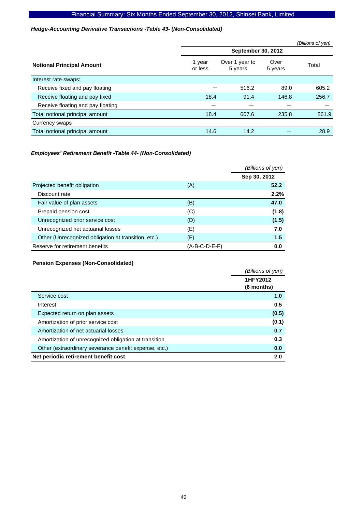### *Hedge-Accounting Derivative Transactions -Table 43- (Non-Consolidated)*

|                                   |                           |                           |                 | (Billions of yen) |  |  |  |  |
|-----------------------------------|---------------------------|---------------------------|-----------------|-------------------|--|--|--|--|
|                                   | <b>September 30, 2012</b> |                           |                 |                   |  |  |  |  |
| <b>Notional Principal Amount</b>  | 1 year<br>or less         | Over 1 year to<br>5 years | Over<br>5 years | Total             |  |  |  |  |
| Interest rate swaps:              |                           |                           |                 |                   |  |  |  |  |
| Receive fixed and pay floating    |                           | 516.2                     | 89.0            | 605.2             |  |  |  |  |
| Receive floating and pay fixed    | 18.4                      | 91.4                      | 146.8           | 256.7             |  |  |  |  |
| Receive floating and pay floating |                           |                           |                 |                   |  |  |  |  |
| Total notional principal amount   | 18.4                      | 607.6                     | 235.8           | 861.9             |  |  |  |  |
| Currency swaps                    |                           |                           |                 |                   |  |  |  |  |
| Total notional principal amount   | 14.6                      | 14.2                      |                 | 28.9              |  |  |  |  |
|                                   |                           |                           |                 |                   |  |  |  |  |

### *Employees' Retirement Benefit -Table 44- (Non-Consolidated)*

|                                                     |               | (Billions of yen) |
|-----------------------------------------------------|---------------|-------------------|
|                                                     |               | Sep 30, 2012      |
| Projected benefit obligation                        | (A)           | 52.2              |
| Discount rate                                       |               | 2.2%              |
| Fair value of plan assets                           | (B)           | 47.0              |
| Prepaid pension cost                                | (C)           | (1.8)             |
| Unrecognized prior service cost                     | (D)           | (1.5)             |
| Unrecognized net actuarial losses                   | (E)           | 7.0               |
| Other (Unrecognized obligation at transition, etc.) | (F)           | 1.5               |
| Reserve for retirement benefits                     | (A-B-C-D-E-F) | 0.0               |

### **Pension Expenses (Non-Consolidated)**

|                                                       | (Billions of yen) |
|-------------------------------------------------------|-------------------|
|                                                       | 1HFY2012          |
|                                                       | $(6$ months)      |
| Service cost                                          | 1.0               |
| Interest                                              | 0.5               |
| Expected return on plan assets                        | (0.5)             |
| Amortization of prior service cost                    | (0.1)             |
| Amortization of net actuarial losses                  | 0.7               |
| Amortization of unrecognized obligation at transition | 0.3               |
| Other (extraordinary severance benefit expense, etc.) | 0.0               |
| Net periodic retirement benefit cost                  | 2.0               |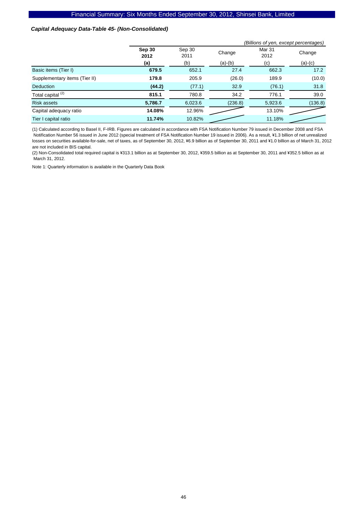### *Capital Adequacy Data-Table 45- (Non-Consolidated)*

|                               | (Billions of yen, except percentages) |                |           |                |           |
|-------------------------------|---------------------------------------|----------------|-----------|----------------|-----------|
|                               | Sep 30<br>2012                        | Sep 30<br>2011 | Change    | Mar 31<br>2012 | Change    |
|                               | (a)                                   | (b)            | $(a)-(b)$ | (c)            | $(a)-(c)$ |
| Basic items (Tier I)          | 679.5                                 | 652.1          | 27.4      | 662.3          | 17.2      |
| Supplementary items (Tier II) | 179.8                                 | 205.9          | (26.0)    | 189.9          | (10.0)    |
| <b>Deduction</b>              | (44.2)                                | (77.1)         | 32.9      | (76.1)         | 31.8      |
| Total capital <sup>(2)</sup>  | 815.1                                 | 780.8          | 34.2      | 776.1          | 39.0      |
| <b>Risk assets</b>            | 5,786.7                               | 6,023.6        | (236.8)   | 5,923.6        | (136.8)   |
| Capital adequacy ratio        | 14.08%                                | 12.96%         |           | 13.10%         |           |
| Tier I capital ratio          | 11.74%                                | 10.82%         |           | 11.18%         |           |

(1) Calculated according to Basel II, F-IRB. Figures are calculated in accordance with FSA Notification Number 79 issued in December 2008 and FSA Notification Number 56 issued in June 2012 (special treatment of FSA Notification Number 19 issued in 2006). As a result, ¥1.3 billion of net unrealized losses on securities available-for-sale, net of taxes, as of September 30, 2012, ¥6.9 billion as of September 30, 2011 and ¥1.0 billion as of March 31, 2012 are not included in BIS capital.

(2) Non-Consolidated total required capital is ¥313.1 billion as at September 30, 2012, ¥359.5 billion as at September 30, 2011 and ¥352.5 billion as at March 31, 2012.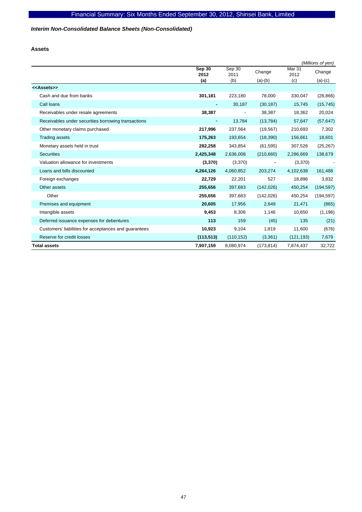### *Interim Non-Consolidated Balance Sheets (Non-Consolidated)*

**Assets** 

|                                                       |                |                          |            |                           | (Millions of yen) |
|-------------------------------------------------------|----------------|--------------------------|------------|---------------------------|-------------------|
|                                                       | Sep 30<br>2012 | Sep 30<br>2011           | Change     | Mar <sub>31</sub><br>2012 | Change            |
|                                                       | (a)            | (b)                      | $(a)-(b)$  | (c)                       | $(a)-(c)$         |
| < <assets>&gt;</assets>                               |                |                          |            |                           |                   |
| Cash and due from banks                               | 301,181        | 223,180                  | 78,000     | 330,047                   | (28, 866)         |
| Call loans                                            |                | 30,187                   | (30, 187)  | 15,745                    | (15, 745)         |
| Receivables under resale agreements                   | 38,387         | $\overline{\phantom{a}}$ | 38,387     | 18,362                    | 20,024            |
| Receivables under securities borrowing transactions   | ٠              | 13,784                   | (13, 784)  | 57,647                    | (57, 647)         |
| Other monetary claims purchased                       | 217,996        | 237,564                  | (19, 567)  | 210,693                   | 7,302             |
| <b>Trading assets</b>                                 | 175,263        | 193,654                  | (18, 390)  | 156,661                   | 18,601            |
| Monetary assets held in trust                         | 282,258        | 343,854                  | (61, 595)  | 307,526                   | (25, 267)         |
| <b>Securities</b>                                     | 2,425,348      | 2,636,008                | (210,660)  | 2,286,669                 | 138,679           |
| Valuation allowance for investments                   | (3,370)        | (3,370)                  |            | (3,370)                   |                   |
| Loans and bills discounted                            | 4,264,126      | 4,060,852                | 203,274    | 4,102,638                 | 161,488           |
| Foreign exchanges                                     | 22,729         | 22,201                   | 527        | 18,896                    | 3,832             |
| Other assets                                          | 255,656        | 397,683                  | (142, 026) | 450,254                   | (194, 597)        |
| Other                                                 | 255,656        | 397,683                  | (142, 026) | 450,254                   | (194, 597)        |
| Premises and equipment                                | 20,605         | 17,956                   | 2,649      | 21,471                    | (865)             |
| Intangible assets                                     | 9,453          | 8,306                    | 1,146      | 10,650                    | (1, 196)          |
| Deferred issuance expenses for debentures             | 113            | 159                      | (45)       | 135                       | (21)              |
| Customers' liabilities for acceptances and guarantees | 10,923         | 9,104                    | 1,819      | 11,600                    | (676)             |
| Reserve for credit losses                             | (113, 513)     | (110, 152)               | (3,361)    | (121, 193)                | 7,679             |
| <b>Total assets</b>                                   | 7,907,159      | 8,080,974                | (173, 814) | 7,874,437                 | 32,722            |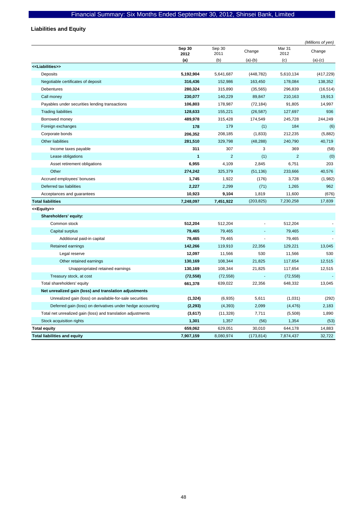# **Liabilities and Equity**

|                                                              |                |                |            |                | (Millions of yen) |
|--------------------------------------------------------------|----------------|----------------|------------|----------------|-------------------|
|                                                              | Sep 30<br>2012 | Sep 30<br>2011 | Change     | Mar 31<br>2012 | Change            |
|                                                              | (a)            | (b)            | $(a)-(b)$  | (c)            | $(a)-(c)$         |
| < <liabilities>&gt;</liabilities>                            |                |                |            |                |                   |
| Deposits                                                     | 5,192,904      | 5,641,687      | (448, 782) | 5,610,134      | (417, 229)        |
| Negotiable certificates of deposit                           | 316,436        | 152,986        | 163,450    | 178,084        | 138,352           |
| <b>Debentures</b>                                            | 280,324        | 315,890        | (35, 565)  | 296,839        | (16, 514)         |
| Call money                                                   | 230,077        | 140,229        | 89,847     | 210,163        | 19,913            |
| Payables under securities lending transactions               | 106,803        | 178,987        | (72, 184)  | 91,805         | 14,997            |
| <b>Trading liabilities</b>                                   | 128,633        | 155,221        | (26, 587)  | 127,697        | 936               |
| Borrowed money                                               | 489,978        | 315,428        | 174,549    | 245,728        | 244,249           |
| Foreign exchanges                                            | 178            | 179            | (1)        | 184            | (6)               |
| Corporate bonds                                              | 206,352        | 208,185        | (1,833)    | 212,235        | (5,882)           |
| Other liabilities                                            | 281,510        | 329,798        | (48, 288)  | 240,790        | 40,719            |
| Income taxes payable                                         | 311            | 307            | 3          | 369            | (58)              |
| Lease obligations                                            | 1              | $\overline{2}$ | (1)        | $\overline{2}$ | (0)               |
| Asset retirement obligations                                 | 6,955          | 4,109          | 2,845      | 6,751          | 203               |
| Other                                                        | 274,242        | 325,379        | (51, 136)  | 233,666        | 40,576            |
| Accrued employees' bonuses                                   | 1,745          | 1,922          | (176)      | 3,728          | (1,982)           |
| Deferred tax liabilities                                     | 2,227          | 2,299          | (71)       | 1,265          | 962               |
| Acceptances and guarantees                                   | 10,923         | 9,104          | 1,819      | 11,600         | (676)             |
| <b>Total liabilities</b>                                     | 7,248,097      | 7,451,922      | (203, 825) | 7,230,258      | 17,839            |
| < <equity>&gt;</equity>                                      |                |                |            |                |                   |
| Shareholders' equity:                                        |                |                |            |                |                   |
| Common stock                                                 | 512,204        | 512,204        |            | 512,204        |                   |
| Capital surplus                                              | 79,465         | 79,465         |            | 79,465         |                   |
| Additional paid-in capital                                   | 79,465         | 79,465         |            | 79,465         |                   |
| Retained earnings                                            | 142,266        | 119,910        | 22,356     | 129,221        | 13,045            |
| Legal reserve                                                | 12,097         | 11,566         | 530        | 11,566         | 530               |
| Other retained earnings                                      | 130,169        | 108,344        | 21,825     | 117,654        | 12,515            |
| Unappropriated retained earnings                             | 130,169        | 108,344        | 21,825     | 117,654        | 12,515            |
| Treasury stock, at cost                                      | (72, 558)      | (72, 558)      |            | (72, 558)      |                   |
| Total shareholders' equity                                   | 661,378        | 639,022        | 22,356     | 648,332        | 13,045            |
| Net unrealized gain (loss) and translation adjustments       |                |                |            |                |                   |
| Unrealized gain (loss) on available-for-sale securities      | (1, 324)       | (6,935)        | 5,611      | (1,031)        | (292)             |
| Deferred gain (loss) on derivatives under hedge accounting   | (2, 293)       | (4, 393)       | 2,099      | (4, 476)       | 2,183             |
| Total net unrealized gain (loss) and translation adjustments | (3,617)        | (11, 328)      | 7,711      | (5,508)        | 1,890             |
| Stock acquisition rights                                     | 1,301          | 1,357          | (56)       | 1,354          | (53)              |
| <b>Total equity</b>                                          | 659,062        | 629,051        | 30,010     | 644,178        | 14,883            |
| <b>Total liabilities and equity</b>                          | 7,907,159      | 8.080.974      | (173, 814) | 7,874,437      | 32.722            |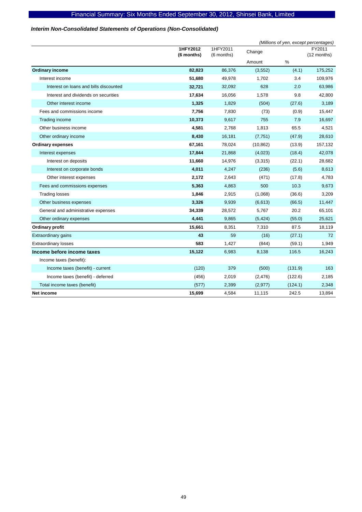### *Interim Non-Consolidated Statements of Operations (Non-Consolidated)*

|                                        |                        |                        |           |         | (Millions of yen, except percentages) |
|----------------------------------------|------------------------|------------------------|-----------|---------|---------------------------------------|
|                                        | 1HFY2012<br>(6 months) | 1HFY2011<br>(6 months) | Change    |         | FY2011<br>(12 months)                 |
|                                        |                        |                        | Amount    | %       |                                       |
| <b>Ordinary income</b>                 | 82,823                 | 86,376                 | (3, 552)  | (4.1)   | 175,252                               |
| Interest income                        | 51,680                 | 49,978                 | 1,702     | 3.4     | 109,976                               |
| Interest on loans and bills discounted | 32,721                 | 32,092                 | 628       | 2.0     | 63,986                                |
| Interest and dividends on securities   | 17,634                 | 16,056                 | 1,578     | 9.8     | 42,800                                |
| Other interest income                  | 1,325                  | 1,829                  | (504)     | (27.6)  | 3,189                                 |
| Fees and commissions income            | 7,756                  | 7,830                  | (73)      | (0.9)   | 15,447                                |
| Trading income                         | 10,373                 | 9,617                  | 755       | 7.9     | 16,697                                |
| Other business income                  | 4,581                  | 2,768                  | 1,813     | 65.5    | 4,521                                 |
| Other ordinary income                  | 8,430                  | 16,181                 | (7, 751)  | (47.9)  | 28,610                                |
| <b>Ordinary expenses</b>               | 67,161                 | 78,024                 | (10, 862) | (13.9)  | 157,132                               |
| Interest expenses                      | 17,844                 | 21,868                 | (4,023)   | (18.4)  | 42,078                                |
| Interest on deposits                   | 11,660                 | 14,976                 | (3,315)   | (22.1)  | 28,682                                |
| Interest on corporate bonds            | 4,011                  | 4,247                  | (236)     | (5.6)   | 8,613                                 |
| Other interest expenses                | 2,172                  | 2,643                  | (471)     | (17.8)  | 4,783                                 |
| Fees and commissions expenses          | 5,363                  | 4,863                  | 500       | 10.3    | 9,673                                 |
| <b>Trading losses</b>                  | 1,846                  | 2,915                  | (1,068)   | (36.6)  | 3,209                                 |
| Other business expenses                | 3,326                  | 9,939                  | (6,613)   | (66.5)  | 11,447                                |
| General and administrative expenses    | 34,339                 | 28,572                 | 5,767     | 20.2    | 65,101                                |
| Other ordinary expenses                | 4,441                  | 9,865                  | (5, 424)  | (55.0)  | 25,621                                |
| <b>Ordinary profit</b>                 | 15,661                 | 8,351                  | 7,310     | 87.5    | 18,119                                |
| Extraordinary gains                    | 43                     | 59                     | (16)      | (27.1)  | 72                                    |
| <b>Extraordinary losses</b>            | 583                    | 1,427                  | (844)     | (59.1)  | 1,949                                 |
| Income before income taxes             | 15,122                 | 6,983                  | 8,138     | 116.5   | 16,243                                |
| Income taxes (benefit):                |                        |                        |           |         |                                       |
| Income taxes (benefit) - current       | (120)                  | 379                    | (500)     | (131.9) | 163                                   |
| Income taxes (benefit) - deferred      | (456)                  | 2,019                  | (2, 476)  | (122.6) | 2,185                                 |
| Total income taxes (benefit)           | (577)                  | 2,399                  | (2, 977)  | (124.1) | 2,348                                 |
| <b>Net income</b>                      | 15,699                 | 4,584                  | 11,115    | 242.5   | 13,894                                |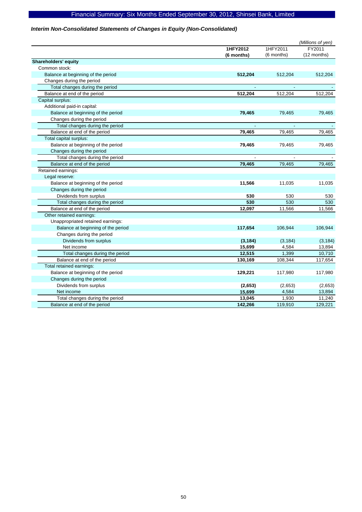### *Interim Non-Consolidated Statements of Changes in Equity (Non-Consolidated)*

|                                    |            |            | (Millions of yen) |
|------------------------------------|------------|------------|-------------------|
|                                    | 1HFY2012   | 1HFY2011   | FY2011            |
|                                    | (6 months) | (6 months) | (12 months)       |
| Shareholders' equity               |            |            |                   |
| Common stock:                      |            |            |                   |
| Balance at beginning of the period | 512,204    | 512,204    | 512,204           |
| Changes during the period          |            |            |                   |
| Total changes during the period    |            |            |                   |
| Balance at end of the period       | 512,204    | 512,204    | 512,204           |
| Capital surplus:                   |            |            |                   |
| Additional paid-in capital:        |            |            |                   |
| Balance at beginning of the period | 79,465     | 79,465     | 79,465            |
| Changes during the period          |            |            |                   |
| Total changes during the period    |            |            |                   |
| Balance at end of the period       | 79,465     | 79,465     | 79,465            |
| Total capital surplus:             |            |            |                   |
| Balance at beginning of the period | 79,465     | 79,465     | 79,465            |
| Changes during the period          |            |            |                   |
| Total changes during the period    |            |            |                   |
| Balance at end of the period       | 79,465     | 79,465     | 79,465            |
| Retained earnings:                 |            |            |                   |
| Legal reserve:                     |            |            |                   |
| Balance at beginning of the period | 11,566     | 11,035     | 11,035            |
| Changes during the period          |            |            |                   |
| Dividends from surplus             | 530        | 530        | 530               |
| Total changes during the period    | 530        | 530        | 530               |
| Balance at end of the period       | 12,097     | 11,566     | 11,566            |
| Other retained earnings:           |            |            |                   |
| Unappropriated retained earnings:  |            |            |                   |
| Balance at beginning of the period | 117,654    | 106,944    | 106,944           |
| Changes during the period          |            |            |                   |
| Dividends from surplus             | (3, 184)   | (3, 184)   | (3, 184)          |
| Net income                         | 15,699     | 4,584      | 13,894            |
| Total changes during the period    | 12,515     | 1,399      | 10,710            |
| Balance at end of the period       | 130,169    | 108,344    | 117,654           |
| Total retained earnings:           |            |            |                   |
| Balance at beginning of the period | 129,221    | 117,980    | 117,980           |
| Changes during the period          |            |            |                   |
| Dividends from surplus             | (2,653)    | (2,653)    | (2,653)           |
| Net income                         | 15,699     | 4,584      | 13,894            |
| Total changes during the period    | 13,045     | 1,930      | 11,240            |
| Balance at end of the period       | 142,266    | 119,910    | 129,221           |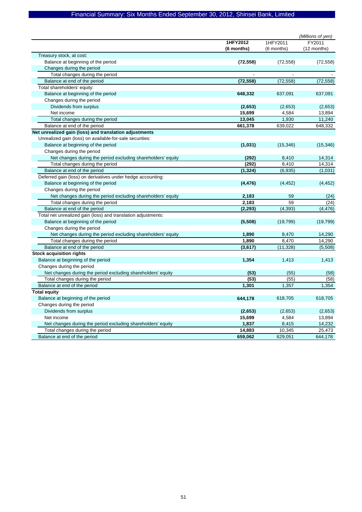|                                                               |            | (Millions of yen) |             |  |
|---------------------------------------------------------------|------------|-------------------|-------------|--|
|                                                               | 1HFY2012   | 1HFY2011          | FY2011      |  |
|                                                               | (6 months) | (6 months)        | (12 months) |  |
| Treasury stock, at cost:                                      |            |                   |             |  |
| Balance at beginning of the period                            | (72, 558)  | (72, 558)         | (72, 558)   |  |
| Changes during the period                                     |            |                   |             |  |
| Total changes during the period                               |            |                   |             |  |
| Balance at end of the period                                  | (72, 558)  | (72, 558)         | (72, 558)   |  |
| Total shareholders' equity:                                   |            |                   |             |  |
| Balance at beginning of the period                            | 648,332    | 637,091           | 637,091     |  |
| Changes during the period                                     |            |                   |             |  |
| Dividends from surplus                                        | (2,653)    | (2,653)           | (2,653)     |  |
| Net income                                                    | 15,699     | 4,584             | 13,894      |  |
| Total changes during the period                               | 13,045     | 1,930             | 11,240      |  |
| Balance at end of the period                                  | 661,378    | 639,022           | 648,332     |  |
| Net unrealized gain (loss) and translation adjustments        |            |                   |             |  |
| Unrealized gain (loss) on available-for-sale securities:      |            |                   |             |  |
| Balance at beginning of the period                            | (1,031)    | (15, 346)         | (15, 346)   |  |
| Changes during the period                                     |            |                   |             |  |
| Net changes during the period excluding shareholders' equity  | (292)      | 8,410             | 14,314      |  |
| Total changes during the period                               | (292)      | 8,410             | 14,314      |  |
| Balance at end of the period                                  | (1, 324)   | (6,935)           | (1,031)     |  |
| Deferred gain (loss) on derivatives under hedge accounting:   |            |                   |             |  |
| Balance at beginning of the period                            | (4, 476)   | (4, 452)          | (4, 452)    |  |
| Changes during the period                                     |            |                   |             |  |
| Net changes during the period excluding shareholders' equity  | 2,183      | 59                | (24)        |  |
| Total changes during the period                               | 2,183      | 59                | (24)        |  |
| Balance at end of the period                                  | (2, 293)   | (4, 393)          | (4, 476)    |  |
| Total net unrealized gain (loss) and translation adjustments: |            |                   |             |  |
| Balance at beginning of the period                            | (5,508)    | (19, 799)         | (19, 799)   |  |
| Changes during the period                                     |            |                   |             |  |
| Net changes during the period excluding shareholders' equity  | 1,890      | 8,470             | 14,290      |  |
| Total changes during the period                               | 1,890      | 8,470             | 14,290      |  |
| Balance at end of the period                                  | (3,617)    | (11, 328)         | (5,508)     |  |
| <b>Stock acquisition rights</b>                               |            |                   |             |  |
| Balance at beginning of the period                            | 1,354      | 1,413             | 1,413       |  |
| Changes during the period                                     |            |                   |             |  |
| Net changes during the period excluding shareholders' equity  | (53)       | (55)              | (58)        |  |
| Total changes during the period                               | (53)       | (55)              | (58)        |  |
| Balance at end of the period                                  | 1,301      | 1,357             | 1,354       |  |
| <b>Total equity</b>                                           |            |                   |             |  |
| Balance at beginning of the period                            | 644,178    | 618,705           | 618,705     |  |
| Changes during the period                                     |            |                   |             |  |
| Dividends from surplus                                        | (2,653)    | (2,653)           | (2,653)     |  |
| Net income                                                    | 15,699     | 4,584             | 13,894      |  |
| Net changes during the period excluding shareholders' equity  | 1,837      | 8,415             | 14,232      |  |
| Total changes during the period                               | 14,883     | 10,345            | 25,473      |  |
| Balance at end of the period                                  | 659,062    | 629,051           | 644,178     |  |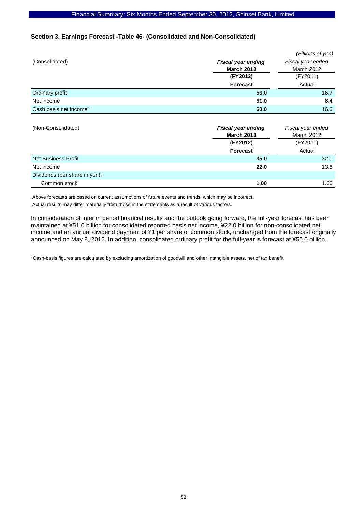### **Section 3. Earnings Forecast -Table 46- (Consolidated and Non-Consolidated)**

|                            |                           | (Billions of yen) |  |  |
|----------------------------|---------------------------|-------------------|--|--|
| (Consolidated)             | <b>Fiscal year ending</b> | Fiscal year ended |  |  |
|                            | <b>March 2013</b>         | March 2012        |  |  |
|                            | (FY2012)                  | (FY2011)          |  |  |
|                            | Forecast                  | Actual            |  |  |
| Ordinary profit            | 56.0                      | 16.7              |  |  |
| Net income                 | 51.0                      | 6.4               |  |  |
| Cash basis net income *    | 60.0                      | 16.0              |  |  |
|                            |                           |                   |  |  |
| (Non-Consolidated)         | <b>Fiscal year ending</b> | Fiscal year ended |  |  |
|                            | <b>March 2013</b>         | <b>March 2012</b> |  |  |
|                            | (FY2012)                  | (FY2011)          |  |  |
|                            | Forecast                  | Actual            |  |  |
| <b>Net Business Profit</b> | 35.0                      | 32.1              |  |  |
| Net income                 | 22.0                      | 13.8              |  |  |

Above forecasts are based on current assumptions of future events and trends, which may be incorrect.

Actual results may differ materially from those in the statements as a result of various factors.

Dividends (per share in yen):

In consideration of interim period financial results and the outlook going forward, the full-year forecast has been maintained at ¥51.0 billion for consolidated reported basis net income, ¥22.0 billion for non-consolidated net income and an annual dividend payment of ¥1 per share of common stock, unchanged from the forecast originally announced on May 8, 2012. In addition, consolidated ordinary profit for the full-year is forecast at ¥56.0 billion.

Common stock **1.00** 1.00

\*Cash-basis figures are calculated by excluding amortization of goodwill and other intangible assets, net of tax benefit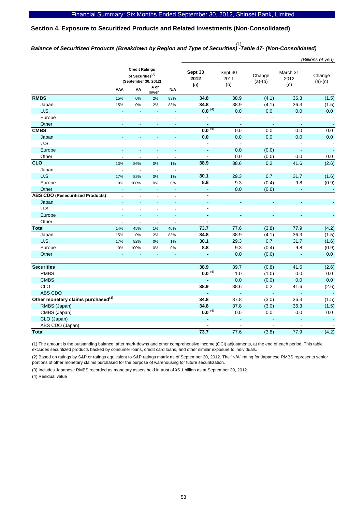### **Section 4. Exposure to Securitized Products and Related Investments (Non-Consolidated)**

# *Balance of Securitized Products (Breakdown by Region and Type of Securities) -Table 47- (Non-Consolidated)*  (1)

|                                                |                                                                               |                |                |                          |                        |                        |                     |                          | (Billions of yen)        |
|------------------------------------------------|-------------------------------------------------------------------------------|----------------|----------------|--------------------------|------------------------|------------------------|---------------------|--------------------------|--------------------------|
|                                                | <b>Credit Ratings</b><br>of Securities <sup>(2)</sup><br>(September 30, 2012) |                |                |                          | Sept 30<br>2012<br>(a) | Sept 30<br>2011<br>(b) | Change<br>$(a)-(b)$ | March 31<br>2012<br>(c)  | Change<br>$(a)-(c)$      |
|                                                | AAA                                                                           | AA             | A or<br>lower  | N/A                      |                        |                        |                     |                          |                          |
| <b>RMBS</b>                                    | 15%                                                                           | 0%             | 2%             | 83%                      | 34.8                   | 38.9                   | (4.1)               | 36.3                     | (1.5)                    |
| Japan                                          | 15%                                                                           | 0%             | 2%             | 83%                      | 34.8                   | 38.9                   | (4.1)               | 36.3                     | (1.5)                    |
| <b>U.S.</b>                                    | L.                                                                            |                | L,             | L                        | $0.0^{(4)}$            | 0.0                    | 0.0                 | 0.0                      | 0.0                      |
| Europe                                         |                                                                               |                |                |                          | $\overline{a}$         | $\overline{a}$         |                     |                          | $\overline{\phantom{a}}$ |
| Other                                          | $\blacksquare$                                                                |                | ÷,             | L,                       | $\blacksquare$         | $\blacksquare$         | ÷,                  | $\overline{\phantom{a}}$ | $\blacksquare$           |
| <b>CMBS</b>                                    | ÷,                                                                            |                |                | $\Box$                   | $0.0^{(4)}$            | 0.0                    | 0.0                 | 0.0                      | 0.0                      |
| Japan                                          | ä,                                                                            | L              | L,             | ä,                       | 0.0                    | 0.0                    | 0.0                 | 0.0                      | 0.0                      |
| U.S.                                           | ÷,                                                                            |                | L              | $\overline{a}$           | $\overline{a}$         | $\blacksquare$         |                     | $\overline{a}$           | $\blacksquare$           |
| Europe                                         | ÷                                                                             | ÷.             | L              | L.                       | $\blacksquare$         | 0.0                    | (0.0)               | $\blacksquare$           | $\blacksquare$           |
| Other                                          | $\sim$                                                                        | $\overline{a}$ | $\mathbf{r}$   | $\overline{a}$           | $\blacksquare$         | 0.0                    | (0.0)               | 0.0                      | 0.0                      |
| CLO                                            | 13%                                                                           | 86%            | 0%             | 1%                       | 38.9                   | 38.6                   | 0.2                 | 41.6                     | (2.6)                    |
| Japan                                          | $\overline{a}$                                                                | $\overline{a}$ | $\mathbb{Z}$   | $\overline{a}$           | $\overline{a}$         | $\overline{a}$         | $\overline{a}$      | $\overline{a}$           | $\overline{\phantom{a}}$ |
| U.S.                                           | 17%                                                                           | 82%            | 0%             | 1%                       | 30.1                   | 29.3                   | 0.7                 | 31.7                     | (1.6)                    |
| Europe                                         | 0%                                                                            | 100%           | 0%             | 0%                       | 8.8                    | 9.3                    | (0.4)               | 9.8                      | (0.9)                    |
| Other                                          | ÷,                                                                            |                | L.             | ÷.                       | $\blacksquare$         | 0.0                    | (0.0)               | Ξ                        | $\blacksquare$           |
| <b>ABS CDO (Resecuritized Products)</b>        | $\overline{\phantom{a}}$                                                      | $\overline{a}$ | $\overline{a}$ | $\overline{\phantom{a}}$ | $\blacksquare$         | $\blacksquare$         | $\blacksquare$      | $\blacksquare$           | $\blacksquare$           |
| Japan                                          | ÷.                                                                            |                |                | L.                       | $\overline{a}$         | ä,                     |                     |                          |                          |
| U.S.                                           | $\overline{a}$                                                                |                |                | $\overline{a}$           | $\blacksquare$         | $\overline{a}$         | $\overline{a}$      | $\blacksquare$           | $\overline{\phantom{a}}$ |
| Europe                                         |                                                                               |                |                |                          |                        | ٠                      |                     |                          |                          |
| Other                                          | $\overline{a}$                                                                | $\overline{a}$ | ÷,             | Ĭ.                       | $\blacksquare$         | $\overline{a}$         | $\overline{a}$      | $\overline{a}$           | $\overline{a}$           |
| <b>Total</b>                                   | 14%                                                                           | 45%            | 1%             | 40%                      | 73.7                   | 77.6                   | (3.8)               | 77.9                     | (4.2)                    |
| Japan                                          | 15%                                                                           | 0%             | 2%             | 83%                      | 34.8                   | 38.9                   | (4.1)               | 36.3                     | (1.5)                    |
| U.S.                                           | 17%                                                                           | 82%            | 0%             | 1%                       | 30.1                   | 29.3                   | 0.7                 | 31.7                     | (1.6)                    |
| Europe                                         | 0%                                                                            | 100%           | $0\%$          | 0%                       | 8.8                    | 9.3                    | (0.4)               | 9.8                      | (0.9)                    |
| Other                                          | ÷.                                                                            |                | $\overline{a}$ | ÷                        | $\overline{a}$         | 0.0                    | (0.0)               | $\sim$                   | 0.0                      |
|                                                |                                                                               |                |                |                          |                        |                        |                     |                          |                          |
| <b>Securities</b>                              |                                                                               |                |                |                          | 38.9                   | 39.7                   | (0.8)               | 41.6                     | (2.6)                    |
| <b>RMBS</b>                                    |                                                                               |                |                |                          | $0.0^{(4)}$            | 1.0                    | (1.0)               | 0.0                      | $0.0\,$                  |
| <b>CMBS</b>                                    |                                                                               |                |                |                          | ä,                     | 0.0                    | (0.0)               | 0.0                      | 0.0                      |
| CLO                                            |                                                                               |                |                |                          | 38.9                   | 38.6                   | 0.2                 | 41.6                     | (2.6)                    |
| ABS CDO                                        |                                                                               |                |                |                          |                        | ä,                     | L,                  | Ξ                        | $\sim$                   |
| Other monetary claims purchased <sup>(3)</sup> |                                                                               |                |                |                          | 34.8                   | 37.8                   | (3.0)               | 36.3                     | (1.5)                    |
| RMBS (Japan)                                   |                                                                               |                |                |                          | 34.8                   | 37.8                   | (3.0)               | 36.3                     | (1.5)                    |
| CMBS (Japan)                                   |                                                                               |                |                |                          | $0.0^{(4)}$            | 0.0                    | 0.0                 | 0.0                      | 0.0                      |
| CLO (Japan)                                    |                                                                               |                |                |                          | ÷                      | ä,                     |                     |                          | $\blacksquare$           |
| ABS CDO (Japan)                                |                                                                               |                |                |                          |                        | $\overline{a}$         | ÷.                  | $\overline{a}$           |                          |
| <b>Total</b>                                   |                                                                               |                |                |                          | 73.7                   | 77.6                   | (3.8)               | 77.9                     | (4.2)                    |

(1) The amount is the outstanding balance, after mark-downs and other comprehensive income (OCI) adjustments, at the end of each period. This table excludes securitized products backed by consumer loans, credit card loans, and other similar exposure to individuals.

(2) Based on ratings by S&P or ratings equivalent to S&P ratings matrix as of September 30, 2012. The "N/A" rating for Japanese RMBS represents senior portions of other monetary claims purchased for the purpose of warehousing for future securitization.

(3) Includes Japanese RMBS recorded as monetary assets held in trust of \5.1 billion as at September 30, 2012.

(4) Residual value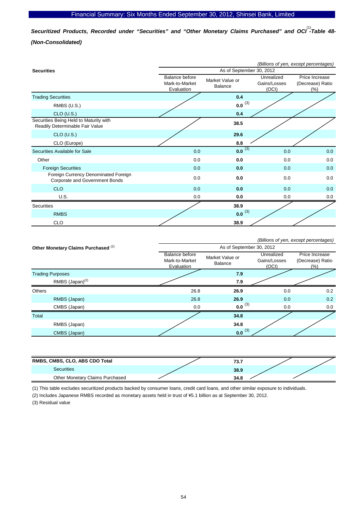Securitized Products, Recorded under "Securities" and "Other Monetary Claims Purchased" and OCI<sup>(1)</sup>-Table 48-*(Non-Consolidated)* 

|                                                                           | (Billions of yen, except percentages)          |                            |                                     |                                              |  |  |  |
|---------------------------------------------------------------------------|------------------------------------------------|----------------------------|-------------------------------------|----------------------------------------------|--|--|--|
| <b>Securities</b>                                                         | As of September 30, 2012                       |                            |                                     |                                              |  |  |  |
|                                                                           | Balance before<br>Mark-to-Market<br>Evaluation | Market Value or<br>Balance | Unrealized<br>Gains/Losses<br>(OCI) | Price Increase<br>(Decrease) Ratio<br>$(\%)$ |  |  |  |
| <b>Trading Securities</b>                                                 |                                                | 0.4                        |                                     |                                              |  |  |  |
| RMBS (U.S.)                                                               |                                                | $0.0^{(3)}$                |                                     |                                              |  |  |  |
| $CLO$ (U.S.)                                                              |                                                | 0.4                        |                                     |                                              |  |  |  |
| Securities Being Held to Maturity with<br>Readily Determinable Fair Value |                                                | 38.5                       |                                     |                                              |  |  |  |
| $CLO$ (U.S.)                                                              |                                                | 29.6                       |                                     |                                              |  |  |  |
| CLO (Europe)                                                              |                                                | 8.8                        |                                     |                                              |  |  |  |
| Securities Available for Sale                                             | 0.0                                            | $0.0^{(3)}$                | 0.0                                 | 0.0                                          |  |  |  |
| Other                                                                     | 0.0                                            | 0.0                        | 0.0                                 | 0.0                                          |  |  |  |
| <b>Foreign Securities</b>                                                 | 0.0                                            | 0.0                        | 0.0                                 | 0.0                                          |  |  |  |
| Foreign Currency Denominated Foreign<br>Corporate and Government Bonds    | 0.0                                            | 0.0                        | 0.0                                 | 0.0                                          |  |  |  |
| <b>CLO</b>                                                                | 0.0                                            | 0.0                        | 0.0                                 | 0.0                                          |  |  |  |
| U.S.                                                                      | 0.0                                            | 0.0                        | 0.0                                 | 0.0                                          |  |  |  |
| Securities                                                                |                                                | 38.9                       |                                     |                                              |  |  |  |
| <b>RMBS</b>                                                               |                                                | $0.0^{(3)}$                |                                     |                                              |  |  |  |
| <b>CLO</b>                                                                |                                                | 38.9                       |                                     |                                              |  |  |  |

|                                                |                                                                              |                          |                                     | (Billions of yen, except percentages)      |  |  |  |
|------------------------------------------------|------------------------------------------------------------------------------|--------------------------|-------------------------------------|--------------------------------------------|--|--|--|
| Other Monetary Claims Purchased <sup>(2)</sup> |                                                                              | As of September 30, 2012 |                                     |                                            |  |  |  |
|                                                | Balance before<br>Market Value or<br>Mark-to-Market<br>Balance<br>Evaluation |                          | Unrealized<br>Gains/Losses<br>(OCI) | Price Increase<br>(Decrease) Ratio<br>(% ) |  |  |  |
| <b>Trading Purposes</b>                        |                                                                              | 7.9                      |                                     |                                            |  |  |  |
| RMBS (Japan) <sup>(2)</sup>                    |                                                                              | 7.9                      |                                     |                                            |  |  |  |
| <b>Others</b>                                  | 26.8                                                                         | 26.9                     | 0.0                                 | 0.2                                        |  |  |  |
| RMBS (Japan)                                   | 26.8                                                                         | 26.9                     | 0.0                                 | 0.2                                        |  |  |  |
| CMBS (Japan)                                   | 0.0                                                                          | $0.0^{(3)}$              | 0.0                                 | 0.0                                        |  |  |  |
| Total                                          |                                                                              | 34.8                     |                                     |                                            |  |  |  |
| RMBS (Japan)                                   |                                                                              | 34.8                     |                                     |                                            |  |  |  |
| CMBS (Japan)                                   |                                                                              | $0.0^{(3)}$              |                                     |                                            |  |  |  |

| RMBS, CMBS, CLO, ABS CDO Total  | 73.7 |  |
|---------------------------------|------|--|
| <b>Securities</b>               | 38.9 |  |
| Other Monetary Claims Purchased | 34.8 |  |

(1) This table excludes securitized products backed by consumer loans, credit card loans, and other similar exposure to individuals.

(2) Includes Japanese RMBS recorded as monetary assets held in trust of \5.1 billion as at September 30, 2012.

(3) Residual value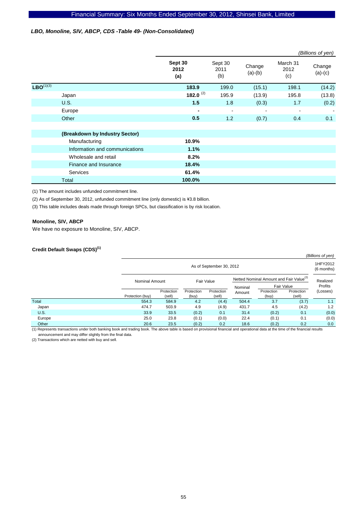### *LBO, Monoline, SIV, ABCP, CDS -Table 49- (Non-Consolidated)*

|                |                                |                        |                          |                     |                         | (Billions of yen)   |
|----------------|--------------------------------|------------------------|--------------------------|---------------------|-------------------------|---------------------|
|                |                                | Sept 30<br>2012<br>(a) | Sept 30<br>2011<br>(b)   | Change<br>$(a)-(b)$ | March 31<br>2012<br>(c) | Change<br>$(a)-(c)$ |
| $LBO^{(1)(3)}$ |                                | 183.9                  | 199.0                    | (15.1)              | 198.1                   | (14.2)              |
|                | Japan                          | 182.0 $(2)$            | 195.9                    | (13.9)              | 195.8                   | (13.8)              |
|                | U.S.                           | 1.5                    | 1.8                      | (0.3)               | 1.7                     | (0.2)               |
|                | Europe                         | ٠                      | $\overline{\phantom{a}}$ | $\blacksquare$      | $\blacksquare$          |                     |
|                | Other                          | 0.5                    | 1.2                      | (0.7)               | 0.4                     | 0.1                 |
|                |                                |                        |                          |                     |                         |                     |
|                | (Breakdown by Industry Sector) |                        |                          |                     |                         |                     |
|                | Manufacturing                  | 10.9%                  |                          |                     |                         |                     |
|                | Information and communications | 1.1%                   |                          |                     |                         |                     |
|                | Wholesale and retail           | 8.2%                   |                          |                     |                         |                     |
|                | Finance and Insurance          | 18.4%                  |                          |                     |                         |                     |
|                | Services                       | 61.4%                  |                          |                     |                         |                     |
|                | Total                          | 100.0%                 |                          |                     |                         |                     |

(1) The amount includes unfunded commitment line.

(2) As of September 30, 2012, unfunded commitment line (only domestic) is \3.8 billion.

(3) This table includes deals made through foreign SPCs, but classification is by risk location.

#### **Monoline, SIV, ABCP**

We have no exposure to Monoline, SIV, ABCP.

### **Credit Default Swaps (CDS)(1)**

|             |                  |                                                                                            |                     |                      |        |                     |                      | (Billions of yen)      |
|-------------|------------------|--------------------------------------------------------------------------------------------|---------------------|----------------------|--------|---------------------|----------------------|------------------------|
|             |                  | As of September 30, 2012                                                                   |                     |                      |        |                     |                      | 1HFY2012<br>(6 months) |
|             |                  | Netted Nominal Amount and Fair Value <sup>(2)</sup><br>Fair Value<br><b>Nominal Amount</b> |                     |                      |        |                     | Realized             |                        |
|             |                  |                                                                                            |                     | Nominal              |        | Fair Value          | Profits              |                        |
|             | Protection (buy) | Protection<br>(sell)                                                                       | Protection<br>(buy) | Protection<br>(sell) | Amount | Protection<br>(buy) | Protection<br>(sell) | (Losses)               |
| Total       | 554.3            | 584.9                                                                                      | 4.2                 | (4.4)                | 504.4  | 3.7                 | (3.7)                | 1.1                    |
| Japan       | 474.7            | 503.9                                                                                      | 4.9                 | (4.9)                | 431.7  | 4.5                 | (4.2)                | 1.2                    |
| <b>U.S.</b> | 33.9             | 33.5                                                                                       | (0.2)               | 0.1                  | 31.4   | (0.2)               | 0.1                  | (0.0)                  |
| Europe      | 25.0             | 23.8                                                                                       | (0.1)               | (0.0)                | 22.4   | (0.1)               | 0.1                  | (0.0)                  |
| Other       | 20.6             | 23.5                                                                                       | (0.2)               | 0.2                  | 18.6   | (0.2)               | 0.2                  | 0.0                    |

(1) Represents transactions under both banking book and trading book. The above table is based on provisional financial and operational data at the time of the financial results announcement and may differ slightly from the final data.

(2) Transactions which are netted with buy and sell.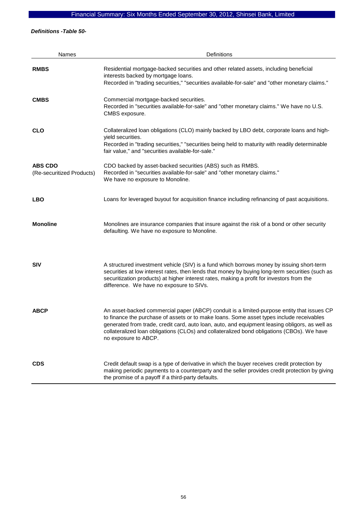*Definitions -Table 50-* 

| <b>Names</b>                                | Definitions                                                                                                                                                                                                                                                                                                                                                                                                    |
|---------------------------------------------|----------------------------------------------------------------------------------------------------------------------------------------------------------------------------------------------------------------------------------------------------------------------------------------------------------------------------------------------------------------------------------------------------------------|
| <b>RMBS</b>                                 | Residential mortgage-backed securities and other related assets, including beneficial<br>interests backed by mortgage loans.<br>Recorded in "trading securities," "securities available-for-sale" and "other monetary claims."                                                                                                                                                                                 |
| <b>CMBS</b>                                 | Commercial mortgage-backed securities.<br>Recorded in "securities available-for-sale" and "other monetary claims." We have no U.S.<br>CMBS exposure.                                                                                                                                                                                                                                                           |
| <b>CLO</b>                                  | Collateralized loan obligations (CLO) mainly backed by LBO debt, corporate loans and high-<br>yield securities.<br>Recorded in "trading securities," "securities being held to maturity with readily determinable<br>fair value," and "securities available-for-sale."                                                                                                                                         |
| <b>ABS CDO</b><br>(Re-securitized Products) | CDO backed by asset-backed securities (ABS) such as RMBS.<br>Recorded in "securities available-for-sale" and "other monetary claims."<br>We have no exposure to Monoline.                                                                                                                                                                                                                                      |
| <b>LBO</b>                                  | Loans for leveraged buyout for acquisition finance including refinancing of past acquisitions.                                                                                                                                                                                                                                                                                                                 |
| <b>Monoline</b>                             | Monolines are insurance companies that insure against the risk of a bond or other security<br>defaulting. We have no exposure to Monoline.                                                                                                                                                                                                                                                                     |
| <b>SIV</b>                                  | A structured investment vehicle (SIV) is a fund which borrows money by issuing short-term<br>securities at low interest rates, then lends that money by buying long-term securities (such as<br>securitization products) at higher interest rates, making a profit for investors from the<br>difference. We have no exposure to SIVs.                                                                          |
| <b>ABCP</b>                                 | An asset-backed commercial paper (ABCP) conduit is a limited-purpose entity that issues CP<br>to finance the purchase of assets or to make loans. Some asset types include receivables<br>generated from trade, credit card, auto loan, auto, and equipment leasing obligors, as well as<br>collateralized loan obligations (CLOs) and collateralized bond obligations (CBOs). We have<br>no exposure to ABCP. |
| <b>CDS</b>                                  | Credit default swap is a type of derivative in which the buyer receives credit protection by<br>making periodic payments to a counterparty and the seller provides credit protection by giving<br>the promise of a payoff if a third-party defaults.                                                                                                                                                           |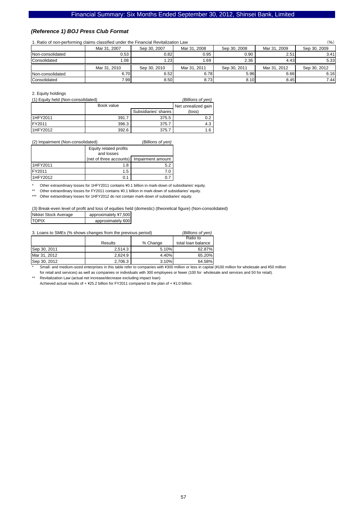### *(Reference 1) BOJ Press Club Format*

#### 1. Ratio of non-performing claims classified under the Financial Revitalization Law (%)

| $\alpha$ . Addy of non-penoming claims classified under the Financial Revitalization Law<br>\ /0 / |              |              |              |              |              |              |  |
|----------------------------------------------------------------------------------------------------|--------------|--------------|--------------|--------------|--------------|--------------|--|
|                                                                                                    | Mar 31, 2007 | Sep 30, 2007 | Mar 31, 2008 | Sep 30, 2008 | Mar 31, 2009 | Sep 30, 2009 |  |
| Non-consolidated                                                                                   | 0.53         | 0.82         | 0.95         | 0.90         | 2.51         | 3.41         |  |
| Consolidated                                                                                       | 08. ا        | 1.23         | 1.69         | 2.36         | 4.43         | 5.33         |  |
|                                                                                                    | Mar 31, 2010 | Sep 30, 2010 | Mar 31, 2011 | Sep 30, 2011 | Mar 31, 2012 | Sep 30, 2012 |  |
| Non-consolidated                                                                                   | 6.70         | 6.52         | 6.78         | 5.96         | 6.66         | 6.16         |  |
| Consolidated                                                                                       | 7.991        | 8.50         | 8.73         | 8.10         | 8.45         | 7.44         |  |

2. Equity holdings

| (1) Equity held (Non-consolidated) | (Billions of yen) |                      |                     |
|------------------------------------|-------------------|----------------------|---------------------|
|                                    | Book value        |                      | Net unrealized gain |
|                                    |                   | Subsidiaries' shares | (loss)              |
| <b>I1HFY2011</b>                   | 391.7             | 375.5                | 0.2                 |
| FY2011                             | 396.3             | 375.7                | 4.3                 |
| <b>I1HFY2012</b>                   | 392.6             | 375.7                | 1.6                 |

| (2) Impairment (Non-consolidated) | (Billions of yen) |
|-----------------------------------|-------------------|
|-----------------------------------|-------------------|

|          | Equity related profits<br>and losses |                   |
|----------|--------------------------------------|-------------------|
|          | (net of three accounts)              | Impairment amount |
| 1HFY2011 | 1.8                                  | 5.2               |
| FY2011   | 1.5                                  |                   |
| 1HFY2012 |                                      |                   |

\* Other extraordinary losses for 1HFY2011 contains ¥0.1 billion in mark-down of subsidiaries' equity.<br>\*\* Other extraordinary losses for EX2011 contains ¥0.1 billion in mark-down of subsidiaries' equity.

Other extraordinary losses for FY2011 contains ¥0.1 billion in mark-down of subsidiaries' equity.

\*\*\* Other extraordinary losses for 1HFY2012 do not contain mark-down of subsidiaries' equity.

(3) Break-even level of profit and loss of equities held (domestic) (theoretical figure) (Non-consolidated) Nikkei Stock Average | approximately ¥7,500

| <b>INDIANAL PROPERTY</b> | a                 |
|--------------------------|-------------------|
| <b>TOPIX</b>             | approximately 600 |
|                          |                   |

3. Loans to SMEs (% shows changes from the previous period) *(Billions of yen)*

|              |         |          | Ratio to           |
|--------------|---------|----------|--------------------|
|              | Results | % Change | total loan balance |
| Sep 30, 2011 | 2.514.3 | 5.10%    | 62.87%             |
| Mar 31, 2012 | 2.624.9 | 4.40%    | 65.20%             |
| Sep 30, 2012 | 2.706.3 | 3.10%    | 64.58%             |

Small- and medium-sized enterprises in this table refer to companies with ¥300 million or less in capital (¥100 million for wholesale and ¥50 million for retail and services) as well as companies or individuals with 300 employees or fewer (100 for wholesale and services and 50 for retail).

\*\* Revitalization Law (actual net increase/decrease excluding impact loan) Achieved actual results of +  $425.2$  billion for FY2011 compared to the plan of +  $41.0$  billion.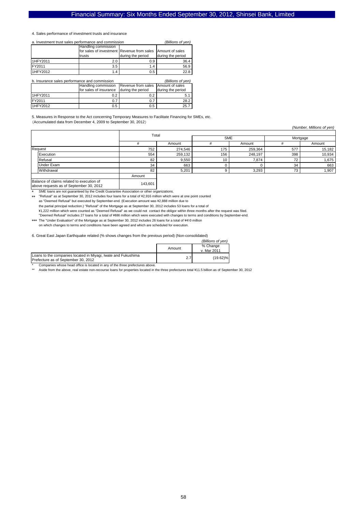4. Sales performance of investment trusts and insurance

| a. Investment trust sales performance and commission | (Billions of yen)                                                                 |                   |                   |
|------------------------------------------------------|-----------------------------------------------------------------------------------|-------------------|-------------------|
|                                                      | Handling commission<br>for sales of investment Revenue from sales Amount of sales |                   |                   |
|                                                      | trusts                                                                            | during the period | during the period |
| 1HFY2011                                             | 2.0                                                                               | 0.9               | 36.4              |
| FY2011                                               | 3.5                                                                               | 1.4               | 56.9              |
| 1HFY2012                                             | 1.4                                                                               | 0.5               | 22.8              |

| b. Insurance sales performance and commission | (Billions of ven)                                      |     |                   |
|-----------------------------------------------|--------------------------------------------------------|-----|-------------------|
|                                               | Handling commission Revenue from sales Amount of sales |     |                   |
|                                               | for sales of insurance during the period               |     | during the period |
| 1HFY2011                                      | 0.2                                                    | 0.2 |                   |
| FY2011                                        | 0.7                                                    | 0.7 | 28.2              |
| 1HFY2012                                      | 0.5                                                    | 0.5 | 25.7              |

5. Measures in Response to the Act concerning Temporary Measures to Facilitate Financing for SMEs, etc.

(Accumulated data from December 4, 2009 to September 30, 2012)

*(Number, Millions of yen)* # Amount # Amount # Amount 752 274,546 175 259,364 577 15,182 Execution 554 259,132 156 248,197 398 10,934 Refusal 82 | 9,550 | 10 | 7,874 | 72 | 1,675 Under Exam 34 | 663 | 0 | 0 | 34 | 663 Withdrawal 82 5,201 9 3,293 73 1,907 Amount Request SME Mortgage Total

*(Billions of yen)*

Balance of claims related to execution of above requests as of September 30, 2012

SME loans are not guaranteed by the Credit Guarantee Association or other organizations.

\*\* "Refusal" as at September 30, 2012 includes four loans for a total of \2,916 million which were at one point counted as "Deemed Refusal" but executed by September-end. (Execution amount was \2,888 million due to the partial principal reduction.) "Refusal" of the Mortgage as at September 30, 2012 includes 53 loans for a total of \1,222 million which were counted as "Deemed Refusal" as we could not contact the obligor within three months after the request was filed.

\*\*\* The "Under Evaluation" of the Mortgage as at September 30, 2012 includes 26 loans for a total of ¥410 million "Deemed Refusal" includes 27 loans for a total of \686 million which were executed with changes to terms and conditions by September-end.

143,601

on which changes to terms and conditions have been agreed and which are scheduled for execution.

6. Great East Japan Earthquake related (% shows changes from the previous period) (Non-consolidated)

|                                                                                                      | Amount | % Change<br>v. Mar 2011 |
|------------------------------------------------------------------------------------------------------|--------|-------------------------|
| Loans to the companies located in Miyagi, Iwate and Fukushima<br>Prefecture as of September 30, 2012 |        | $(19.62)\%$             |

\* Companies whose head office is located in any of the three prefectures above.

\*\* Aside from the above, real estate non-recourse loans for properties located in the three prefectures total ¥11.5 billion as of September 30, 2012